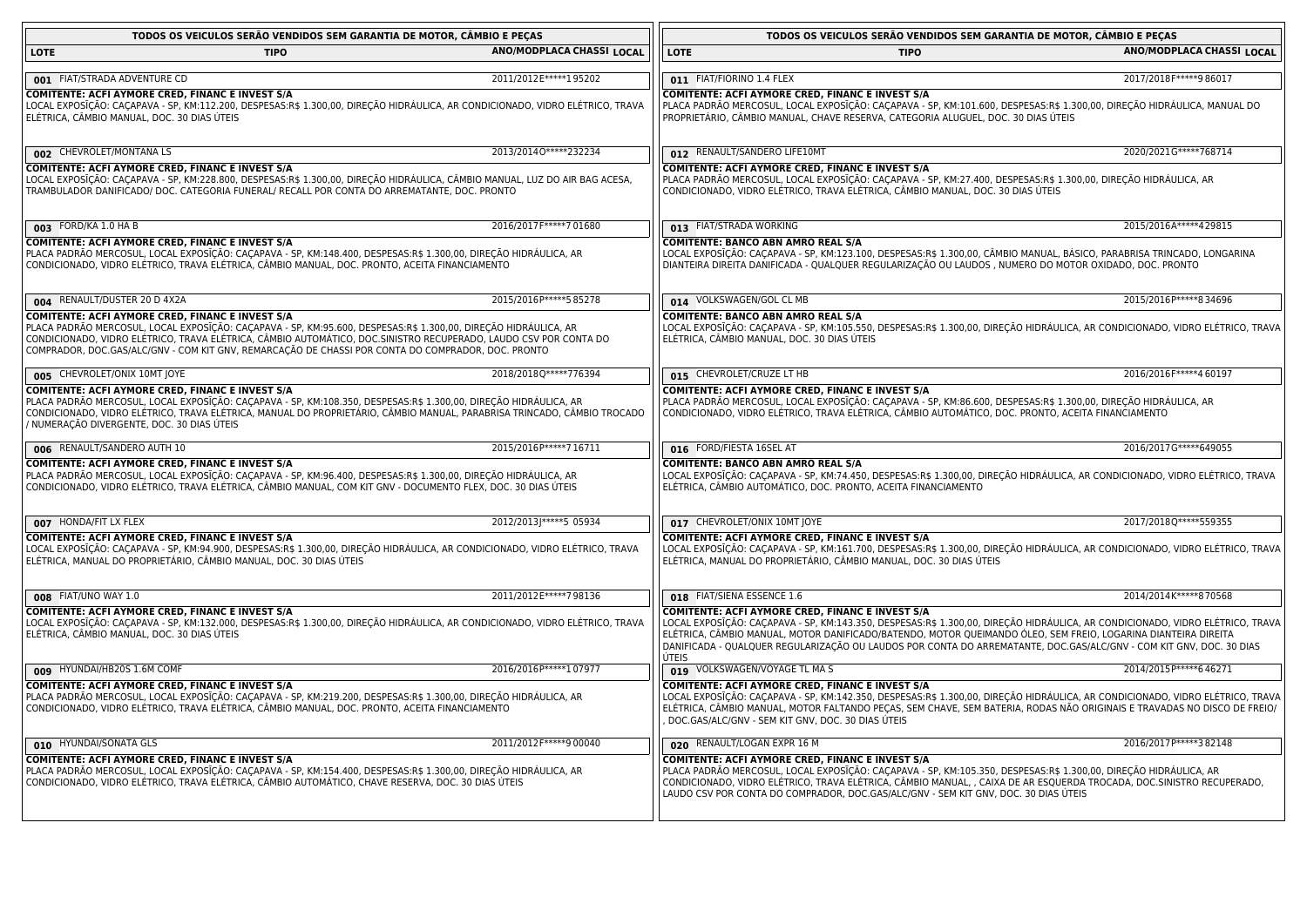| TODOS OS VEICULOS SERÃO VENDIDOS SEM GARANTIA DE MOTOR, CÂMBIO E PEÇAS                                                                                                                                                                                                                                                                                                                        |                           |                                                                                                       | TODOS OS VEICULOS SERÃO VENDIDOS SEM GARANTIA DE MOTOR, CÂMBIO E PEÇAS                                                                                                                                                |                                                                                                                                                                                                                                                                                                                                                                        |
|-----------------------------------------------------------------------------------------------------------------------------------------------------------------------------------------------------------------------------------------------------------------------------------------------------------------------------------------------------------------------------------------------|---------------------------|-------------------------------------------------------------------------------------------------------|-----------------------------------------------------------------------------------------------------------------------------------------------------------------------------------------------------------------------|------------------------------------------------------------------------------------------------------------------------------------------------------------------------------------------------------------------------------------------------------------------------------------------------------------------------------------------------------------------------|
| <b>LOTE</b><br><b>TIPO</b>                                                                                                                                                                                                                                                                                                                                                                    | ANO/MODPLACA CHASSI LOCAL | <b>LOTE</b>                                                                                           | <b>TIPO</b>                                                                                                                                                                                                           | ANO/MODPLACA CHASSI LOCAL                                                                                                                                                                                                                                                                                                                                              |
| 001 FIAT/STRADA ADVENTURE CD                                                                                                                                                                                                                                                                                                                                                                  | 2011/2012 E*****1 95202   | 011 FIAT/FIORINO 1.4 FLEX                                                                             |                                                                                                                                                                                                                       | 2017/2018 F***** 986017                                                                                                                                                                                                                                                                                                                                                |
| COMITENTE: ACFI AYMORE CRED, FINANC E INVEST S/A<br>LOCAL EXPOSĪÇÃO: CAÇAPAVA - SP, KM:112.200, DESPESAS:R\$ 1.300,00, DIREÇÃO HIDRÁULICA, AR CONDICIONADO, VIDRO ELÉTRICO, TRAVA<br>ELÉTRICA, CÂMBIO MANUAL, DOC. 30 DIAS ÚTEIS                                                                                                                                                              |                           | COMITENTE: ACFI AYMORE CRED, FINANC E INVEST S/A                                                      | PROPRIETÁRIO, CÂMBIO MANUAL, CHAVE RESERVA, CATEGORIA ALUGUEL, DOC. 30 DIAS ÚTEIS                                                                                                                                     | PLACA PADRÃO MERCOSUL, LOCAL EXPOSĪÇÃO: CAÇAPAVA - SP, KM:101.600, DESPESAS:R\$ 1.300,00, DIREÇÃO HIDRÁULICA, MANUAL DO                                                                                                                                                                                                                                                |
| 002 CHEVROLET/MONTANA LS                                                                                                                                                                                                                                                                                                                                                                      | 2013/20140 ***** 232234   | 012 RENAULT/SANDERO LIFE10MT                                                                          |                                                                                                                                                                                                                       | 2020/2021G*****768714                                                                                                                                                                                                                                                                                                                                                  |
| COMITENTE: ACFI AYMORE CRED, FINANC E INVEST S/A<br>LOCAL EXPOSĪÇÃO: CAÇAPAVA - SP, KM:228.800, DESPESAS:R\$ 1.300,00, DIREÇÃO HIDRÁULICA, CÂMBIO MANUAL, LUZ DO AIR BAG ACESA,<br>TRAMBULADOR DANIFICADO/ DOC. CATEGORIA FUNERAL/ RECALL POR CONTA DO ARREMATANTE, DOC. PRONTO                                                                                                               |                           | COMITENTE: ACFI AYMORE CRED, FINANC E INVEST S/A                                                      | PLACA PADRÃO MERCOSUL, LOCAL EXPOSĪÇÃO: CAÇAPAVA - SP, KM:27.400, DESPESAS:R\$ 1.300,00, DIREÇÃO HIDRÁULICA, AR<br>CONDICIONADO, VIDRO ELÉTRICO, TRAVA ELÉTRICA, CÂMBIO MANUAL, DOC. 30 DIAS ÚTEIS                    |                                                                                                                                                                                                                                                                                                                                                                        |
| 003 FORD/KA 1.0 HA B                                                                                                                                                                                                                                                                                                                                                                          | 2016/2017 F*****7 01680   | 013 FIAT/STRADA WORKING                                                                               |                                                                                                                                                                                                                       | 2015/2016A*****429815                                                                                                                                                                                                                                                                                                                                                  |
| COMITENTE: ACFI AYMORE CRED, FINANC E INVEST S/A<br>PLACA PADRÃO MERCOSUL, LOCAL EXPOSIÇÃO: CAÇAPAVA - SP, KM:148.400, DESPESAS:R\$ 1.300,00, DIREÇÃO HIDRAULICA, AR<br>CONDICIONADO, VIDRO ELÉTRICO, TRAVA ELÉTRICA, CÂMBIO MANUAL, DOC. PRONTO, ACEITA FINANCIAMENTO                                                                                                                        |                           | <b>COMITENTE: BANCO ABN AMRO REAL S/A</b>                                                             | DIANTEIRA DIREITA DANIFICADA - QUALQUER REGULARIZAÇÃO OU LAUDOS, NUMERO DO MOTOR OXIDADO, DOC. PRONTO                                                                                                                 | LOCAL EXPOSIÇÃO: CAÇAPAVA - SP, KM:123.100, DESPESAS:R\$ 1.300,00, CÃMBIO MANUAL, BÁSICO, PARABRISA TRINCADO, LONGARINA                                                                                                                                                                                                                                                |
| 004 RENAULT/DUSTER 20 D 4X2A                                                                                                                                                                                                                                                                                                                                                                  | 2015/2016 P***** 5 85278  | 014 VOLKSWAGEN/GOL CL MB                                                                              |                                                                                                                                                                                                                       | 2015/2016 P***** 8 34696                                                                                                                                                                                                                                                                                                                                               |
| COMITENTE: ACFI AYMORE CRED, FINANC E INVEST S/A<br>PLACA PADRÃO MERCOSUL, LOCAL EXPOSĪÇÃO: CAÇAPAVA - SP, KM:95.600, DESPESAS:R\$ 1.300,00, DIREÇÃO HIDRÁULICA, AR<br>CONDICIONADO, VIDRO ELÉTRICO, TRAVA ELÉTRICA, CÂMBIO AUTOMÁTICO, DOC.SINISTRO RECUPERADO, LAUDO CSV POR CONTA DO<br>COMPRADOR, DOC.GAS/ALC/GNV - COM KIT GNV, REMARCAÇÃO DE CHASSI POR CONTA DO COMPRADOR, DOC. PRONTO |                           | <b>COMITENTE: BANCO ABN AMRO REAL S/A</b><br>ELÉTRICA, CÂMBIO MANUAL, DOC. 30 DIAS ÚTEIS              |                                                                                                                                                                                                                       | LOCAL EXPOSIÇÃO: CAÇAPAVA - SP, KM:105.550, DESPESAS:R\$ 1.300,00, DIREÇÃO HIDRÁULICA, AR CONDICIONADO, VIDRO ELÉTRICO, TRAVA                                                                                                                                                                                                                                          |
| 005 CHEVROLET/ONIX 10MT JOYE                                                                                                                                                                                                                                                                                                                                                                  | 2018/2018Q*****776394     | 015 CHEVROLET/CRUZE LT HB                                                                             |                                                                                                                                                                                                                       | 2016/2016 F***** 460197                                                                                                                                                                                                                                                                                                                                                |
| COMITENTE: ACFI AYMORE CRED, FINANC E INVEST S/A<br>PLACA PADRÃO MERCOSUL, LOCAL EXPOSĪÇÃO: CAÇAPAVA - SP, KM:108.350, DESPESAS:R\$ 1.300,00, DIREÇÃO HIDRÁULICA, AR<br>CONDICIONADO, VIDRO ELÉTRICO, TRAVA ELÉTRICA, MANUAL DO PROPRIETÁRIO, CÂMBIO MANUAL, PARABRISA TRINCADO, CÂMBIO TROCADO<br>/ NUMERAÇÃO DIVERGENTE, DOC. 30 DIAS ÚTEIS                                                 |                           | COMITENTE: ACFI AYMORE CRED, FINANC E INVEST S/A                                                      | PLACA PADRÃO MERCOSUL, LOCAL EXPOSIÇÃO: CAÇAPAVA - SP, KM:86.600, DESPESAS:R\$ 1.300,00, DIREÇÃO HIDRÁULICA, AR<br>CONDICIONADO, VIDRO ELÉTRICO, TRAVA ELÉTRICA, CÂMBIO AUTOMÁTICO, DOC. PRONTO, ACEITA FINANCIAMENTO |                                                                                                                                                                                                                                                                                                                                                                        |
| 006 RENAULT/SANDERO AUTH 10                                                                                                                                                                                                                                                                                                                                                                   | 2015/2016 P*****7 16711   | 016 FORD/FIESTA 16SEL AT                                                                              |                                                                                                                                                                                                                       | 2016/2017G*****649055                                                                                                                                                                                                                                                                                                                                                  |
| COMITENTE: ACFI AYMORE CRED, FINANC E INVEST S/A<br>PLACA PADRÃO MERCOSUL, LOCAL EXPOSĪÇÃO: CAÇAPAVA - SP, KM:96.400, DESPESAS:R\$ 1.300,00, DIREÇÃO HIDRÁULICA, AR<br>CONDICIONADO, VIDRO ELÉTRICO, TRAVA ELÉTRICA, CÂMBIO MANUAL, COM KIT GNV - DOCUMENTO FLEX, DOC. 30 DIAS ÚTEIS                                                                                                          |                           | <b>COMITENTE: BANCO ABN AMRO REAL S/A</b>                                                             | ELÉTRICA, CÂMBIO AUTOMÁTICO, DOC. PRONTO, ACEITA FINANCIAMENTO                                                                                                                                                        | LOCAL EXPOSIÇÃO: CAÇAPAVA - SP, KM:74.450, DESPESAS:R\$ 1.300,00, DIREÇÃO HIDRÁULICA, AR CONDICIONADO, VIDRO ELÉTRICO, TRAVA                                                                                                                                                                                                                                           |
| 007 HONDA/FIT LX FLEX                                                                                                                                                                                                                                                                                                                                                                         | 2012/2013)*****5 05934    | 017 CHEVROLET/ONIX 10MT JOYE                                                                          |                                                                                                                                                                                                                       | 2017/2018Q*****559355                                                                                                                                                                                                                                                                                                                                                  |
| COMITENTE: ACFI AYMORE CRED, FINANC E INVEST S/A<br>LOCAL EXPOSĪÇÃO: CAÇAPAVA - SP, KM:94.900, DESPESAS:R\$ 1.300,00, DIREÇÃO HIDRÁULICA, AR CONDICIONADO, VIDRO ELÉTRICO, TRAVA<br>ELÉTRICA, MANUAL DO PROPRIETÁRIO, CÂMBIO MANUAL, DOC. 30 DIAS ÚTEIS                                                                                                                                       |                           | COMITENTE: ACFI AYMORE CRED, FINANC E INVEST S/A                                                      | ELÉTRICA, MANUAL DO PROPRIETÁRIO, CÂMBIO MANUAL, DOC. 30 DIAS ÚTEIS                                                                                                                                                   | LOCAL EXPOSIÇÃO: CAÇAPAVA - SP, KM:161.700, DESPESAS:R\$ 1.300,00, DIREÇÃO HIDRÁULICA, AR CONDICIONADO, VIDRO ELÉTRICO, TRAVA                                                                                                                                                                                                                                          |
| 008 FIAT/UNO WAY 1.0                                                                                                                                                                                                                                                                                                                                                                          | 2011/2012 E*****7 98136   | 018 FIAT/SIENA ESSENCE 1.6                                                                            |                                                                                                                                                                                                                       | 2014/2014 K*****8 70568                                                                                                                                                                                                                                                                                                                                                |
| <b>COMITENTE: ACFI AYMORE CRED, FINANC E INVEST S/A</b><br>LOCAL EXPOSĪÇÃO: CAÇAPAVA - SP, KM:132.000, DESPESAS:R\$ 1.300,00, DIREÇÃO HIDRÁULICA, AR CONDICIONADO, VIDRO ELÉTRICO, TRAVA<br>ELÉTRICA, CÂMBIO MANUAL, DOC. 30 DIAS ÚTEIS                                                                                                                                                       |                           | COMITENTE: ACFI AYMORE CRED, FINANC E INVEST S/A<br>ÚTEIS                                             |                                                                                                                                                                                                                       | LOCAL EXPOSIÇÃO: CAÇAPAVA - SP, KM:143.350, DESPESAS:R\$ 1.300,00, DIREÇÃO HIDRÁULICA, AR CONDICIONADO, VIDRO ELÉTRICO, TRAVA<br>ELÉTRICA, CÂMBIO MANUAL, MOTOR DANIFICADO/BATENDO, MOTOR QUEIMANDO ÓLEO, SEM FREIO, LOGARINA DIANTEIRA DIREITA<br>DANIFICADA - QUALQUER REGULARIZAÇÃO OU LAUDOS POR CONTA DO ARREMATANTE, DOC.GAS/ALC/GNV - COM KIT GNV, DOC. 30 DIAS |
| 009 HYUNDAI/HB20S 1.6M COMF                                                                                                                                                                                                                                                                                                                                                                   | 2016/2016 P***** 107977   | 019 VOLKSWAGEN/VOYAGE TL MAS                                                                          |                                                                                                                                                                                                                       | 2014/2015 P***** 646271                                                                                                                                                                                                                                                                                                                                                |
| COMITENTE: ACFI AYMORE CRED, FINANC E INVEST S/A<br>PLACA PADRÃO MERCOSUL, LOCAL EXPOSIÇÃO: CAÇAPAVA - SP, KM:219.200, DESPESAS:R\$ 1.300,00, DIREÇÃO HIDRAULICA, AR<br>CONDICIONADO, VIDRO ELÉTRICO, TRAVA ELÉTRICA, CÂMBIO MANUAL, DOC. PRONTO, ACEITA FINANCIAMENTO                                                                                                                        |                           | COMITENTE: ACFI AYMORE CRED, FINANC E INVEST S/A<br>DOC.GAS/ALC/GNV - SEM KIT GNV, DOC. 30 DIAS ÚTEIS |                                                                                                                                                                                                                       | LOCAL EXPOSIÇÃO: CAÇAPAVA - SP, KM:142.350, DESPESAS:R\$ 1.300,00, DIREÇÃO HIDRÁULICA, AR CONDICIONADO, VIDRO ELÉTRICO, TRAVA<br>ELÉTRICA, CÂMBIO MANUAL, MOTOR FALTANDO PEÇAS, SEM CHAVE, SEM BATERIA, RODAS NÃO ORIGINAIS E TRAVADAS NO DISCO DE FREIO/                                                                                                              |
| 010 HYUNDAI/SONATA GLS                                                                                                                                                                                                                                                                                                                                                                        | 2011/2012 F*****9 00040   | 020 RENAULT/LOGAN EXPR 16 M                                                                           |                                                                                                                                                                                                                       | 2016/2017 P***** 382148                                                                                                                                                                                                                                                                                                                                                |
| COMITENTE: ACFI AYMORE CRED, FINANC E INVEST S/A<br>PLACA PADRÃO MERCOSUL, LOCAL EXPOSĪÇÃO: CAÇAPAVA - SP, KM:154.400, DESPESAS:R\$ 1.300,00, DIREÇÃO HIDRÁULICA, AR<br>CONDICIONADO, VIDRO ELÉTRICO, TRAVA ELÉTRICA, CÂMBIO AUTOMÁTICO, CHAVE RESERVA, DOC. 30 DIAS ÚTEIS                                                                                                                    |                           | COMITENTE: ACFI AYMORE CRED, FINANC E INVEST S/A                                                      | PLACA PADRÃO MERCOSUL, LOCAL EXPOSĪÇÃO: CAÇAPAVA - SP, KM:105.350, DESPESAS:R\$ 1.300,00, DIREÇÃO HIDRAULICA, AR<br>LAUDO CSV POR CONTA DO COMPRADOR, DOC.GAS/ALC/GNV - SEM KIT GNV, DOC. 30 DIAS ÚTEIS               | CONDICIONADO, VIDRO ELÉTRICO, TRAVA ELÉTRICA, CÂMBIO MANUAL, , CAIXA DE AR ESQUERDA TROCADA, DOC.SINISTRO RECUPERADO,                                                                                                                                                                                                                                                  |

<u> 1980 - Johann Stoff, deutscher Stoffen und der Stoffen und der Stoffen und der Stoffen und der Stoffen und der</u>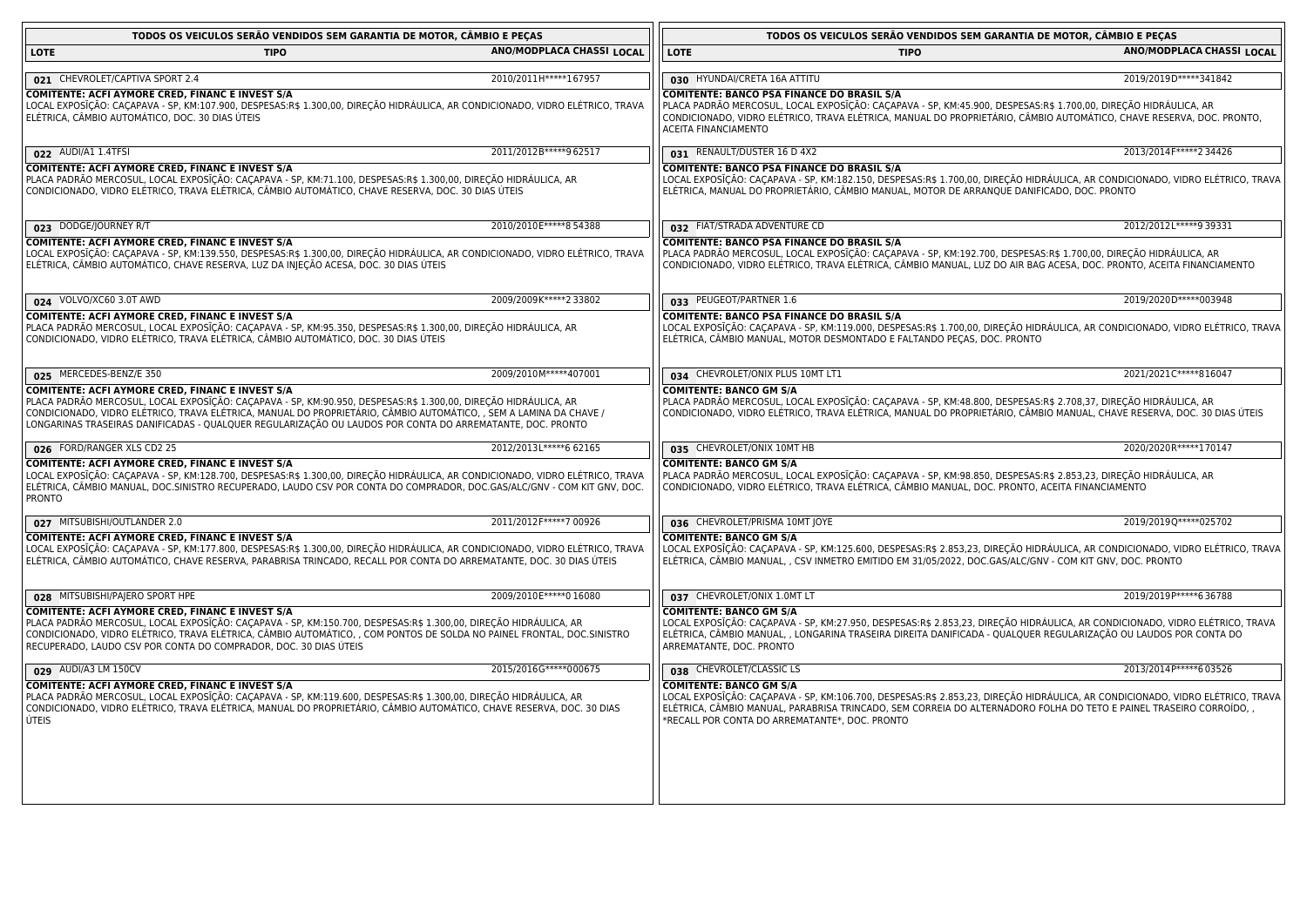| TODOS OS VEICULOS SERÃO VENDIDOS SEM GARANTIA DE MOTOR, CÂMBIO E PECAS                                                                                                                                                                                                                                                                                                                                 |                           | TODOS OS VEICULOS SERÃO VENDIDOS SEM GARANTIA DE MOTOR, CAMBIO E PEÇAS                                                                                                                                                                                                                                                                   |                           |
|--------------------------------------------------------------------------------------------------------------------------------------------------------------------------------------------------------------------------------------------------------------------------------------------------------------------------------------------------------------------------------------------------------|---------------------------|------------------------------------------------------------------------------------------------------------------------------------------------------------------------------------------------------------------------------------------------------------------------------------------------------------------------------------------|---------------------------|
| <b>LOTE</b><br><b>TIPO</b>                                                                                                                                                                                                                                                                                                                                                                             | ANO/MODPLACA CHASSI LOCAL | <b>LOTE</b><br>TIPO                                                                                                                                                                                                                                                                                                                      | ANO/MODPLACA CHASSI LOCAL |
| 021 CHEVROLET/CAPTIVA SPORT 2.4                                                                                                                                                                                                                                                                                                                                                                        | 2010/2011H ***** 167957   | 030 HYUNDAI/CRETA 16A ATTITU                                                                                                                                                                                                                                                                                                             | 2019/2019D*****341842     |
| COMITENTE: ACFI AYMORE CRED, FINANC E INVEST S/A<br>LOCAL EXPOSĪÇÃO: CAÇAPAVA - SP, KM:107.900, DESPESAS:R\$ 1.300,00, DIREÇÃO HIDRÁULICA, AR CONDICIONADO, VIDRO ELÉTRICO, TRAVA<br>ELÉTRICA, CÂMBIO AUTOMÁTICO, DOC. 30 DIAS ÚTEIS                                                                                                                                                                   |                           | <b>COMITENTE: BANCO PSA FINANCE DO BRASIL S/A</b><br>PLACA PADRÃO MERCOSUL, LOCAL EXPOSIÇÃO: CAÇAPAVA - SP, KM:45.900, DESPESAS:R\$ 1.700,00, DIREÇÃO HIDRAULICA, AR<br>CONDICIONADO, VIDRO ELÉTRICO, TRAVA ELÉTRICA, MANUAL DO PROPRIETÁRIO, CÂMBIO AUTOMÁTICO, CHAVE RESERVA, DOC. PRONTO,<br>ACEITA FINANCIAMENTO                     |                           |
| 022 AUDI/A1 1.4TFSI                                                                                                                                                                                                                                                                                                                                                                                    | 2011/2012B*****962517     | 031 RENAULT/DUSTER 16 D 4X2                                                                                                                                                                                                                                                                                                              | 2013/2014 F***** 2 34426  |
| COMITENTE: ACFI AYMORE CRED, FINANC E INVEST S/A<br>PLACA PADRÃO MERCOSUL, LOCAL EXPOSĪÇÃO: CAÇAPAVA - SP, KM:71.100, DESPESAS:R\$ 1.300,00, DIREÇÃO HIDRÁULICA, AR<br>CONDICIONADO, VIDRO ELÉTRICO, TRAVA ELÉTRICA, CÂMBIO AUTOMÁTICO, CHAVE RESERVA, DOC. 30 DIAS ÚTEIS                                                                                                                              |                           | <b>COMITENTE: BANCO PSA FINANCE DO BRASIL S/A</b><br>LOCAL EXPOSIÇÃO: CAÇAPAVA - SP, KM:182.150, DESPESAS:R\$ 1.700,00, DIREÇÃO HIDRÁULICA, AR CONDICIONADO, VIDRO ELÉTRICO, TRAVA<br>ELÉTRICA, MANUAL DO PROPRIETÁRIO, CÂMBIO MANUAL, MOTOR DE ARRANQUE DANIFICADO, DOC. PRONTO                                                         |                           |
| 023 DODGE/JOURNEY R/T                                                                                                                                                                                                                                                                                                                                                                                  | 2010/2010E ***** 854388   | 032 FIAT/STRADA ADVENTURE CD                                                                                                                                                                                                                                                                                                             | 2012/2012L ***** 9 39331  |
| COMITENTE: ACFI AYMORE CRED, FINANC E INVEST S/A<br>LOCAL EXPOSĪÇÃO: CAÇAPAVA - SP, KM:139.550, DESPESAS:R\$ 1.300,00, DIREÇÃO HIDRÁULICA, AR CONDICIONADO, VIDRO ELÉTRICO, TRAVA<br>ELÉTRICA, CÂMBIO AUTOMÁTICO, CHAVE RESERVA, LUZ DA INJEÇÃO ACESA, DOC. 30 DIAS ÚTEIS                                                                                                                              |                           | <b>COMITENTE: BANCO PSA FINANCE DO BRASIL S/A</b><br>PLACA PADRÃO MERCOSUL, LOCAL EXPOSIÇÃO: CAÇAPAVA - SP, KM:192.700, DESPESAS:R\$ 1.700,00, DIREÇÃO HIDRÁULICA, AR<br>CONDICIONADO, VIDRO ELÉTRICO, TRAVA ELÉTRICA, CÂMBIO MANUAL, LUZ DO AIR BAG ACESA, DOC. PRONTO, ACEITA FINANCIAMENTO                                            |                           |
| 024 VOLVO/XC60 3.0T AWD                                                                                                                                                                                                                                                                                                                                                                                | 2009/2009K*****233802     | 033 PEUGEOT/PARTNER 1.6                                                                                                                                                                                                                                                                                                                  | 2019/2020D*****003948     |
| COMITENTE: ACFI AYMORE CRED, FINANC E INVEST S/A<br>PLACA PADRÃO MERCOSUL, LOCAL EXPOSĪÇÃO: CAÇAPAVA - SP, KM:95.350, DESPESAS:R\$ 1.300,00, DIREÇÃO HIDRÁULICA, AR<br>CONDICIONADO, VIDRO ELÉTRICO, TRAVA ELÉTRICA, CÂMBIO AUTOMÁTICO, DOC. 30 DIAS ÚTEIS                                                                                                                                             |                           | <b>COMITENTE: BANCO PSA FINANCE DO BRASIL S/A</b><br>LOCAL EXPOSIÇÃO: CAÇAPAVA - SP, KM:119.000, DESPESAS:R\$ 1.700,00, DIREÇÃO HIDRÁULICA, AR CONDICIONADO, VIDRO ELÉTRICO, TRAVA<br>ELÉTRICA, CÂMBIO MANUAL, MOTOR DESMONTADO E FALTANDO PEÇAS, DOC. PRONTO                                                                            |                           |
| 025 MERCEDES-BENZ/E 350                                                                                                                                                                                                                                                                                                                                                                                | 2009/2010M*****407001     | 034 CHEVROLET/ONIX PLUS 10MT LT1                                                                                                                                                                                                                                                                                                         | 2021/2021C*****816047     |
| COMITENTE: ACFI AYMORE CRED, FINANC E INVEST S/A<br>PLACA PADRÃO MERCOSUL, LOCAL EXPOSĪÇÃO: CAÇAPAVA - SP, KM:90.950, DESPESAS:R\$ 1.300,00, DIREÇÃO HIDRÁULICA, AR<br>CONDICIONADO, VIDRO ELÉTRICO, TRAVA ELÉTRICA, MANUAL DO PROPRIETÁRIO, CÂMBIO AUTOMÁTICO, , SEM A LAMINA DA CHAVE /<br>LONGARINAS TRASEIRAS DANIFICADAS - QUALQUER REGULARIZAÇÃO OU LAUDOS POR CONTA DO ARREMATANTE, DOC. PRONTO |                           | <b>COMITENTE: BANCO GM S/A</b><br>PLACA PADRÃO MERCOSUL, LOCAL EXPOSIÇÃO: CAÇAPAVA - SP, KM:48.800, DESPESAS:R\$ 2.708,37, DIREÇÃO HIDRÁULICA, AR<br>CONDICIONADO, VIDRO ELÉTRICO, TRAVA ELÉTRICA, MANUAL DO PROPRIETÁRIO, CÂMBIO MANUAL, CHAVE RESERVA, DOC. 30 DIAS ÚTEIS                                                              |                           |
| 026 FORD/RANGER XLS CD2 25                                                                                                                                                                                                                                                                                                                                                                             | 2012/2013L*****6 62165    | 035 CHEVROLET/ONIX 10MT HB                                                                                                                                                                                                                                                                                                               | 2020/2020R ***** 170147   |
| COMITENTE: ACFI AYMORE CRED, FINANC E INVEST S/A<br>LOCAL EXPOSĪÇÃO: CAÇAPAVA - SP, KM:128.700, DESPESAS:R\$ 1.300,00, DIREÇÃO HIDRÁULICA, AR CONDICIONADO, VIDRO ELÉTRICO, TRAVA<br>ELÉTRICA, CÂMBIO MANUAL, DOC.SINISTRO RECUPERADO, LAUDO CSV POR CONTA DO COMPRADOR, DOC.GAS/ALC/GNV - COM KIT GNV, DOC.<br><b>PRONTO</b>                                                                          |                           | <b>COMITENTE: BANCO GM S/A</b><br>PLACA PADRÃO MERCOSUL, LOCAL EXPOSIÇÃO: CAÇAPAVA - SP, KM:98.850, DESPESAS:R\$ 2.853,23, DIREÇÃO HIDRÁULICA, AR<br>CONDICIONADO, VIDRO ELÉTRICO, TRAVA ELÉTRICA, CÂMBIO MANUAL, DOC. PRONTO, ACEITA FINANCIAMENTO                                                                                      |                           |
| 027 MITSUBISHI/OUTLANDER 2.0                                                                                                                                                                                                                                                                                                                                                                           | 2011/2012 F***** 7 00926  | 036 CHEVROLET/PRISMA 10MT JOYE                                                                                                                                                                                                                                                                                                           | 2019/2019Q*****025702     |
| COMITENTE: ACFI AYMORE CRED, FINANC E INVEST S/A<br>LOCAL EXPOSĨÇÃO: CAÇAPAVA - SP, KM:177.800, DESPESAS:R\$ 1.300,00, DIREÇÃO HIDRÁULICA, AR CONDICIONADO, VIDRO ELÉTRICO, TRAVA<br>ELÉTRICA, CÂMBIO AUTOMÁTICO, CHAVE RESERVA, PARABRISA TRINCADO, RECALL POR CONTA DO ARREMATANTE, DOC. 30 DIAS ÚTEIS                                                                                               |                           | <b>COMITENTE: BANCO GM S/A</b><br>LOCAL EXPOSIÇÃO: CAÇAPAVA - SP, KM:125.600, DESPESAS:R\$ 2.853,23, DIREÇÃO HIDRÁULICA, AR CONDICIONADO, VIDRO ELÉTRICO, TRAVA<br>ELÉTRICA, CÂMBIO MANUAL, , CSV INMETRO EMITIDO EM 31/05/2022, DOC.GAS/ALC/GNV - COM KIT GNV, DOC. PRONTO                                                              |                           |
| 028 MITSUBISHI/PAJERO SPORT HPE                                                                                                                                                                                                                                                                                                                                                                        | 2009/2010E ***** 0 16080  | 037 CHEVROLET/ONIX 1.0MT LT                                                                                                                                                                                                                                                                                                              | 2019/2019 P***** 636788   |
| COMITENTE: ACFI AYMORE CRED, FINANC E INVEST S/A<br>PLACA PADRÃO MERCOSUL, LOCAL EXPOSĪÇÃO: CAÇAPAVA - SP, KM:150.700, DESPESAS:R\$ 1.300,00, DIREÇÃO HIDRÁULICA, AR<br>CONDICIONADO, VIDRO ELÉTRICO, TRAVA ELÉTRICA, CÂMBIO AUTOMÁTICO, , COM PONTOS DE SOLDA NO PAINEL FRONTAL, DOC.SINISTRO<br>RECUPERADO, LAUDO CSV POR CONTA DO COMPRADOR, DOC. 30 DIAS ÚTEIS                                     |                           | <b>COMITENTE: BANCO GM S/A</b><br>LOCAL EXPOSĪÇÃO: CAÇAPAVA - SP, KM:27.950, DESPESAS:R\$ 2.853,23, DIREÇÃO HIDRÁULICA, AR CONDICIONADO, VIDRO ELÉTRICO, TRAVA<br>ELÉTRICA, CÂMBIO MANUAL, , LONGARINA TRASEIRA DIREITA DANIFICADA - QUALQUER REGULARIZAÇÃO OU LAUDOS POR CONTA DO<br>ARREMATANTE, DOC. PRONTO                           |                           |
| 029 AUDI/A3 LM 150CV                                                                                                                                                                                                                                                                                                                                                                                   | 2015/2016G*****000675     | 038 CHEVROLET/CLASSIC LS                                                                                                                                                                                                                                                                                                                 | 2013/2014 P*****6 03526   |
| COMITENTE: ACFI AYMORE CRED, FINANC E INVEST S/A<br>PLACA PADRÃO MERCOSUL, LOCAL EXPOSĪÇÃO: CAÇAPAVA - SP, KM:119.600, DESPESAS:R\$ 1.300,00, DIREÇÃO HIDRÁULICA, AR<br>CONDICIONADO, VIDRO ELÉTRICO, TRAVA ELÉTRICA, MANUAL DO PROPRIETÁRIO, CÂMBIO AUTOMÁTICO, CHAVE RESERVA, DOC. 30 DIAS<br>ÚTEIS                                                                                                  |                           | <b>COMITENTE: BANCO GM S/A</b><br>LOCAL EXPOSIÇÃO: CAÇAPAVA - SP, KM:106.700, DESPESAS:R\$ 2.853,23, DIREÇÃO HIDRÁULICA, AR CONDICIONADO, VIDRO ELÉTRICO, TRAVA<br>ELÉTRICA, CÂMBIO MANUAL, PARABRISA TRINCADO, SEM CORREIA DO ALTERNADORO FOLHA DO TETO E PAINEL TRASEIRO CORROÍDO, ,<br>*RECALL POR CONTA DO ARREMATANTE*, DOC. PRONTO |                           |
|                                                                                                                                                                                                                                                                                                                                                                                                        |                           |                                                                                                                                                                                                                                                                                                                                          |                           |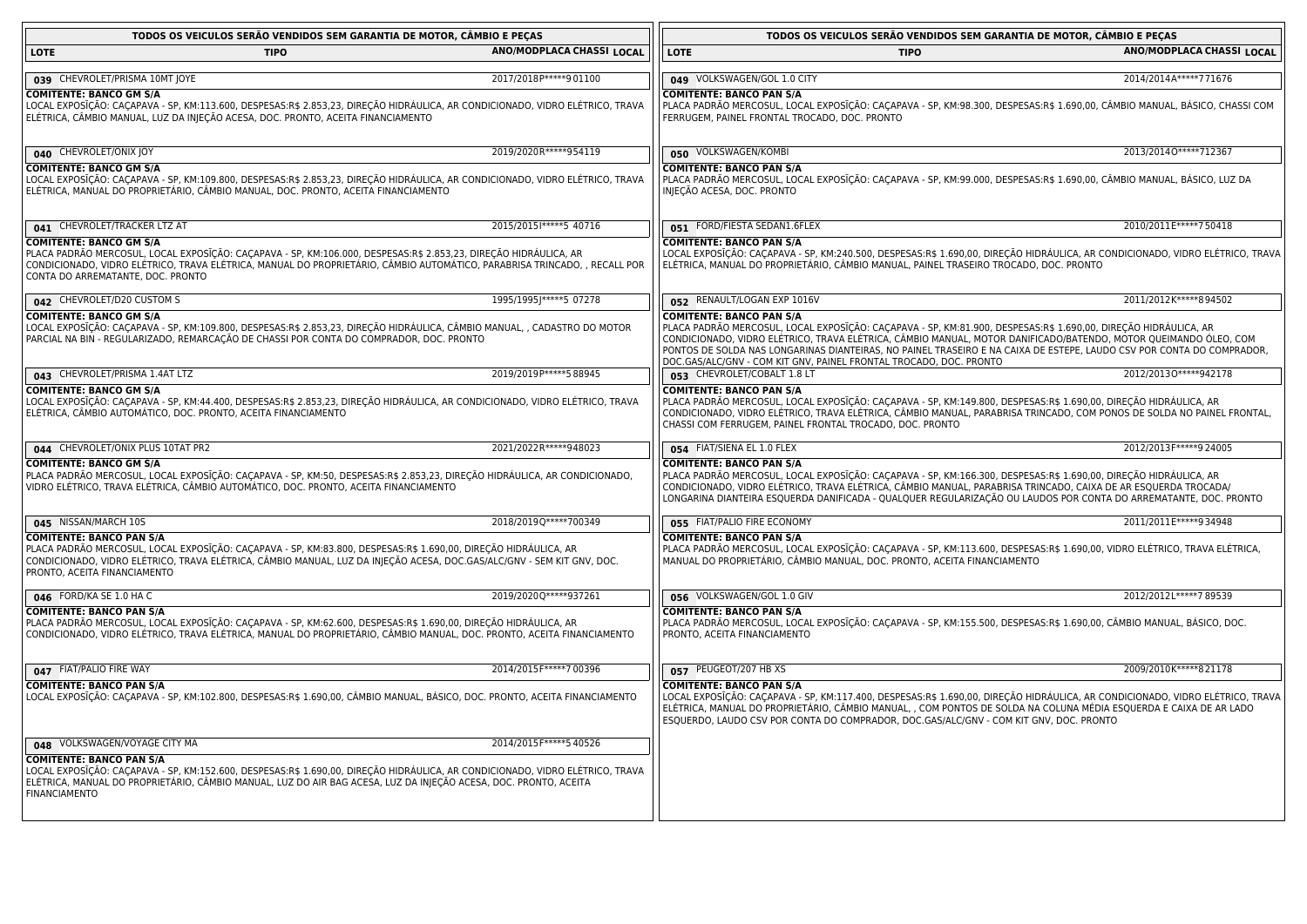|                                                                                                                                                                                                                                                                                                                      | TODOS OS VEICULOS SERÃO VENDIDOS SEM GARANTIA DE MOTOR, CÂMBIO E PEÇAS |                                                                                                                                                                                                                                                                                                                                                                                                                                                                       | TODOS OS VEICULOS SERÃO VENDIDOS SEM GARANTIA DE MOTOR, CÂMBIO E PEÇAS |  |  |
|----------------------------------------------------------------------------------------------------------------------------------------------------------------------------------------------------------------------------------------------------------------------------------------------------------------------|------------------------------------------------------------------------|-----------------------------------------------------------------------------------------------------------------------------------------------------------------------------------------------------------------------------------------------------------------------------------------------------------------------------------------------------------------------------------------------------------------------------------------------------------------------|------------------------------------------------------------------------|--|--|
| <b>LOTE</b><br><b>TIPO</b>                                                                                                                                                                                                                                                                                           | ANO/MODPLACA CHASSI LOCAL                                              | <b>LOTE</b><br><b>TIPO</b>                                                                                                                                                                                                                                                                                                                                                                                                                                            | ANO/MODPLACA CHASSI LOCAL                                              |  |  |
| 039 CHEVROLET/PRISMA 10MT JOYE                                                                                                                                                                                                                                                                                       | 2017/2018 P***** 901100                                                | 049 VOLKSWAGEN/GOL 1.0 CITY                                                                                                                                                                                                                                                                                                                                                                                                                                           | 2014/2014A*****771676                                                  |  |  |
| <b>COMITENTE: BANCO GM S/A</b><br>LOCAL EXPOSĪÇÃO: CAÇAPAVA - SP, KM:113.600, DESPESAS:R\$ 2.853,23, DIREÇÃO HIDRÁULICA, AR CONDICIONADO, VIDRO ELÉTRICO, TRAVA<br>ELÉTRICA, CÂMBIO MANUAL, LUZ DA INJEÇÃO ACESA, DOC. PRONTO, ACEITA FINANCIAMENTO                                                                  |                                                                        | <b>COMITENTE: BANCO PAN S/A</b><br>PLACA PADRÃO MERCOSUL, LOCAL EXPOSĪÇÃO: CAÇAPAVA - SP, KM:98.300, DESPESAS:R\$ 1.690,00, CÂMBIO MANUAL, BÁSICO, CHASSI COM<br>FERRUGEM, PAINEL FRONTAL TROCADO, DOC. PRONTO                                                                                                                                                                                                                                                        |                                                                        |  |  |
| 040 CHEVROLET/ONIX JOY                                                                                                                                                                                                                                                                                               | 2019/2020R ***** 954119                                                | 050 VOLKSWAGEN/KOMBI                                                                                                                                                                                                                                                                                                                                                                                                                                                  | 2013/20140 ***** 712367                                                |  |  |
| <b>COMITENTE: BANCO GM S/A</b><br>LOCAL EXPOSĪÇÃO: CAÇAPAVA - SP, KM:109.800, DESPESAS:R\$ 2.853,23, DIREÇÃO HIDRÁULICA, AR CONDICIONADO, VIDRO ELÉTRICO, TRAVA<br>ELÉTRICA, MANUAL DO PROPRIETÁRIO, CÂMBIO MANUAL, DOC. PRONTO, ACEITA FINANCIAMENTO                                                                |                                                                        | <b>COMITENTE: BANCO PAN S/A</b><br>PLACA PADRÃO MERCOSUL, LOCAL EXPOSĪÇÃO: CAÇAPAVA - SP, KM:99.000, DESPESAS:R\$ 1.690,00, CÂMBIO MANUAL, BÁSICO, LUZ DA<br>INJEÇÃO ACESA, DOC. PRONTO                                                                                                                                                                                                                                                                               |                                                                        |  |  |
| 041 CHEVROLET/TRACKER LTZ AT                                                                                                                                                                                                                                                                                         | 2015/2015  ***** 5 40716                                               | 051 FORD/FIESTA SEDAN1.6FLEX                                                                                                                                                                                                                                                                                                                                                                                                                                          | 2010/2011E ***** 750418                                                |  |  |
| <b>COMITENTE: BANCO GM S/A</b><br>PLACA PADRÃO MERCOSUL, LOCAL EXPOSĪÇÃO: CAÇAPAVA - SP, KM:106.000, DESPESAS:R\$ 2.853,23, DIREÇÃO HIDRÁULICA, AR<br>CONDICIONADO, VIDRO ELÉTRICO, TRAVA ELÉTRICA, MANUAL DO PROPRIETÁRIO, CÂMBIO AUTOMÁTICO, PARABRISA TRINCADO, , RECALL POR<br>CONTA DO ARREMATANTE, DOC. PRONTO |                                                                        | <b>COMITENTE: BANCO PAN S/A</b><br>LOCAL EXPOSĪÇÃO: CAÇAPAVA - SP, KM:240.500, DESPESAS:R\$ 1.690,00, DIREÇÃO HIDRÁULICA, AR CONDICIONADO, VIDRO ELÉTRICO, TRAVA<br>ELÉTRICA, MANUAL DO PROPRIETÁRIO, CÂMBIO MANUAL, PAINEL TRASEIRO TROCADO, DOC. PRONTO                                                                                                                                                                                                             |                                                                        |  |  |
| 042 CHEVROLET/D20 CUSTOM S                                                                                                                                                                                                                                                                                           | 1995/1995J*****5 07278                                                 | 052 RENAULT/LOGAN EXP 1016V                                                                                                                                                                                                                                                                                                                                                                                                                                           | 2011/2012 K*****894502                                                 |  |  |
| COMITENTE: BANCO GM S/A<br>LOCAL EXPOSĪÇÃO: CAÇAPAVA - SP, KM:109.800, DESPESAS:R\$ 2.853,23, DIREÇÃO HIDRÁULICA, CÂMBIO MANUAL, , CADASTRO DO MOTOR<br>PARCIAL NA BIN - REGULARIZADO, REMARCAÇÃO DE CHASSI POR CONTA DO COMPRADOR, DOC. PRONTO                                                                      |                                                                        | <b>COMITENTE: BANCO PAN S/A</b><br>PLACA PADRÃO MERCOSUL, LOCAL EXPOSIÇÃO: CAÇAPAVA - SP, KM:81.900, DESPESAS:R\$ 1.690,00, DIREÇÃO HIDRÁULICA, AR<br>CONDICIONADO, VIDRO ELÉTRICO, TRAVA ELÉTRICA, CÂMBIO MANUAL, MOTOR DANIFICADO/BATENDO, MOTOR QUEIMANDO ÓLEO, COM<br>PONTOS DE SOLDA NAS LONGARINAS DIANTEIRAS, NO PAINEL TRASEIRO E NA CAIXA DE ESTEPE, LAUDO CSV POR CONTA DO COMPRADOR,<br>DOC.GAS/ALC/GNV - COM KIT GNV, PAINEL FRONTAL TROCADO, DOC. PRONTO |                                                                        |  |  |
| 043 CHEVROLET/PRISMA 1.4AT LTZ                                                                                                                                                                                                                                                                                       | 2019/2019 P***** 5 88945                                               | 053 CHEVROLET/COBALT 1.8 LT                                                                                                                                                                                                                                                                                                                                                                                                                                           | 2012/20130 ***** 942178                                                |  |  |
| <b>COMITENTE: BANCO GM S/A</b><br>LOCAL EXPOSĨÇÃO: CAÇAPAVA - SP, KM:44.400, DESPESAS:R\$ 2.853,23, DIREÇÃO HIDRÁULICA, AR CONDICIONADO, VIDRO ELÉTRICO, TRAVA<br>ELÉTRICA, CÂMBIO AUTOMÁTICO, DOC. PRONTO, ACEITA FINANCIAMENTO                                                                                     |                                                                        | <b>COMITENTE: BANCO PAN S/A</b><br>PLACA PADRÃO MERCOSUL, LOCAL EXPOSĪÇÃO: CAÇAPAVA - SP, KM:149.800, DESPESAS:R\$ 1.690,00, DIREÇÃO HIDRÁULICA, AR<br>CONDICIONADO, VIDRO ELÉTRICO, TRAVA ELÉTRICA, CÂMBIO MANUAL, PARABRISA TRINCADO, COM PONOS DE SOLDA NO PAINEL FRONTAL,<br>CHASSI COM FERRUGEM, PAINEL FRONTAL TROCADO, DOC. PRONTO                                                                                                                             |                                                                        |  |  |
| 044 CHEVROLET/ONIX PLUS 10TAT PR2                                                                                                                                                                                                                                                                                    | 2021/2022R ***** 948023                                                | 054 FIAT/SIENA EL 1.0 FLEX                                                                                                                                                                                                                                                                                                                                                                                                                                            | 2012/2013 F***** 9 24005                                               |  |  |
| <b>COMITENTE: BANCO GM S/A</b><br>PLACA PADRÃO MERCOSUL, LOCAL EXPOSĪÇÃO: CAÇAPAVA - SP, KM:50, DESPESAS:R\$ 2.853,23, DIREÇÃO HIDRÁULICA, AR CONDICIONADO,<br>VIDRO ELÉTRICO, TRAVA ELÉTRICA, CÂMBIO AUTOMÁTICO, DOC. PRONTO, ACEITA FINANCIAMENTO                                                                  |                                                                        | <b>COMITENTE: BANCO PAN S/A</b><br>PLACA PADRÃO MERCOSUL, LOCAL EXPOSĨÇÃO: CAÇAPAVA - SP, KM:166.300, DESPESAS:R\$ 1.690,00, DIREÇÃO HIDRÁULICA, AR<br>CONDICIONADO, VIDRO ELÉTRICO, TRAVA ELÉTRICA, CÂMBIO MANUAL, PARABRISA TRINCADO, CAIXA DE AR ESQUERDA TROCADA/<br>LONGARINA DIANTEIRA ESQUERDA DANIFICADA - QUALQUER REGULARIZAÇÃO OU LAUDOS POR CONTA DO ARREMATANTE, DOC. PRONTO                                                                             |                                                                        |  |  |
| 045 NISSAN/MARCH 10S                                                                                                                                                                                                                                                                                                 | 2018/2019Q*****700349                                                  | 055 FIAT/PALIO FIRE ECONOMY                                                                                                                                                                                                                                                                                                                                                                                                                                           | 2011/2011 E***** 9 34948                                               |  |  |
| <b>COMITENTE: BANCO PAN S/A</b><br>PLACA PADRÃO MERCOSUL, LOCAL EXPOSĨÇÃO: CAÇAPAVA - SP, KM:83.800, DESPESAS:R\$ 1.690,00, DIREÇÃO HIDRÁULICA, AR<br>CONDICIONADO, VIDRO ELÉTRICO, TRAVA ELÉTRICA, CÂMBIO MANUAL, LUZ DA INJEÇÃO ACESA, DOC.GAS/ALC/GNV - SEM KIT GNV, DOC.<br>PRONTO, ACEITA FINANCIAMENTO         |                                                                        | <b>COMITENTE: BANCO PAN S/A</b><br>PLACA PADRÃO MERCOSUL, LOCAL EXPOSIÇÃO: CAÇAPAVA - SP, KM:113.600, DESPESAS:R\$ 1.690,00, VIDRO ELÉTRICO, TRAVA ELÉTRICA,<br>MANUAL DO PROPRIETÁRIO, CÂMBIO MANUAL, DOC. PRONTO, ACEITA FINANCIAMENTO                                                                                                                                                                                                                              |                                                                        |  |  |
| 046 FORD/KA SE 1.0 HA C                                                                                                                                                                                                                                                                                              | 2019/2020Q*****937261                                                  | 056 VOLKSWAGEN/GOL 1.0 GIV                                                                                                                                                                                                                                                                                                                                                                                                                                            | 2012/2012L*****789539                                                  |  |  |
| <b>COMITENTE: BANCO PAN S/A</b><br>PLACA PADRÃO MERCOSUL, LOCAL EXPOSĨÇÃO: CAÇAPAVA - SP, KM:62.600, DESPESAS:R\$ 1.690,00, DIREÇÃO HIDRÁULICA, AR<br>CONDICIONADO, VIDRO ELÉTRICO, TRAVA ELÉTRICA, MANUAL DO PROPRIETÁRIO, CÂMBIO MANUAL, DOC. PRONTO, ACEITA FINANCIAMENTO                                         |                                                                        | <b>COMITENTE: BANCO PAN S/A</b><br>PLACA PADRÃO MERCOSUL, LOCAL EXPOSĪÇÃO: CAÇAPAVA - SP, KM:155.500, DESPESAS:R\$ 1.690,00, CÂMBIO MANUAL, BÁSICO, DOC.<br>PRONTO, ACEITA FINANCIAMENTO                                                                                                                                                                                                                                                                              |                                                                        |  |  |
| 047 FIAT/PALIO FIRE WAY                                                                                                                                                                                                                                                                                              | 2014/2015 F*****7 00396                                                | 057 PEUGEOT/207 HB XS                                                                                                                                                                                                                                                                                                                                                                                                                                                 | 2009/2010K*****821178                                                  |  |  |
| <b>COMITENTE: BANCO PAN S/A</b><br>LOCAL EXPOSĪÇÃO: CAÇAPAVA - SP, KM:102.800, DESPESAS:R\$ 1.690,00, CÂMBIO MANUAL, BÁSICO, DOC. PRONTO, ACEITA FINANCIAMENTO                                                                                                                                                       |                                                                        | <b>COMITENTE: BANCO PAN S/A</b><br>LOCAL EXPOSIÇÃO: CAÇAPAVA - SP, KM:117.400, DESPESAS:R\$ 1.690,00, DIREÇÃO HIDRÁULICA, AR CONDICIONADO, VIDRO ELÉTRICO, TRAVA<br>ELÉTRICA, MANUAL DO PROPRIETÁRIO, CÂMBIO MANUAL, , COM PONTOS DE SOLDA NA COLUNA MÉDIA ESQUERDA E CAIXA DE AR LADO<br>ESQUERDO, LAUDO CSV POR CONTA DO COMPRADOR, DOC.GAS/ALC/GNV - COM KIT GNV, DOC. PRONTO                                                                                      |                                                                        |  |  |
| 048 VOLKSWAGEN/VOYAGE CITY MA                                                                                                                                                                                                                                                                                        | 2014/2015 F***** 5 40526                                               |                                                                                                                                                                                                                                                                                                                                                                                                                                                                       |                                                                        |  |  |
| <b>COMITENTE: BANCO PAN S/A</b><br>LOCAL EXPOSĪÇÃO: CAÇAPAVA - SP, KM:152.600, DESPESAS:R\$ 1.690,00, DIREÇÃO HIDRÁULICA, AR CONDICIONADO, VIDRO ELÉTRICO, TRAVA<br>ELÉTRICA, MANUAL DO PROPRIETÁRIO, CÂMBIO MANUAL, LUZ DO AIR BAG ACESA, LUZ DA INJEÇÃO ACESA, DOC. PRONTO, ACEITA<br><b>FINANCIAMENTO</b>         |                                                                        |                                                                                                                                                                                                                                                                                                                                                                                                                                                                       |                                                                        |  |  |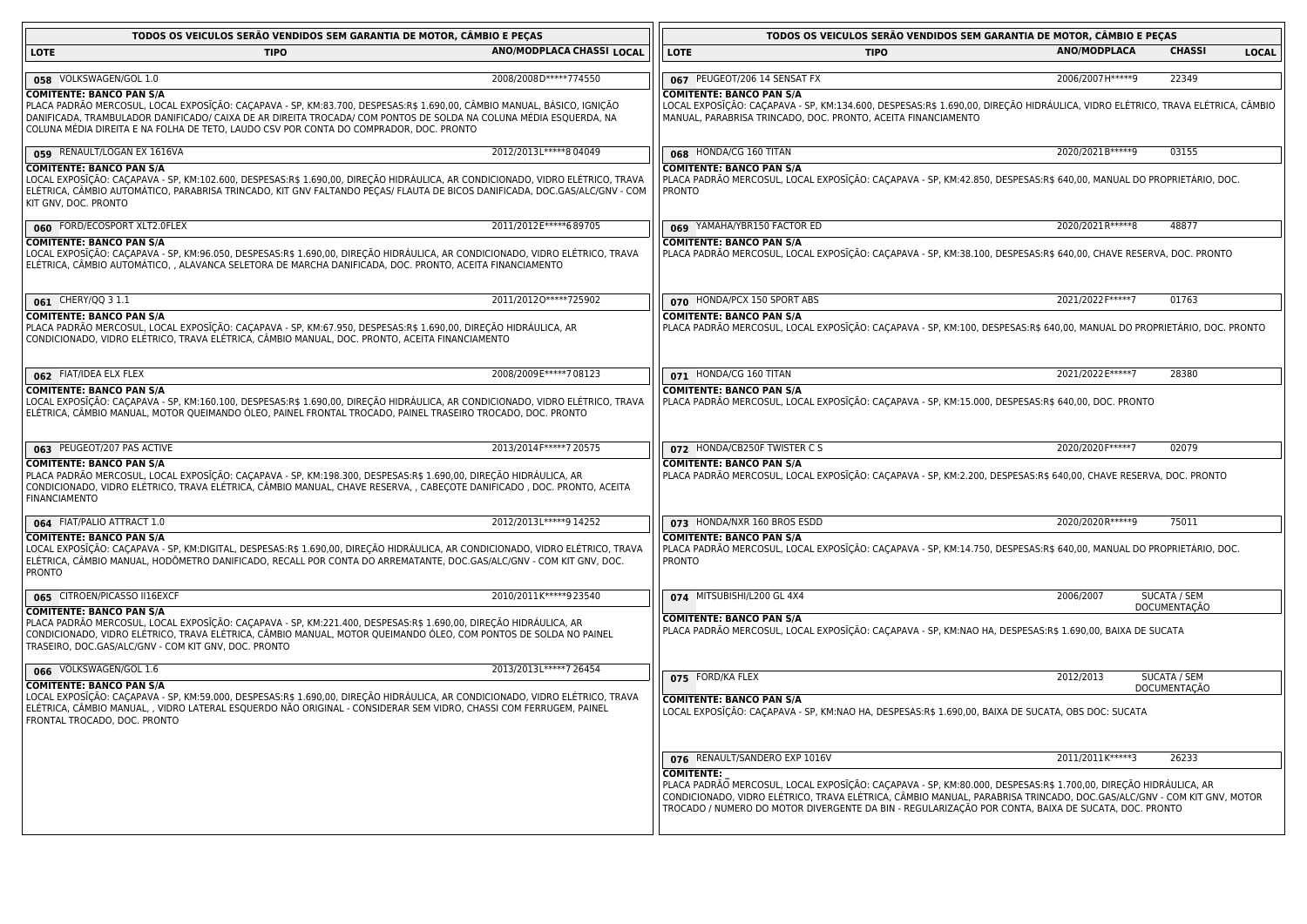| TODOS OS VEICULOS SERÃO VENDIDOS SEM GARANTIA DE MOTOR, CÂMBIO E PEÇAS                                                                                                                                                                                                                                                                                                    |                           |                                                                                                                                                                                                                                                                                                                                                                      | TODOS OS VEICULOS SERÃO VENDIDOS SEM GARANTIA DE MOTOR, CÂMBIO E PEÇAS |                     |              |
|---------------------------------------------------------------------------------------------------------------------------------------------------------------------------------------------------------------------------------------------------------------------------------------------------------------------------------------------------------------------------|---------------------------|----------------------------------------------------------------------------------------------------------------------------------------------------------------------------------------------------------------------------------------------------------------------------------------------------------------------------------------------------------------------|------------------------------------------------------------------------|---------------------|--------------|
| LOTE<br><b>TIPO</b>                                                                                                                                                                                                                                                                                                                                                       | ANO/MODPLACA CHASSI LOCAL | <b>LOTE</b><br><b>TIPO</b>                                                                                                                                                                                                                                                                                                                                           | <b>ANO/MODPLACA</b>                                                    | <b>CHASSI</b>       | <b>LOCAL</b> |
|                                                                                                                                                                                                                                                                                                                                                                           |                           |                                                                                                                                                                                                                                                                                                                                                                      |                                                                        |                     |              |
| 058 VOLKSWAGEN/GOL 1.0                                                                                                                                                                                                                                                                                                                                                    | 2008/2008D*****774550     | 067 PEUGEOT/206 14 SENSAT FX                                                                                                                                                                                                                                                                                                                                         | 2006/2007 H*****9                                                      | 22349               |              |
| <b>COMITENTE: BANCO PAN S/A</b><br>PLACA PADRÃO MERCOSUL, LOCAL EXPOSĨÇÃO: CAÇAPAVA - SP, KM:83.700, DESPESAS:R\$ 1.690,00, CÂMBIO MANUAL, BÁSICO, IGNIÇÃO<br>DANIFICADA, TRAMBULADOR DANIFICADO/ CAIXA DE AR DIREITA TROCADA/ COM PONTOS DE SOLDA NA COLUNA MÉDIA ESQUERDA, NA<br>COLUNA MÉDIA DIREITA E NA FOLHA DE TETO, LAUDO CSV POR CONTA DO COMPRADOR, DOC. PRONTO |                           | COMITENTE: BANCO PAN S/A<br>LOCAL EXPOSIÇÃO: CAÇAPAVA - SP, KM:134.600, DESPESAS:R\$ 1.690,00, DIREÇÃO HIDRAULICA, VIDRO ELÉTRICO, TRAVA ELÉTRICA, CÃMBIO<br>MANUAL, PARABRISA TRINCADO, DOC. PRONTO, ACEITA FINANCIAMENTO                                                                                                                                           |                                                                        |                     |              |
| 059 RENAULT/LOGAN EX 1616VA                                                                                                                                                                                                                                                                                                                                               | 2012/2013L*****8 04049    | 068 HONDA/CG 160 TITAN                                                                                                                                                                                                                                                                                                                                               | 2020/2021B*****9                                                       | 03155               |              |
| <b>COMITENTE: BANCO PAN S/A</b><br>LOCAL EXPOSĪÇÃO: CAÇAPAVA - SP, KM:102.600, DESPESAS:R\$ 1.690,00, DIREÇÃO HIDRÁULICA, AR CONDICIONADO, VIDRO ELÉTRICO, TRAVA<br>ELÉTRICA, CÂMBIO AUTOMÁTICO, PARABRISA TRINCADO, KIT GNV FALTANDO PEÇAS/ FLAUTA DE BICOS DANIFICADA, DOC.GAS/ALC/GNV - COM<br>KIT GNV, DOC. PRONTO                                                    |                           | <b>COMITENTE: BANCO PAN S/A</b><br>PLACA PADRÃO MERCOSUL, LOCAL EXPOSIÇÃO: CAÇAPAVA - SP, KM:42.850, DESPESAS:R\$ 640,00, MANUAL DO PROPRIETÁRIO, DOC.<br><b>PRONTO</b>                                                                                                                                                                                              |                                                                        |                     |              |
| 060 FORD/ECOSPORT XLT2.0FLEX                                                                                                                                                                                                                                                                                                                                              | 2011/2012 E*****689705    | 069 YAMAHA/YBR150 FACTOR ED                                                                                                                                                                                                                                                                                                                                          | 2020/2021R ***** 8                                                     | 48877               |              |
| <b>COMITENTE: BANCO PAN S/A</b><br>LOCAL EXPOSIÇÃO: CAÇAPAVA - SP, KM:96.050, DESPESAS:R\$ 1.690,00, DIREÇÃO HIDRAULICA, AR CONDICIONADO, VIDRO ELÉTRICO, TRAVA<br>ELETRICA, CAMBIO AUTOMATICO, , ALAVANCA SELETORA DE MARCHA DANIFICADA, DOC. PRONTO, ACEITA FINANCIAMENTO                                                                                               |                           | <b>COMITENTE: BANCO PAN S/A</b><br>PLACA PADRÃO MERCOSUL, LOCAL EXPOSIÇÃO: CAÇAPAVA - SP, KM:38.100, DESPESAS:R\$ 640,00, CHAVE RESERVA, DOC. PRONTO                                                                                                                                                                                                                 |                                                                        |                     |              |
| 061 CHERY/QQ 3 1.1                                                                                                                                                                                                                                                                                                                                                        | 2011/20120 ***** 725902   | 070 HONDA/PCX 150 SPORT ABS                                                                                                                                                                                                                                                                                                                                          | 2021/2022 F*****7                                                      | 01763               |              |
| <b>COMITENTE: BANCO PAN S/A</b><br>PLACA PADRÃO MERCOSUL, LOCAL EXPOSĨÇÃO: CAÇAPAVA - SP, KM:67.950, DESPESAS:R\$ 1.690,00, DIREÇÃO HIDRÁULICA, AR<br>CONDICIONADO, VIDRO ELÉTRICO, TRAVA ELÉTRICA, CÂMBIO MANUAL, DOC. PRONTO, ACEITA FINANCIAMENTO                                                                                                                      |                           | <b>COMITENTE: BANCO PAN S/A</b><br>PLACA PADRÃO MERCOSUL, LOCAL EXPOSIÇÃO: CAÇAPAVA - SP, KM:100, DESPESAS:R\$ 640,00, MANUAL DO PROPRIETÁRIO, DOC. PRONTO                                                                                                                                                                                                           |                                                                        |                     |              |
| 062 FIAT/IDEA ELX FLEX                                                                                                                                                                                                                                                                                                                                                    | 2008/2009E*****708123     | 071 HONDA/CG 160 TITAN                                                                                                                                                                                                                                                                                                                                               | 2021/2022 E*****7                                                      | 28380               |              |
| <b>COMITENTE: BANCO PAN S/A</b><br>LOCAL EXPOSIÇÃO: CAÇAPAVA - SP, KM:160.100, DESPESAS:R\$ 1.690,00, DIREÇÃO HIDRÁULICA, AR CONDICIONADO, VIDRO ELÉTRICO, TRAVA<br>ELÉTRICA, CÂMBIO MANUAL, MOTOR QUEIMANDO OLEO, PAINEL FRONTAL TROCADO, PAINEL TRASEIRO TROCADO, DOC. PRONTO                                                                                           |                           | <b>COMITENTE: BANCO PAN S/A</b><br>PLACA PADRÃO MERCOSUL, LOCAL EXPOSIÇÃO: CAÇAPAVA - SP, KM:15.000, DESPESAS:R\$ 640,00, DOC. PRONTO                                                                                                                                                                                                                                |                                                                        |                     |              |
| 063 PEUGEOT/207 PAS ACTIVE                                                                                                                                                                                                                                                                                                                                                | 2013/2014 F*****7 20575   | 072 HONDA/CB250F TWISTER C S                                                                                                                                                                                                                                                                                                                                         | 2020/2020 F***** 7                                                     | 02079               |              |
| <b>COMITENTE: BANCO PAN S/A</b><br>PLACA PADRÃO MERCOSUL, LOCAL EXPOSĪÇÃO: CAÇAPAVA - SP, KM:198.300, DESPESAS:R\$ 1.690,00, DIREÇÃO HIDRÁULICA, AR<br>CONDICIONADO, VIDRO ELÉTRICO, TRAVA ELÉTRICA, CÂMBIO MANUAL, CHAVE RESERVA, , CABEÇOTE DANIFICADO , DOC. PRONTO, ACEITA<br><b>FINANCIAMENTO</b>                                                                    |                           | <b>COMITENTE: BANCO PAN S/A</b><br>PLACA PADRÃO MERCOSUL, LOCAL EXPOSĪÇÃO: CAÇAPAVA - SP, KM:2.200, DESPESAS:R\$ 640,00, CHAVE RESERVA, DOC. PRONTO                                                                                                                                                                                                                  |                                                                        |                     |              |
| 064 FIAT/PALIO ATTRACT 1.0                                                                                                                                                                                                                                                                                                                                                | 2012/2013L*****9 14252    | 073 HONDA/NXR 160 BROS ESDD                                                                                                                                                                                                                                                                                                                                          | 2020/2020R*****9                                                       | 75011               |              |
| <b>COMITENTE: BANCO PAN S/A</b><br>LOCAL EXPOSĪÇÃO: CAÇAPAVA - SP, KM:DIGITAL, DESPESAS:R\$ 1.690,00, DIREÇÃO HIDRÁULICA, AR CONDICIONADO, VIDRO ELÉTRICO, TRAVA<br>ELÉTRICA, CÂMBIO MANUAL, HODÔMETRO DANIFICADO, RECALL POR CONTA DO ARREMATANTE, DOC.GAS/ALC/GNV - COM KIT GNV, DOC.<br><b>PRONTO</b>                                                                  |                           | <b>COMITENTE: BANCO PAN S/A</b><br>PLACA PADRÃO MERCOSUL, LOCAL EXPOSIÇÃO: CAÇAPAVA - SP, KM:14.750, DESPESAS:R\$ 640,00, MANUAL DO PROPRIETÁRIO, DOC.<br><b>PRONTO</b>                                                                                                                                                                                              |                                                                        |                     |              |
| 065 CITROEN/PICASSO II16EXCF                                                                                                                                                                                                                                                                                                                                              | 2010/2011K*****923540     | 074 MITSUBISHI/L200 GL 4X4                                                                                                                                                                                                                                                                                                                                           | 2006/2007                                                              | <b>SUCATA / SEM</b> |              |
| <b>COMITENTE: BANCO PAN S/A</b><br>PLACA PADRÃO MERCOSUL, LOCAL EXPOSÎÇÃO: CAÇAPAVA - SP, KM:221.400, DESPESAS:R\$ 1.690,00, DIREÇÃO HIDRAULICA, AR<br>CONDICIONADO, VIDRO ELÉTRICO, TRAVA ELÉTRICA, CÂMBIO MANUAL, MOTOR QUEIMANDO ÓLEO, COM PONTOS DE SOLDA NO PAINEL<br>TRASEIRO, DOC.GAS/ALC/GNV - COM KIT GNV, DOC. PRONTO                                           |                           | <b>COMITENTE: BANCO PAN S/A</b><br>PLACA PADRÃO MERCOSUL, LOCAL EXPOSĪÇÃO: CAÇAPAVA - SP, KM:NAO HA, DESPESAS:R\$ 1.690,00, BAIXA DE SUCATA                                                                                                                                                                                                                          |                                                                        | DOCUMENTAÇÃO        |              |
| 066 VOLKSWAGEN/GOL 1.6                                                                                                                                                                                                                                                                                                                                                    | 2013/2013L*****7 26454    |                                                                                                                                                                                                                                                                                                                                                                      | 2012/2013                                                              | SUCATA / SEM        |              |
| <b>COMITENTE: BANCO PAN S/A</b><br>LOCAL EXPOSĪÇÃO: CAÇAPAVA - SP, KM:59.000, DESPESAS:R\$ 1.690,00, DIREÇÃO HIDRÁULICA, AR CONDICIONADO, VIDRO ELÉTRICO, TRAVA<br>ELÉTRICA, CÂMBIO MANUAL, , VIDRO LATERAL ESQUERDO NÃO ORIGINAL - CONSIDERAR SEM VIDRO, CHASSI COM FERRUGEM, PAINEL<br>FRONTAL TROCADO, DOC. PRONTO                                                     |                           | 075 FORD/KA FLEX<br><b>COMITENTE: BANCO PAN S/A</b><br>LOCAL EXPOSIÇÃO: CAÇAPAVA - SP, KM:NAO HA, DESPESAS:R\$ 1.690,00, BAIXA DE SUCATA, OBS DOC: SUCATA                                                                                                                                                                                                            |                                                                        | <b>DOCUMENTAÇÃO</b> |              |
|                                                                                                                                                                                                                                                                                                                                                                           |                           | 076 RENAULT/SANDERO EXP 1016V                                                                                                                                                                                                                                                                                                                                        | 2011/2011 K*****3                                                      | 26233               |              |
|                                                                                                                                                                                                                                                                                                                                                                           |                           | <b>COMITENTE:</b><br>PLACA PADRÃO MERCOSUL, LOCAL EXPOSIÇÃO: CAÇAPAVA - SP, KM:80.000, DESPESAS:R\$ 1.700,00, DIREÇÃO HIDRÁULICA, AR<br>CONDICIONADO, VIDRO ELÉTRICO, TRAVA ELÉTRICA, CÂMBIO MANUAL, PARABRISA TRINCADO, DOC.GAS/ALC/GNV - COM KIT GNV, MOTOR<br>TROCADO / NUMERO DO MOTOR DIVERGENTE DA BIN - REGULARIZAÇÃO POR CONTA, BAIXA DE SUCATA, DOC. PRONTO |                                                                        |                     |              |

<u> 1989 - Johann Barn, mars ar breithinn ar chomhair an t-Alban ann an t-Alban ann an t-Alban ann an t-Alban an</u>

<u> 1989 - Johann Stoff, deutscher Stoffen und der Stoffen und der Stoffen und der Stoffen und der Stoffen und der</u>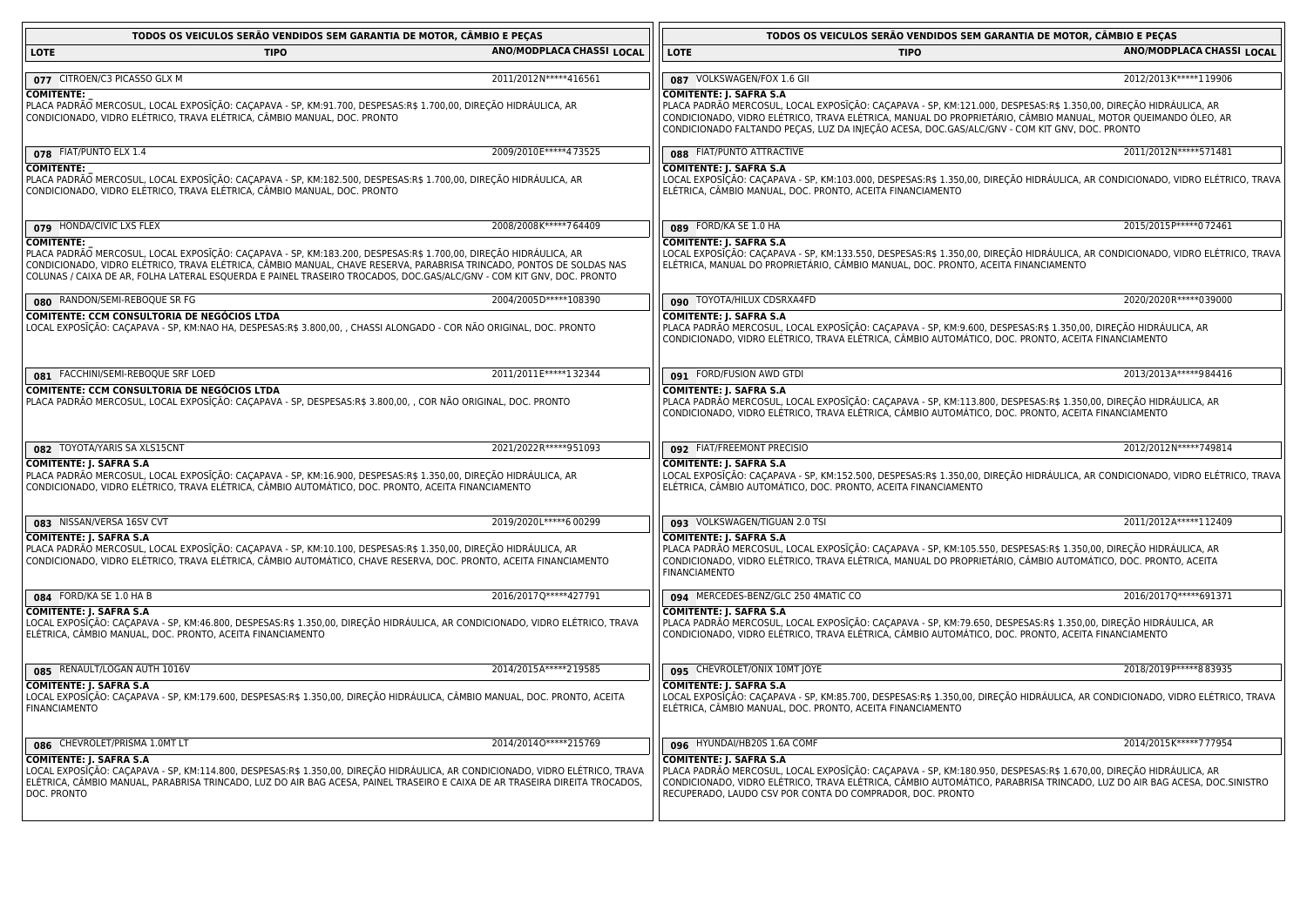| TODOS OS VEICULOS SERÃO VENDIDOS SEM GARANTIA DE MOTOR, CÂMBIO E PEÇAS                                                                                                                                                                                                                                                                                                                |                              | TODOS OS VEICULOS SERÃO VENDIDOS SEM GARANTIA DE MOTOR, CÂMBIO E PEÇAS                                                                                                                                                                                                                                                                                               |                           |
|---------------------------------------------------------------------------------------------------------------------------------------------------------------------------------------------------------------------------------------------------------------------------------------------------------------------------------------------------------------------------------------|------------------------------|----------------------------------------------------------------------------------------------------------------------------------------------------------------------------------------------------------------------------------------------------------------------------------------------------------------------------------------------------------------------|---------------------------|
| LOTE<br><b>TIPO</b>                                                                                                                                                                                                                                                                                                                                                                   | ANO/MODPLACA CHASSI LOCAL    | <b>LOTE</b><br><b>TIPO</b>                                                                                                                                                                                                                                                                                                                                           | ANO/MODPLACA CHASSI LOCAL |
| 077 CITROEN/C3 PICASSO GLX M                                                                                                                                                                                                                                                                                                                                                          | 2011/2012N*****416561        | 087 VOLKSWAGEN/FOX 1.6 GII                                                                                                                                                                                                                                                                                                                                           | 2012/2013K*****119906     |
| <b>COMITENTE:</b><br>PLACA PADRÃO MERCOSUL, LOCAL EXPOSĨÇÃO: CAÇAPAVA - SP, KM:91.700, DESPESAS:R\$ 1.700,00, DIREÇÃO HIDRÁULICA, AR<br>CONDICIONADO, VIDRO ELÉTRICO, TRAVA ELÉTRICA, CÂMBIO MANUAL, DOC. PRONTO                                                                                                                                                                      |                              | <b>COMITENTE: J. SAFRA S.A</b><br>PLACA PADRÃO MERCOSUL, LOCAL EXPOSIÇÃO: CAÇAPAVA - SP, KM:121.000, DESPESAS:R\$ 1.350,00, DIREÇÃO HIDRÁULIÇA, AR<br>CONDICIONADO, VIDRO ELÉTRICO, TRAVA ELÉTRICA, MANUAL DO PROPRIETÁRIO, CÂMBIO MANUAL, MOTOR QUEIMANDO ÓLEO, AR<br>CONDICIONADO FALTANDO PEÇAS, LUZ DA INJEÇÃO ACESA, DOC.GAS/ALC/GNV - COM KIT GNV, DOC. PRONTO |                           |
| 078 FIAT/PUNTO ELX 1.4                                                                                                                                                                                                                                                                                                                                                                | 2009/2010E*****473525        | 088 FIAT/PUNTO ATTRACTIVE                                                                                                                                                                                                                                                                                                                                            | 2011/2012N*****571481     |
| <b>COMITENTE:</b><br>PLACA PADRÃO MERCOSUL, LOCAL EXPOSĪÇÃO: CAÇAPAVA - SP, KM:182.500, DESPESAS:R\$ 1.700,00, DIREÇÃO HIDRÁULICA, AR<br>CONDICIONADO, VIDRO ELÉTRICO, TRAVA ELÉTRICA, CÂMBIO MANUAL, DOC. PRONTO                                                                                                                                                                     |                              | COMITENTE: J. SAFRA S.A<br>LOCAL EXPOSIÇÃO: CAÇAPAVA - SP, KM:103.000, DESPESAS:R\$ 1.350,00, DIREÇÃO HIDRÁULICA, AR CONDICIONADO, VIDRO ELÉTRICO, TRAVA<br>ELÉTRICA, CÂMBIO MANUAL, DOC. PRONTO, ACEITA FINANCIAMENTO                                                                                                                                               |                           |
| 079 HONDA/CIVIC LXS FLEX                                                                                                                                                                                                                                                                                                                                                              | 2008/2008K*****764409        | 089 FORD/KA SE 1.0 HA                                                                                                                                                                                                                                                                                                                                                | 2015/2015 P***** 0 72461  |
| <b>COMITENTE:</b><br>PLACA PADRÃO MERCOSUL, LOCAL EXPOSĪÇÃO: CAÇAPAVA - SP, KM:183.200, DESPESAS:R\$ 1.700,00, DIREÇÃO HIDRAULICA, AR<br>CONDICIONADO, VIDRO ELÉTRICO, TRAVA ELÉTRICA, CÂMBIO MANUAL, CHAVE RESERVA, PARABRISA TRINCADO, PONTOS DE SOLDAS NAS<br>COLUNAS / CAIXA DE AR, FOLHA LATERAL ESQUERDA E PAINEL TRASEIRO TROCADOS, DOC.GAS/ALC/GNV - COM KIT GNV, DOC. PRONTO |                              | <b>COMITENTE: J. SAFRA S.A</b><br>LOCAL EXPOSIÇÃO: CAÇAPAVA - SP, KM:133.550, DESPESAS:R\$ 1.350,00, DIREÇÃO HIDRÁULICA, AR CONDICIONADO, VIDRO ELÉTRICO, TRAVA<br>ELÉTRICA, MANUAL DO PROPRIETÁRIO, CÂMBIO MANUAL, DOC. PRONTO, ACEITA FINANCIAMENTO                                                                                                                |                           |
| 080 RANDON/SEMI-REBOQUE SR FG                                                                                                                                                                                                                                                                                                                                                         | 2004/2005D*****108390        | 090 TOYOTA/HILUX CDSRXA4FD                                                                                                                                                                                                                                                                                                                                           | 2020/2020R ***** 039000   |
| COMITENTE: CCM CONSULTORIA DE NEGÓCIOS LTDA<br>LOCAL EXPOSIÇÃO: CAÇAPAVA - SP, KM:NAO HA, DESPESAS:R\$ 3.800,00, , CHASSI ALONGADO - COR NÃO ORIGINAL, DOC. PRONTO                                                                                                                                                                                                                    |                              | <b>COMITENTE: J. SAFRA S.A</b><br>PLACA PADRÃO MERCOSUL, LOCAL EXPOSIÇÃO: CAÇAPAVA - SP, KM:9.600, DESPESAS:R\$ 1.350,00, DIREÇÃO HIDRÁULICA, AR<br>CONDICIONADO, VIDRO ELÉTRICO, TRAVA ELÉTRICA, CÂMBIO AUTOMÁTICO, DOC. PRONTO, ACEITA FINANCIAMENTO                                                                                                               |                           |
| 081 FACCHINI/SEMI-REBOQUE SRF LOED                                                                                                                                                                                                                                                                                                                                                    | 2011/2011 E***** 1 3 2 3 4 4 | 091 FORD/FUSION AWD GTDI                                                                                                                                                                                                                                                                                                                                             | 2013/2013A*****984416     |
| COMITENTE: CCM CONSULTORIA DE NEGÓCIOS LTDA<br>PLACA PADRÃO MERCOSUL, LOCAL EXPOSĨÇÃO: CAÇAPAVA - SP, DESPESAS:R\$ 3.800,00, , COR NÃO ORIGINAL, DOC. PRONTO                                                                                                                                                                                                                          |                              | <b>COMITENTE: J. SAFRA S.A</b><br>PLACA PADRÃO MERCOSUL, LOCAL EXPOSĪÇÃO: CAÇAPAVA - SP, KM:113.800, DESPESAS:R\$ 1.350,00, DIREÇÃO HIDRÁULICA, AR<br>CONDICIONADO, VIDRO ELÉTRICO, TRAVA ELÉTRICA, CÂMBIO AUTOMÁTICO, DOC. PRONTO, ACEITA FINANCIAMENTO                                                                                                             |                           |
| 082 TOYOTA/YARIS SA XLS15CNT                                                                                                                                                                                                                                                                                                                                                          | 2021/2022R ***** 951093      | 092 FIAT/FREEMONT PRECISIO                                                                                                                                                                                                                                                                                                                                           | 2012/2012N*****749814     |
| COMITENTE: J. SAFRA S.A<br>PLACA PADRÃO MERCOSUL, LOCAL EXPOSĪÇÃO: CAÇAPAVA - SP, KM:16.900, DESPESAS:R\$ 1.350,00, DIREÇÃO HIDRÁULICA, AR<br>CONDICIONADO, VIDRO ELÉTRICO, TRAVA ELÉTRICA, CÂMBIO AUTOMÁTICO, DOC. PRONTO, ACEITA FINANCIAMENTO                                                                                                                                      |                              | <b>COMITENTE: J. SAFRA S.A</b><br>LOCAL EXPOSIÇÃO: CAÇAPAVA - SP, KM:152.500, DESPESAS:R\$ 1.350,00, DIREÇÃO HIDRÁULICA, AR CONDICIONADO, VIDRO ELÉTRICO, TRAVA<br>ELÉTRICA, CÂMBIO AUTOMÁTICO, DOC. PRONTO, ACEITA FINANCIAMENTO                                                                                                                                    |                           |
| 083 NISSAN/VERSA 16SV CVT                                                                                                                                                                                                                                                                                                                                                             | 2019/2020L*****6 00299       | 093 VOLKSWAGEN/TIGUAN 2.0 TSI                                                                                                                                                                                                                                                                                                                                        | 2011/2012A*****112409     |
| COMITENTE: J. SAFRA S.A<br>PLACA PADRÃO MERCOSUL, LOCAL EXPOSĨÇÃO: CAÇAPAVA - SP, KM:10.100, DESPESAS:R\$ 1.350,00, DIREÇÃO HIDRÁULICA, AR<br>CONDICIONADO, VIDRO ELÉTRICO, TRAVA ELÉTRICA, CÂMBIO AUTOMÁTICO, CHAVE RESERVA, DOC. PRONTO, ACEITA FINANCIAMENTO                                                                                                                       |                              | COMITENTE: J. SAFRA S.A<br>PLACA PADRÃO MERCOSUL, LOCAL EXPOSĪÇÃO: CAÇAPAVA - SP, KM:105.550, DESPESAS:R\$ 1.350,00, DIREÇÃO HIDRÁULICA, AR<br>CONDICIONADO, VIDRO ELÉTRICO, TRAVA ELÉTRICA, MANUAL DO PROPRIETÁRIO, CÂMBIO AUTOMÁTICO, DOC. PRONTO, ACEITA<br><b>FINANCIAMENTO</b>                                                                                  |                           |
| 084 FORD/KA SE 1.0 HA B                                                                                                                                                                                                                                                                                                                                                               | 2016/2017Q*****427791        | 094 MERCEDES-BENZ/GLC 250 4MATIC CO                                                                                                                                                                                                                                                                                                                                  | 2016/2017Q*****691371     |
| <b>COMITENTE: J. SAFRA S.A</b><br>LOCAL EXPOSIÇÃO: CAÇAPAVA - SP, KM:46.800, DESPESAS:R\$ 1.350,00, DIREÇÃO HIDRAULICA, AR CONDICIONADO, VIDRO ELÉTRICO, TRAVA<br>ELÉTRICA, CÂMBIO MANUAL, DOC. PRONTO, ACEITA FINANCIAMENTO                                                                                                                                                          |                              | <b>COMITENTE: J. SAFRA S.A</b><br>PLACA PADRÃO MERCOSUL, LOCAL EXPOSIÇÃO: CAÇAPAVA - SP, KM:79.650, DESPESAS:R\$ 1.350,00, DIREÇÃO HIDRAULICA, AR<br>CONDICIONADO, VIDRO ELÉTRICO, TRAVA ELÉTRICA, CÂMBIO AUTOMÁTICO, DOC. PRONTO, ACEITA FINANCIAMENTO                                                                                                              |                           |
| 085 RENAULT/LOGAN AUTH 1016V                                                                                                                                                                                                                                                                                                                                                          | 2014/2015A*****219585        | 095 CHEVROLET/ONIX 10MT JOYE                                                                                                                                                                                                                                                                                                                                         | 2018/2019 P***** 883935   |
| <b>COMITENTE: J. SAFRA S.A</b><br>LOCAL EXPOSĪÇÃO: CAÇAPAVA - SP, KM:179.600, DESPESAS:R\$ 1.350,00, DIREÇÃO HIDRÁULICA, CÂMBIO MANUAL, DOC. PRONTO, ACEITA<br><b>FINANCIAMENTO</b>                                                                                                                                                                                                   |                              | COMITENTE: J. SAFRA S.A<br>LOCAL EXPOSIÇÃO: CAÇAPAVA - SP, KM:85.700, DESPESAS:R\$ 1.350,00, DIREÇÃO HIDRÁULICA, AR CONDICIONADO, VIDRO ELÉTRICO, TRAVA<br>ELÉTRICA, CÂMBIO MANUAL, DOC. PRONTO, ACEITA FINANCIAMENTO                                                                                                                                                |                           |
| 086 CHEVROLET/PRISMA 1.0MT LT                                                                                                                                                                                                                                                                                                                                                         | 2014/20140 ***** 215769      | 096 HYUNDAI/HB20S 1.6A COMF                                                                                                                                                                                                                                                                                                                                          | 2014/2015 K*****7 77954   |
| <b>COMITENTE: J. SAFRA S.A</b><br>LOCAL EXPOSĨÇÃO: CAÇAPAVA - SP, KM:114.800, DESPESAS:R\$ 1.350,00, DIREÇÃO HIDRÁULICA, AR CONDICIONADO, VIDRO ELÉTRICO, TRAVA<br>ELÉTRICA, CÂMBIO MANUAL, PARABRISA TRINCADO, LUZ DO AIR BAG ACESA, PAINEL TRASEIRO E CAIXA DE AR TRASEIRA DIREITA TROCADOS,<br>DOC. PRONTO                                                                         |                              | <b>COMITENTE: J. SAFRA S.A</b><br>PLACA PADRÃO MERCOSUL, LOCAL EXPOSĪÇÃO: CAÇAPAVA - SP, KM:180.950, DESPESAS:R\$ 1.670,00, DIREÇÃO HIDRÁULICA, AR<br>CONDICIONADO, VIDRO ELÉTRICO, TRAVA ELÉTRICA, CÂMBIO AUTOMÁTICO, PARABRISA TRINCADO, LUZ DO AIR BAG ACESA, DOC.SINISTRO<br>RECUPERADO, LAUDO CSV POR CONTA DO COMPRADOR, DOC. PRONTO                           |                           |

<u> 1980 - Johann Barn, fransk politik fotograf (d. 1980)</u>

<u> 1980 - Johann Stoff, deutscher Stoffen und der Stoffen und der Stoffen und der Stoffen und der Stoffen und der</u>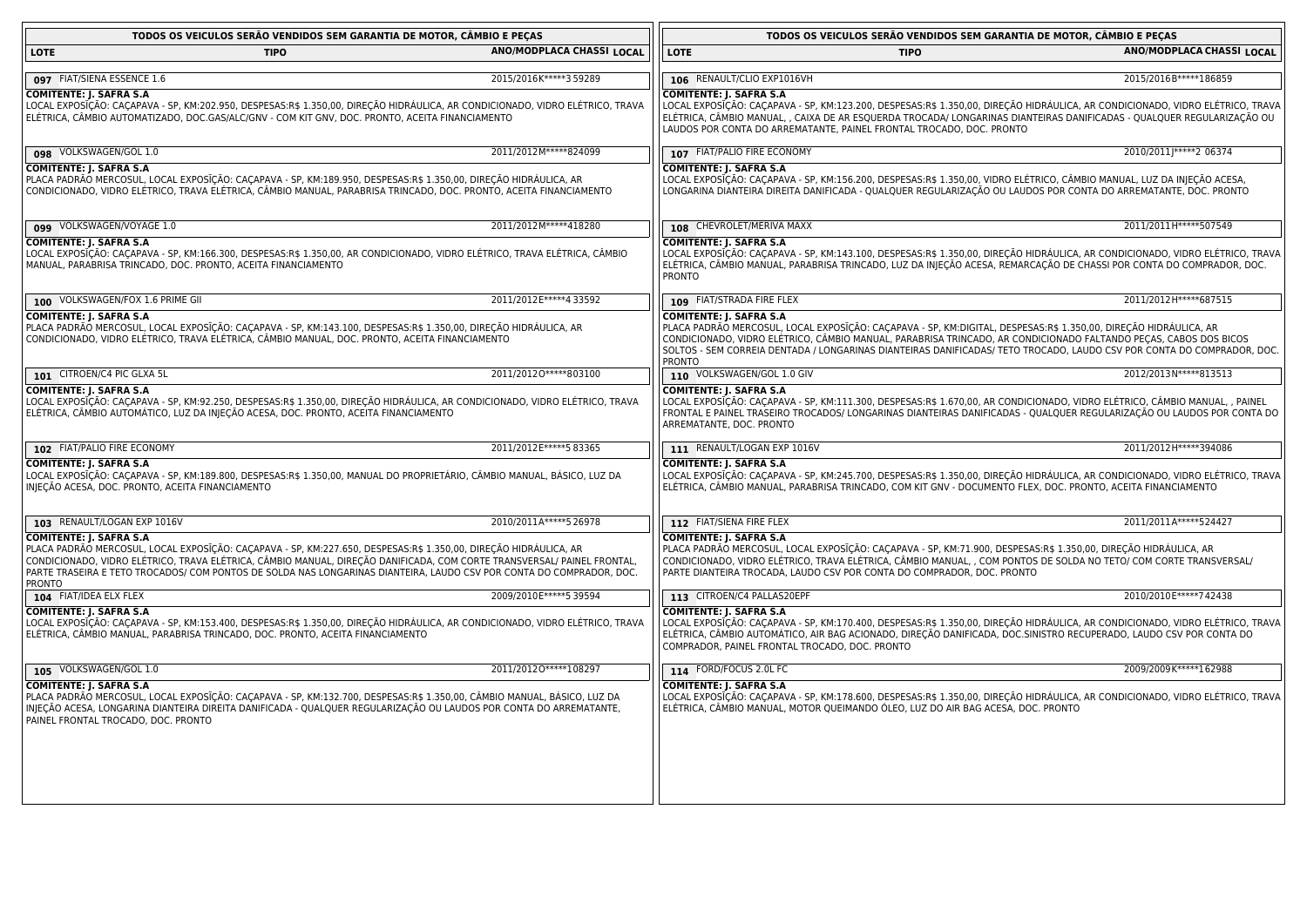| TODOS OS VEICULOS SERÃO VENDIDOS SEM GARANTIA DE MOTOR, CAMBIO E PEÇAS                                                                                                                                                                                                                                                                                                                                                |                           | TODOS OS VEICULOS SERÃO VENDIDOS SEM GARANTIA DE MOTOR, CÂMBIO E PEÇAS                                                                                                                                                                                                                                                                                                                                            |                           |  |
|-----------------------------------------------------------------------------------------------------------------------------------------------------------------------------------------------------------------------------------------------------------------------------------------------------------------------------------------------------------------------------------------------------------------------|---------------------------|-------------------------------------------------------------------------------------------------------------------------------------------------------------------------------------------------------------------------------------------------------------------------------------------------------------------------------------------------------------------------------------------------------------------|---------------------------|--|
| <b>LOTE</b><br><b>TIPO</b>                                                                                                                                                                                                                                                                                                                                                                                            | ANO/MODPLACA CHASSI LOCAL | <b>LOTE</b><br><b>TIPO</b>                                                                                                                                                                                                                                                                                                                                                                                        | ANO/MODPLACA CHASSI LOCAL |  |
| 097 FIAT/SIENA ESSENCE 1.6                                                                                                                                                                                                                                                                                                                                                                                            | 2015/2016K*****359289     | 106 RENAULT/CLIO EXP1016VH                                                                                                                                                                                                                                                                                                                                                                                        | 2015/2016B*****186859     |  |
| <b>COMITENTE: J. SAFRA S.A</b><br>LOCAL EXPOSÍÇÃO: CAÇAPAVA - SP, KM:202.950, DESPESAS:R\$ 1.350,00, DIREÇÃO HIDRÁULICA, AR CONDICIONADO, VIDRO ELÉTRICO, TRAVA<br>ELÉTRICA, CÂMBIO AUTOMATIZADO, DOC.GAS/ALC/GNV - COM KIT GNV, DOC. PRONTO, ACEITA FINANCIAMENTO                                                                                                                                                    |                           | <b>COMITENTE: J. SAFRA S.A</b><br>LOCAL EXPOSIÇÃO: CAÇAPAVA - SP, KM:123.200, DESPESAS:R\$ 1.350,00, DIREÇÃO HIDRÁULICA, AR CONDICIONADO, VIDRO ELÉTRICO, TRAVA<br>ELÉTRICA, CÂMBIO MANUAL, , CAIXA DE AR ESQUERDA TROCADA/ LONGARINAS DIANTEIRAS DANIFICADAS - QUALQUER REGULARIZAÇÃO OU<br>LAUDOS POR CONTA DO ARREMATANTE, PAINEL FRONTAL TROCADO, DOC. PRONTO                                                 |                           |  |
| 098 VOLKSWAGEN/GOL 1.0                                                                                                                                                                                                                                                                                                                                                                                                | 2011/2012M*****824099     | 107 FIAT/PALIO FIRE ECONOMY                                                                                                                                                                                                                                                                                                                                                                                       | 2010/2011 ***** 2 06374   |  |
| <b>COMITENTE: J. SAFRA S.A</b><br>PLACA PADRÃO MERCOSUL, LOCAL EXPOSĪÇÃO: CAÇAPAVA - SP, KM:189.950, DESPESAS:R\$ 1.350,00, DIREÇÃO HIDRAULICA, AR<br>CONDICIONADO, VIDRO ELÉTRICO, TRAVA ELÉTRICA, CÂMBIO MANUAL, PARABRISA TRINCADO, DOC. PRONTO, ACEITA FINANCIAMENTO                                                                                                                                              |                           | <b>COMITENTE: J. SAFRA S.A</b><br>LOCAL EXPOSĪÇÃO: CAÇAPAVA - SP, KM:156.200, DESPESAS:R\$ 1.350,00, VIDRO ELÉTRICO, CÂMBIO MANUAL, LUZ DA INJEÇÃO ACESA,<br>LONGARINA DIANTEIRA DIREITA DANIFICADA - QUALQUER REGULARIZAÇÃO OU LAUDOS POR CONTA DO ARREMATANTE, DOC. PRONTO                                                                                                                                      |                           |  |
| 099 VOLKSWAGEN/VOYAGE 1.0                                                                                                                                                                                                                                                                                                                                                                                             | 2011/2012M*****418280     | 108 CHEVROLET/MERIVA MAXX                                                                                                                                                                                                                                                                                                                                                                                         | 2011/2011H*****507549     |  |
| <b>COMITENTE: J. SAFRA S.A</b><br>LOCAL EXPOSĪÇÃO: CAÇAPAVA - SP, KM:166.300, DESPESAS:R\$ 1.350,00, AR CONDICIONADO, VIDRO ELÉTRICO, TRAVA ELÉTRICA, CÂMBIO<br>MANUAL, PARABRISA TRINCADO, DOC. PRONTO, ACEITA FINANCIAMENTO                                                                                                                                                                                         |                           | <b>COMITENTE: J. SAFRA S.A</b><br>LOCAL EXPOSIÇÃO: CAÇAPAVA - SP, KM:143.100, DESPESAS:R\$ 1.350,00, DIREÇÃO HIDRÁULICA, AR CONDICIONADO, VIDRO ELÉTRICO, TRAVA<br>ELÉTRICA, CÂMBIO MANUAL, PARABRISA TRINCADO, LUZ DA INJEÇÃO ACESA, REMARCAÇÃO DE CHASSI POR CONTA DO COMPRADOR, DOC.<br><b>PRONTO</b>                                                                                                          |                           |  |
| 100 VOLKSWAGEN/FOX 1.6 PRIME GII                                                                                                                                                                                                                                                                                                                                                                                      | 2011/2012E*****4 33592    | 109 FIAT/STRADA FIRE FLEX                                                                                                                                                                                                                                                                                                                                                                                         | 2011/2012H ***** 687515   |  |
| <b>COMITENTE: J. SAFRA S.A</b><br>PLACA PADRÃO MERCOSUL, LOCAL EXPOSĨÇÃO: CAÇAPAVA - SP, KM:143.100, DESPESAS:R\$ 1.350,00, DIREÇÃO HIDRÁULICA, AR<br>CONDICIONADO, VIDRO ELÉTRICO, TRAVA ELÉTRICA, CÂMBIO MANUAL, DOC. PRONTO, ACEITA FINANCIAMENTO                                                                                                                                                                  |                           | <b>COMITENTE: J. SAFRA S.A</b><br>PLACA PADRÃO MERCOSUL, LOCAL EXPOSIÇÃO: CAÇAPAVA - SP, KM:DIGITAL, DESPESAS:R\$ 1.350,00, DIREÇÃO HIDRÁULICA, AR<br>CONDICIONADO, VIDRO ELÉTRICO, CÂMBIO MANUAL, PARABRISA TRINCADO, AR CONDICIONADO FALTANDO PEÇAS, CABOS DOS BICOS<br>SOLTOS - SEM CORREIA DENTADA / LONGARINAS DIANTEIRAS DANIFICADAS/ TETO TROCADO, LAUDO CSV POR CONTA DO COMPRADOR, DOC.<br><b>PRONTO</b> |                           |  |
| 101 CITROEN/C4 PIC GLXA 5L                                                                                                                                                                                                                                                                                                                                                                                            | 2011/20120 ***** 803100   | 110 VOLKSWAGEN/GOL 1.0 GIV                                                                                                                                                                                                                                                                                                                                                                                        | 2012/2013N*****813513     |  |
| COMITENTE: J. SAFRA S.A<br>LOCAL EXPOSĪÇÃO: CAÇAPAVA - SP, KM:92.250, DESPESAS:R\$ 1.350,00, DIREÇÃO HIDRÁULICA, AR CONDICIONADO, VIDRO ELÉTRICO, TRAVA<br>ELÉTRICA, CÂMBIO AUTOMÁTICO, LUZ DA INJEÇÃO ACESA, DOC. PRONTO, ACEITA FINANCIAMENTO                                                                                                                                                                       |                           | <b>COMITENTE: J. SAFRA S.A</b><br>LOCAL EXPOSIÇÃO: CAÇAPAVA - SP, KM:111.300, DESPESAS:R\$ 1.670,00, AR CONDICIONADO, VIDRO ELÉTRICO, CÂMBIO MANUAL, , PAINEL<br>FRONTAL E PAINEL TRASEIRO TROCADOS/ LONGARINAS DIANTEIRAS DANIFICADAS - QUALQUER REGULARIZAÇÃO OU LAUDOS POR CONTA DO<br>ARREMATANTE, DOC. PRONTO                                                                                                |                           |  |
| 102 FIAT/PALIO FIRE ECONOMY                                                                                                                                                                                                                                                                                                                                                                                           | 2011/2012 E***** 5 83365  | 111 RENAULT/LOGAN EXP 1016V                                                                                                                                                                                                                                                                                                                                                                                       | 2011/2012 H ***** 394086  |  |
| <b>COMITENTE: J. SAFRA S.A</b><br>LOCAL EXPOSĨÇÃO: CAÇAPAVA - SP, KM:189.800, DESPESAS:R\$ 1.350,00, MANUAL DO PROPRIETÁRIO, CÂMBIO MANUAL, BÁSICO, LUZ DA<br>INJEÇÃO ACESA, DOC. PRONTO, ACEITA FINANCIAMENTO                                                                                                                                                                                                        |                           | <b>COMITENTE: J. SAFRA S.A</b><br>LOCAL EXPOSIÇÃO: CAÇAPAVA - SP, KM:245.700, DESPESAS:R\$ 1.350,00, DIREÇÃO HIDRÁULICA, AR CONDICIONADO, VIDRO ELÉTRICO, TRAVA<br>ELÉTRICA, CÂMBIO MANUAL, PARABRISA TRINCADO, COM KIT GNV - DOCUMENTO FLEX, DOC. PRONTO, ACEITA FINANCIAMENTO                                                                                                                                   |                           |  |
| 103 RENAULT/LOGAN EXP 1016V                                                                                                                                                                                                                                                                                                                                                                                           | 2010/2011A*****526978     | 112 FIAT/SIENA FIRE FLEX                                                                                                                                                                                                                                                                                                                                                                                          | 2011/2011A*****524427     |  |
| <b>COMITENTE: J. SAFRA S.A</b><br>PLACA PADRÃO MERCOSUL, LOCAL EXPOSĪÇÃO: CAÇAPAVA - SP, KM:227.650, DESPESAS:R\$ 1.350,00, DIREÇÃO HIDRÁULICA, AR<br>CONDICIONADO, VIDRO ELÉTRICO, TRAVA ELÉTRICA, CÂMBIO MANUAL, DIREÇÃO DANIFICADA, COM CORTE TRANSVERSAL/ PAINEL FRONTAL<br>PARTE TRASEIRA E TETO TROCADOS/ COM PONTOS DE SOLDA NAS LONGARINAS DIANTEIRA, LAUDO CSV POR CONTA DO COMPRADOR, DOC.<br><b>PRONTO</b> |                           | <b>COMITENTE: J. SAFRA S.A</b><br>PLACA PADRÃO MERCOSUL, LOCAL EXPOSIÇÃO: CAÇAPAVA - SP, KM:71.900, DESPESAS:R\$ 1.350,00, DIREÇÃO HIDRÁULICA, AR<br>CONDICIONADO, VIDRO ELÉTRICO, TRAVA ELÉTRICA, CÂMBIO MANUAL, , COM PONTOS DE SOLDA NO TETO/ COM CORTE TRANSVERSAL/<br>PARTE DIANTEIRA TROCADA, LAUDO CSV POR CONTA DO COMPRADOR, DOC. PRONTO                                                                 |                           |  |
| 104 FIAT/IDEA ELX FLEX                                                                                                                                                                                                                                                                                                                                                                                                | 2009/2010E ***** 5 39594  | 113 CITROEN/C4 PALLAS20EPF                                                                                                                                                                                                                                                                                                                                                                                        | 2010/2010E*****742438     |  |
| <b>COMITENTE: J. SAFRA S.A</b><br>LOCAL EXPOSĪÇÃO: CAÇAPAVA - SP, KM:153.400, DESPESAS:R\$ 1.350,00, DIREÇÃO HIDRÁULICA, AR CONDICIONADO, VIDRO ELÉTRICO, TRAVA<br>ELÉTRICA, CÂMBIO MANUAL, PARABRISA TRINCADO, DOC. PRONTO, ACEITA FINANCIAMENTO                                                                                                                                                                     |                           | <b>COMITENTE: J. SAFRA S.A</b><br>LOCAL EXPOSIÇÃO: CAÇAPAVA - SP, KM:170.400, DESPESAS:R\$ 1.350,00, DIREÇÃO HIDRÁULICA, AR CONDICIONADO, VIDRO ELÉTRICO, TRAVA<br>ELÉTRICA, CÂMBIO AUTOMÁTICO, AIR BAG ACIONADO, DIREÇÃO DANIFICADA, DOC.SINISTRO RECUPERADO, LAUDO CSV POR CONTA DO<br>COMPRADOR, PAINEL FRONTAL TROCADO, DOC. PRONTO                                                                           |                           |  |
| 105 VOLKSWAGEN/GOL 1.0                                                                                                                                                                                                                                                                                                                                                                                                | 2011/20120 ***** 108297   | 114 FORD/FOCUS 2.0L FC                                                                                                                                                                                                                                                                                                                                                                                            | 2009/2009K*****162988     |  |
| <b>COMITENTE: J. SAFRA S.A</b><br>PLACA PADRÃO MERCOSUL, LOCAL EXPOSĨÇÃO: CAÇAPAVA - SP, KM:132.700, DESPESAS:R\$ 1.350,00, CÂMBIO MANUAL, BÁSICO, LUZ DA<br>INJEÇÃO ACESA, LONGARINA DIANTEIRA DIREITA DANIFICADA - QUALQUER REGULARIZAÇÃO OU LAUDOS POR CONTA DO ARREMATANTE,<br>PAINEL FRONTAL TROCADO, DOC. PRONTO                                                                                                |                           | <b>COMITENTE: J. SAFRA S.A</b><br>LOCAL EXPOSIÇÃO: CAÇAPAVA - SP, KM:178.600, DESPESAS:R\$ 1.350,00, DIREÇÃO HIDRÁULICA, AR CONDICIONADO, VIDRO ELÉTRICO, TRAVA<br>ELÉTRICA, CÂMBIO MANUAL, MOTOR QUEIMANDO ÓLEO, LUZ DO AIR BAG ACESA, DOC. PRONTO                                                                                                                                                               |                           |  |
|                                                                                                                                                                                                                                                                                                                                                                                                                       |                           |                                                                                                                                                                                                                                                                                                                                                                                                                   |                           |  |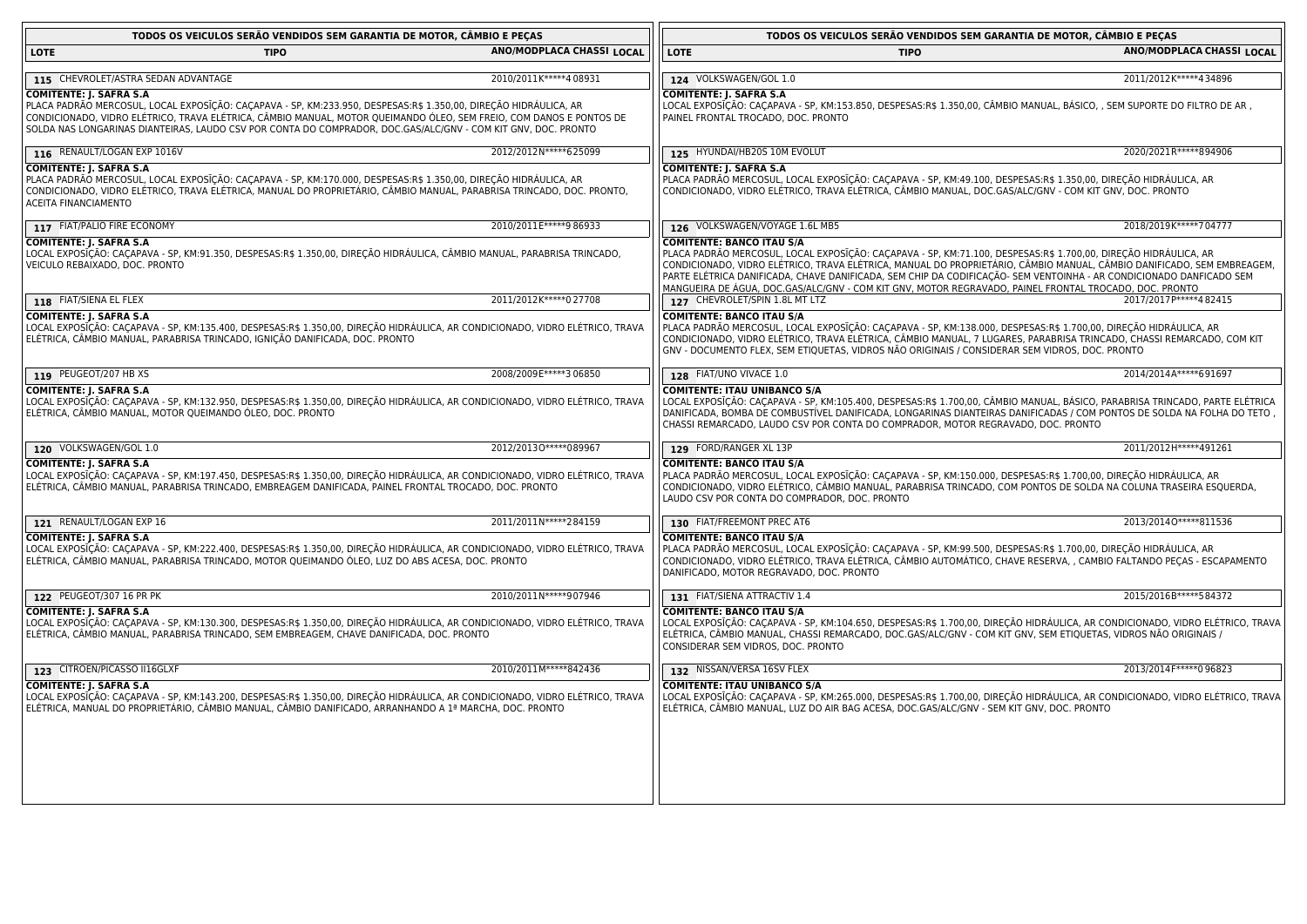| TODOS OS VEICULOS SERÃO VENDIDOS SEM GARANTIA DE MOTOR, CÂMBIO E PECAS                                                                                                                                                                                                                                                                                                                     |                           | TODOS OS VEICULOS SERÃO VENDIDOS SEM GARANTIA DE MOTOR, CÂMBIO E PECAS                                                                                                                                                                                                                                                                                                                                                                                                                                         |                           |  |
|--------------------------------------------------------------------------------------------------------------------------------------------------------------------------------------------------------------------------------------------------------------------------------------------------------------------------------------------------------------------------------------------|---------------------------|----------------------------------------------------------------------------------------------------------------------------------------------------------------------------------------------------------------------------------------------------------------------------------------------------------------------------------------------------------------------------------------------------------------------------------------------------------------------------------------------------------------|---------------------------|--|
| <b>LOTE</b><br><b>TIPO</b>                                                                                                                                                                                                                                                                                                                                                                 | ANO/MODPLACA CHASSI LOCAL | <b>LOTE</b><br><b>TIPO</b>                                                                                                                                                                                                                                                                                                                                                                                                                                                                                     | ANO/MODPLACA CHASSI LOCAL |  |
| 115 CHEVROLET/ASTRA SEDAN ADVANTAGE                                                                                                                                                                                                                                                                                                                                                        | 2010/2011K*****408931     | 124 VOLKSWAGEN/GOL 1.0                                                                                                                                                                                                                                                                                                                                                                                                                                                                                         | 2011/2012 K*****4 34896   |  |
| <b>COMITENTE: J. SAFRA S.A</b><br>PLACA PADRÃO MERCOSUL, LOCAL EXPOSĪÇÃO: CAÇAPAVA - SP, KM:233.950, DESPESAS:R\$ 1.350,00, DIREÇÃO HIDRÁULICA, AR<br>CONDICIONADO, VIDRO ELÉTRICO, TRAVA ELÉTRICA, CÂMBIO MANUAL, MOTOR QUEIMANDO ÓLEO, SEM FREIO, COM DANOS E PONTOS DE<br>SOLDA NAS LONGARINAS DIANTEIRAS, LAUDO CSV POR CONTA DO COMPRADOR, DOC.GAS/ALC/GNV - COM KIT GNV, DOC. PRONTO |                           | <b>COMITENTE: J. SAFRA S.A</b><br>LOCAL EXPOSIÇÃO: CAÇAPAVA - SP, KM:153.850, DESPESAS:R\$ 1.350,00, CÂMBIO MANUAL, BÁSICO, , SEM SUPORTE DO FILTRO DE AR ,<br>PAINEL FRONTAL TROCADO, DOC. PRONTO                                                                                                                                                                                                                                                                                                             |                           |  |
| 116 RENAULT/LOGAN EXP 1016V                                                                                                                                                                                                                                                                                                                                                                | 2012/2012N ***** 625099   | 125 HYUNDAI/HB20S 10M EVOLUT                                                                                                                                                                                                                                                                                                                                                                                                                                                                                   | 2020/2021R ***** 894906   |  |
| <b>COMITENTE: J. SAFRA S.A</b><br>PLACA PADRÃO MERCOSUL, LOCAL EXPOSĪÇÃO: CAÇAPAVA - SP, KM:170.000, DESPESAS:R\$ 1.350,00, DIREÇÃO HIDRÁULICA, AR<br>CONDICIONADO, VIDRO ELÉTRICO, TRAVA ELÉTRICA, MANUAL DO PROPRIETÁRIO, CÂMBIO MANUAL, PARABRISA TRINCADO, DOC. PRONTO,<br><b>ACEITA FINANCIAMENTO</b>                                                                                 |                           | <b>COMITENTE: J. SAFRA S.A</b><br>PLACA PADRÃO MERCOSUL, LOCAL EXPOSIÇÃO: CAÇAPAVA - SP, KM:49.100, DESPESAS:R\$ 1.350,00, DIREÇÃO HIDRÁULICA, AR<br>CONDICIONADO, VIDRO ELÉTRICO, TRAVA ELÉTRICA, CÂMBIO MANUAL, DOC.GAS/ALC/GNV - COM KIT GNV, DOC. PRONTO                                                                                                                                                                                                                                                   |                           |  |
| 117 FIAT/PALIO FIRE ECONOMY                                                                                                                                                                                                                                                                                                                                                                | 2010/2011E*****9 86933    | 126 VOLKSWAGEN/VOYAGE 1.6L MB5                                                                                                                                                                                                                                                                                                                                                                                                                                                                                 | 2018/2019 K***** 704777   |  |
| <b>COMITENTE: J. SAFRA S.A</b><br>LOCAL EXPOSĪÇÃO: CAÇAPAVA - SP, KM:91.350, DESPESAS:R\$ 1.350,00, DIREÇÃO HIDRÁULICA, CÂMBIO MANUAL, PARABRISA TRINCADO,<br>VEICULO REBAIXADO, DOC. PRONTO                                                                                                                                                                                               |                           | <b>COMITENTE: BANCO ITAU S/A</b><br>PLACA PADRÃO MERCOSUL, LOCAL EXPOSĪÇÃO: CAÇAPAVA - SP, KM:71.100, DESPESAS:R\$ 1.700,00, DIREÇÃO HIDRÁULICA, AR<br>CONDICIONADO, VIDRO ELÉTRICO, TRAVA ELÉTRICA, MANUAL DO PROPRIETÁRIO, CÂMBIO MANUAL, CÂMBIO DANIFICADO, SEM EMBREAGEM,<br>PARTE ELÉTRICA DANIFICADA, CHAVE DANIFICADA, SEM CHIP DA CODIFICAÇÃO- SEM VENTOINHA - AR CONDICIONADO DANFICADO SEM<br>MANGUEIRA DE ÁGUA, DOC.GAS/ALC/GNV - COM KIT GNV, MOTOR REGRAVADO, PAINEL FRONTAL TROCADO, DOC. PRONTO |                           |  |
| 118 FIAT/SIENA EL FLEX                                                                                                                                                                                                                                                                                                                                                                     | 2011/2012K*****027708     | 127 CHEVROLET/SPIN 1.8L MT LTZ                                                                                                                                                                                                                                                                                                                                                                                                                                                                                 | 2017/2017 P*****4 82415   |  |
| <b>COMITENTE: J. SAFRA S.A</b><br>LOCAL EXPOSĪÇÃO: CAÇAPAVA - SP, KM:135.400, DESPESAS:R\$ 1.350,00, DIREÇÃO HIDRÁULICA, AR CONDICIONADO, VIDRO ELÉTRICO, TRAVA<br>ELÉTRICA, CÂMBIO MANUAL, PARABRISA TRINCADO, IGNIÇÃO DANIFICADA, DOC. PRONTO                                                                                                                                            |                           | <b>COMITENTE: BANCO ITAU S/A</b><br>PLACA PADRÃO MERCOSUL, LOCAL EXPOSIÇÃO: CAÇAPAVA - SP, KM:138.000, DESPESAS:R\$ 1.700,00, DIREÇÃO HIDRÁULICA, AR<br>CONDICIONADO, VIDRO ELÉTRICO, TRAVA ELÉTRICA, CÂMBIO MANUAL, 7 LUGARES, PARABRISA TRINCADO, CHASSI REMARCADO, COM KIT<br>GNV - DOCUMENTO FLEX, SEM ETIQUETAS, VIDROS NÃO ORIGINAIS / CONSIDERAR SEM VIDROS, DOC. PRONTO                                                                                                                                |                           |  |
| 119 PEUGEOT/207 HB XS                                                                                                                                                                                                                                                                                                                                                                      | 2008/2009E ***** 3 06850  | 128 FIAT/UNO VIVACE 1.0                                                                                                                                                                                                                                                                                                                                                                                                                                                                                        | 2014/2014A*****691697     |  |
| <b>COMITENTE: J. SAFRA S.A</b><br>LOCAL EXPOSĪÇÃO: CAÇAPAVA - SP, KM:132.950, DESPESAS:R\$ 1.350,00, DIREÇÃO HIDRÁULICA, AR CONDICIONADO, VIDRO ELÉTRICO, TRAVA<br>ELÉTRICA, CÂMBIO MANUAL, MOTOR QUEIMANDO ÓLEO, DOC. PRONTO                                                                                                                                                              |                           | <b>COMITENTE: ITAU UNIBANCO S/A</b><br>LOCAL EXPOSĪÇÃO: CAÇAPAVA - SP, KM:105.400, DESPESAS:R\$ 1.700,00, CÂMBIO MANUAL, BÁSICO, PARABRISA TRINCADO, PARTE ELÉTRICA<br>DANIFICADA, BOMBA DE COMBUSTÍVEL DANIFICADA, LONGARINAS DIANTEIRAS DANIFICADAS / COM PONTOS DE SOLDA NA FOLHA DO TETO<br>CHASSI REMARCADO, LAUDO CSV POR CONTA DO COMPRADOR, MOTOR REGRAVADO, DOC. PRONTO                                                                                                                               |                           |  |
| 120 VOLKSWAGEN/GOL 1.0                                                                                                                                                                                                                                                                                                                                                                     | 2012/20130 ***** 089967   | 129 FORD/RANGER XL 13P                                                                                                                                                                                                                                                                                                                                                                                                                                                                                         | 2011/2012 H*****491261    |  |
| <b>COMITENTE: J. SAFRA S.A</b><br>LOCAL EXPOSĪÇÃO: CAÇAPAVA - SP, KM:197.450, DESPESAS:R\$ 1.350,00, DIREÇÃO HIDRÁULICA, AR CONDICIONADO, VIDRO ELÉTRICO, TRAVA<br>ELÉTRICA, CÂMBIO MANUAL, PARABRISA TRINCADO, EMBREAGEM DANIFICADA, PAINEL FRONTAL TROCADO, DOC. PRONTO                                                                                                                  |                           | <b>COMITENTE: BANCO ITAU S/A</b><br>PLACA PADRÃO MERCOSUL, LOCAL EXPOSĪÇÃO: CAÇAPAVA - SP, KM:150.000, DESPESAS:R\$ 1.700,00, DIREÇÃO HIDRÁULICA, AR<br>CONDICIONADO, VIDRO ELÉTRICO, CÂMBIO MANUAL, PARABRISA TRINCADO, COM PONTOS DE SOLDA NA COLUNA TRASEIRA ESQUERDA,<br>LAUDO CSV POR CONTA DO COMPRADOR, DOC. PRONTO                                                                                                                                                                                     |                           |  |
| 121 RENAULT/LOGAN EXP 16                                                                                                                                                                                                                                                                                                                                                                   | 2011/2011N*****284159     | 130 FIAT/FREEMONT PREC AT6                                                                                                                                                                                                                                                                                                                                                                                                                                                                                     | 2013/20140 ***** 811536   |  |
| <b>COMITENTE: J. SAFRA S.A</b><br>LOCAL EXPOSĪÇÃO: CAÇAPAVA - SP, KM:222.400, DESPESAS:R\$ 1.350,00, DIREÇÃO HIDRÁULICA, AR CONDICIONADO, VIDRO ELÉTRICO, TRAVA<br>ELÉTRICA, CÂMBIO MANUAL, PARABRISA TRINCADO, MOTOR QUEIMANDO ÓLEO, LUZ DO ABS ACESA, DOC. PRONTO                                                                                                                        |                           | <b>COMITENTE: BANCO ITAU S/A</b><br>PLACA PADRÃO MERCOSUL, LOCAL EXPOSIÇÃO: CAÇAPAVA - SP, KM:99.500, DESPESAS:R\$ 1.700,00, DIREÇÃO HIDRÁULICA, AR<br>CONDICIONADO, VIDRO ELÉTRICO, TRAVA ELÉTRICA, CÂMBIO AUTOMÁTICO, CHAVE RESERVA, , CAMBIO FALTANDO PEÇAS - ESCAPAMENTO<br>DANIFICADO, MOTOR REGRAVADO, DOC. PRONTO                                                                                                                                                                                       |                           |  |
| 122 PEUGEOT/307 16 PR PK                                                                                                                                                                                                                                                                                                                                                                   | 2010/2011N*****907946     | 131 FIAT/SIENA ATTRACTIV 1.4                                                                                                                                                                                                                                                                                                                                                                                                                                                                                   | 2015/2016B*****584372     |  |
| <b>COMITENTE: J. SAFRA S.A</b><br>LOCAL EXPOSĪÇÃO: CAÇAPAVA - SP, KM:130.300, DESPESAS:R\$ 1.350,00, DIREÇÃO HIDRÁULICA, AR CONDICIONADO, VIDRO ELÉTRICO, TRAVA<br>ELÉTRICA, CÂMBIO MANUAL, PARABRISA TRINCADO, SEM EMBREAGEM, CHAVE DANIFICADA, DOC. PRONTO                                                                                                                               |                           | <b>COMITENTE: BANCO ITAU S/A</b><br>LOCAL EXPOSĪÇÃO: CAÇAPAVA - SP, KM:104.650, DESPESAS:R\$ 1.700,00, DIREÇÃO HIDRÁULICA, AR CONDICIONADO, VIDRO ELÉTRICO, TRAVA<br>ELÉTRICA, CÂMBIO MANUAL, CHASSI REMARCADO, DOC.GAS/ALC/GNV - COM KIT GNV, SEM ETIQUETAS, VIDROS NÃO ORIGINAIS /<br>CONSIDERAR SEM VIDROS, DOC. PRONTO                                                                                                                                                                                     |                           |  |
| 123 CITROEN/PICASSO II16GLXF                                                                                                                                                                                                                                                                                                                                                               | 2010/2011M*****842436     | 132 NISSAN/VERSA 16SV FLEX                                                                                                                                                                                                                                                                                                                                                                                                                                                                                     | 2013/2014 F***** 0 96823  |  |
| <b>COMITENTE: J. SAFRA S.A</b><br>LOCAL EXPOSĪÇÃO: CAÇAPAVA - SP, KM:143.200, DESPESAS:R\$ 1.350,00, DIREÇÃO HIDRÁULICA, AR CONDICIONADO, VIDRO ELÉTRICO, TRAVA<br>ELÉTRICA, MANUAL DO PROPRIETÁRIO, CÂMBIO MANUAL, CÂMBIO DANIFICADO, ARRANHANDO A 1ª MARCHA, DOC. PRONTO                                                                                                                 |                           | <b>COMITENTE: ITAU UNIBANCO S/A</b><br>LOCAL EXPOSIÇÃO: CAÇAPAVA - SP, KM:265.000, DESPESAS:R\$ 1.700,00, DIREÇÃO HIDRÁULICA, AR CONDICIONADO, VIDRO ELÉTRICO, TRAVA<br>ELÉTRICA, CÂMBIO MANUAL, LUZ DO AIR BAG ACESA, DOC.GAS/ALC/GNV - SEM KIT GNV, DOC. PRONTO                                                                                                                                                                                                                                              |                           |  |
|                                                                                                                                                                                                                                                                                                                                                                                            |                           |                                                                                                                                                                                                                                                                                                                                                                                                                                                                                                                |                           |  |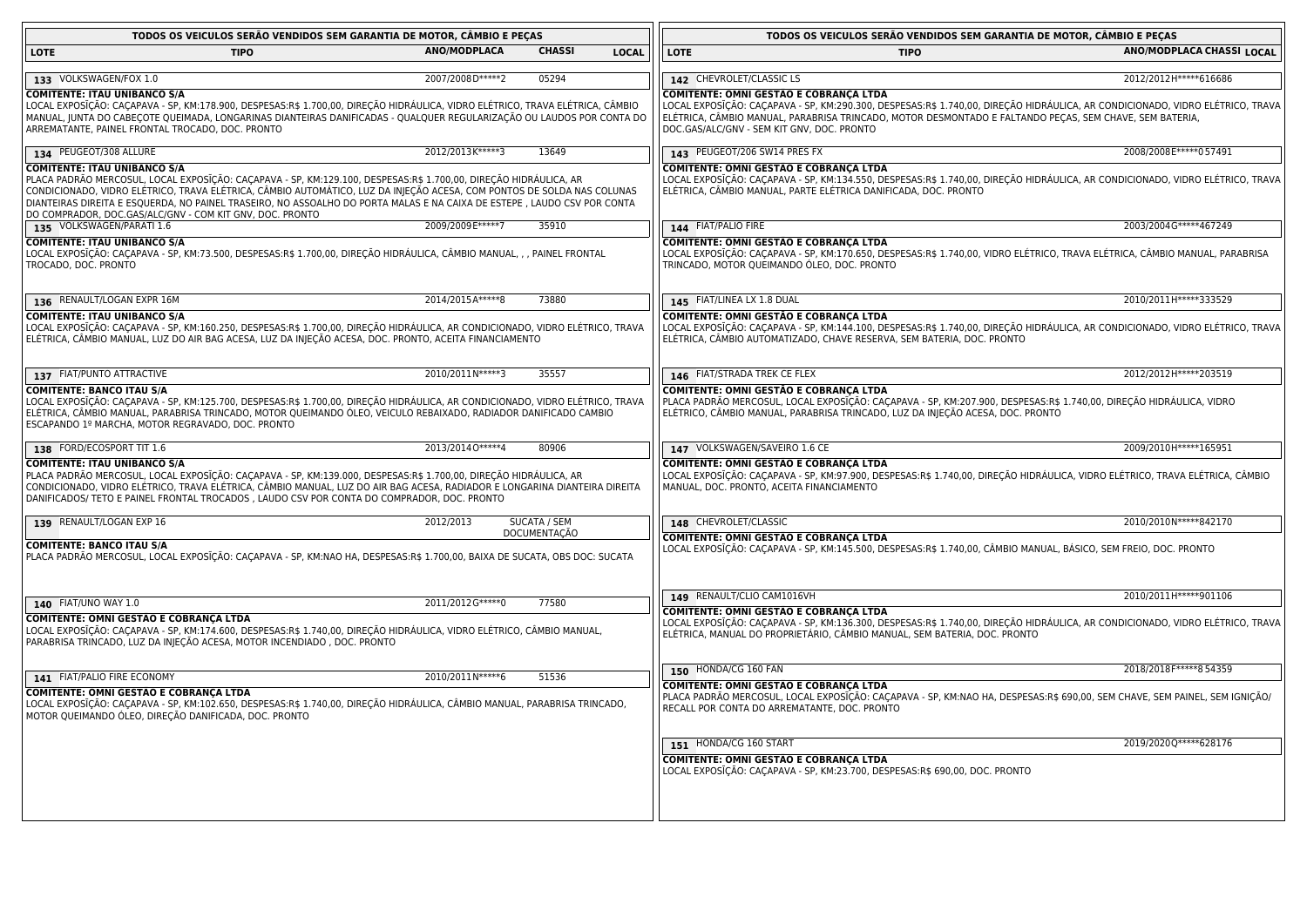| TODOS OS VEICULOS SERÃO VENDIDOS SEM GARANTIA DE MOTOR, CÂMBIO E PECAS                                                                                                                                                                                                                                                                                                                                                                                                    |                     |                     |              | TODOS OS VEICULOS SERÃO VENDIDOS SEM GARANTIA DE MOTOR, CÂMBIO E PEÇAS                                                                                                                                                                                                                                                             |                           |
|---------------------------------------------------------------------------------------------------------------------------------------------------------------------------------------------------------------------------------------------------------------------------------------------------------------------------------------------------------------------------------------------------------------------------------------------------------------------------|---------------------|---------------------|--------------|------------------------------------------------------------------------------------------------------------------------------------------------------------------------------------------------------------------------------------------------------------------------------------------------------------------------------------|---------------------------|
| <b>LOTE</b><br><b>TIPO</b>                                                                                                                                                                                                                                                                                                                                                                                                                                                | <b>ANO/MODPLACA</b> | <b>CHASSI</b>       | <b>LOCAL</b> | <b>LOTE</b><br><b>TIPO</b>                                                                                                                                                                                                                                                                                                         | ANO/MODPLACA CHASSI LOCAL |
|                                                                                                                                                                                                                                                                                                                                                                                                                                                                           |                     |                     |              |                                                                                                                                                                                                                                                                                                                                    |                           |
| 133 VOLKSWAGEN/FOX 1.0                                                                                                                                                                                                                                                                                                                                                                                                                                                    | 2007/2008D*****2    | 05294               |              | 142 CHEVROLET/CLASSIC LS                                                                                                                                                                                                                                                                                                           | 2012/2012 H***** 616686   |
| <b>COMITENTE: ITAU UNIBANCO S/A</b><br>LOCAL EXPOSĪÇÃO: CAÇAPAVA - SP, KM:178.900, DESPESAS:R\$ 1.700,00, DIREÇÃO HIDRÁULICA, VIDRO ELÉTRICO, TRAVA ELÉTRICA, CÂMBIO<br>MANUAL, JUNTA DO CABEÇOTE QUEIMADA, LONGARINAS DIANTEIRAS DANIFICADAS - QUALQUER REGULARIZAÇÃO OU LAUDOS POR CONTA DO<br>ARREMATANTE, PAINEL FRONTAL TROCADO, DOC. PRONTO                                                                                                                         |                     |                     |              | COMITENTE: OMNI GESTÃO E COBRANÇA LTDA<br>LOCAL EXPOSĪÇÃO: CAÇAPAVA - SP, KM:290.300, DESPESAS:R\$ 1.740,00, DIREÇÃO HIDRÁULICA, AR CONDICIONADO, VIDRO ELÉTRICO, TRAVA  <br>ELÉTRICA, CÂMBIO MANUAL, PARABRISA TRINCADO, MOTOR DESMONTADO E FALTANDO PEÇAS, SEM CHAVE, SEM BATERIA,<br>DOC.GAS/ALC/GNV - SEM KIT GNV, DOC. PRONTO |                           |
| 134 PEUGEOT/308 ALLURE                                                                                                                                                                                                                                                                                                                                                                                                                                                    | 2012/2013K*****3    | 13649               |              | 143 PEUGEOT/206 SW14 PRES FX                                                                                                                                                                                                                                                                                                       | 2008/2008E*****057491     |
| <b>COMITENTE: ITAU UNIBANCO S/A</b><br>PLACA PADRÃO MERCOSUL, LOCAL EXPOSIÇÃO: CAÇAPAVA - SP, KM:129.100, DESPESAS:R\$ 1.700,00, DIREÇÃO HIDRÁULICA, AR<br>CONDICIONADO, VIDRO ELÉTRICO, TRAVA ELÉTRICA, CÂMBIO AUTOMÁTICO, LUZ DA INJEÇÃO ACESA, COM PONTOS DE SOLDA NAS COLUNAS<br>DIANTEIRAS DIREITA E ESQUERDA, NO PAINEL TRASEIRO, NO ASSOALHO DO PORTA MALAS E NA CAIXA DE ESTEPE , LAUDO CSV POR CONTA<br>DO COMPRADOR, DOC.GAS/ALC/GNV - COM KIT GNV, DOC. PRONTO |                     |                     |              | COMITENTE: OMNI GESTÃO E COBRANÇA LTDA<br>LOCAL EXPOSIÇÃO: CAÇAPAVA - SP, KM:134.550, DESPESAS:R\$ 1.740,00, DIREÇÃO HIDRAULICA, AR CONDICIONADO, VIDRO ELÉTRICO, TRAVA  <br>ELÉTRICA, CÂMBIO MANUAL, PARTE ELÉTRICA DANIFICADA, DOC. PRONTO                                                                                       |                           |
| 135 VOLKSWAGEN/PARATI 1.6                                                                                                                                                                                                                                                                                                                                                                                                                                                 | 2009/2009E*****7    | 35910               |              | 144 FIAT/PALIO FIRE                                                                                                                                                                                                                                                                                                                | 2003/2004G*****467249     |
| <b>COMITENTE: ITAU UNIBANCO S/A</b><br>LOCAL EXPOSĪÇÃO: CAÇAPAVA - SP, KM:73.500, DESPESAS:R\$ 1.700,00, DIREÇÃO HIDRÁULICA, CÂMBIO MANUAL, , , PAINEL FRONTAL<br>TROCADO, DOC. PRONTO                                                                                                                                                                                                                                                                                    |                     |                     |              | <b>COMITENTE: OMNI GESTÃO E COBRANÇA LTDA</b><br>LOCAL EXPOSĪÇÃO: CAÇAPAVA - SP, KM:170.650, DESPESAS:R\$ 1.740,00, VIDRO ELÉTRICO, TRAVA ELÉTRICA, CÂMBIO MANUAL, PARABRISA<br>TRINCADO, MOTOR QUEIMANDO ÓLEO, DOC. PRONTO                                                                                                        |                           |
| 136 RENAULT/LOGAN EXPR 16M                                                                                                                                                                                                                                                                                                                                                                                                                                                | 2014/2015A*****8    | 73880               |              | 145 FIAT/LINEA LX 1.8 DUAL                                                                                                                                                                                                                                                                                                         | 2010/2011H*****333529     |
| <b>COMITENTE: ITAU UNIBANCO S/A</b><br>LOCAL EXPOSĨÇÃO: CAÇAPAVA - SP, KM:160.250, DESPESAS:R\$ 1.700,00, DIREÇÃO HIDRÁULICA, AR CONDICIONADO, VIDRO ELÉTRICO, TRAVA<br>ELÉTRICA, CÂMBIO MANUAL, LUZ DO AIR BAG ACESA, LUZ DA INJEÇÃO ACESA, DOC. PRONTO, ACEITA FINANCIAMENTO                                                                                                                                                                                            |                     |                     |              | COMITENTE: OMNI GESTÃO E COBRANÇA LTDA<br>LOCAL EXPOSIÇÃO: CAÇAPAVA - SP, KM:144.100, DESPESAS:R\$ 1.740,00, DIREÇÃO HIDRÁULICA, AR CONDICIONADO, VIDRO ELÉTRICO, TRAVA  <br>ELÉTRICA, CÂMBIO AUTOMATIZADO, CHAVE RESERVA, SEM BATERIA, DOC. PRONTO                                                                                |                           |
| 137 FIAT/PUNTO ATTRACTIVE                                                                                                                                                                                                                                                                                                                                                                                                                                                 | 2010/2011N*****3    | 35557               |              | 146 FIAT/STRADA TREK CE FLEX                                                                                                                                                                                                                                                                                                       | 2012/2012H ***** 203519   |
| <b>COMITENTE: BANCO ITAU S/A</b><br>LOCAL EXPOSĨÇÃO: CAÇAPAVA - SP, KM:125.700, DESPESAS:R\$ 1.700,00, DIREÇÃO HIDRÁULICA, AR CONDICIONADO, VIDRO ELÉTRICO, TRAVA<br>ELÉTRICA, CÂMBIO MANUAL, PARABRISA TRINCADO, MOTOR QUEIMANDO ÓLEO, VEICULO REBAIXADO, RADIADOR DANIFICADO CAMBIO<br>ESCAPANDO 1º MARCHA, MOTOR REGRAVADO, DOC. PRONTO                                                                                                                                |                     |                     |              | COMITENTE: OMNI GESTÃO E COBRANÇA LTDA<br>PLACA PADRÃO MERCOSUL, LOCAL EXPOSĪÇÃO: CAÇAPAVA - SP, KM:207.900, DESPESAS:R\$ 1.740,00, DIREÇÃO HIDRAULICA, VIDRO<br>ELÉTRICO, CÂMBIO MANUAL, PARABRISA TRINCADO, LUZ DA INJEÇÃO ACESA, DOC. PRONTO                                                                                    |                           |
| 138 FORD/ECOSPORT TIT 1.6                                                                                                                                                                                                                                                                                                                                                                                                                                                 | 2013/20140 ***** 4  | 80906               |              | 147 VOLKSWAGEN/SAVEIRO 1.6 CE                                                                                                                                                                                                                                                                                                      | 2009/2010H ***** 165951   |
| <b>COMITENTE: ITAU UNIBANCO S/A</b><br>PLACA PADRÃO MERCOSUL, LOCAL EXPOSĨÇÃO: CAÇAPAVA - SP, KM:139.000, DESPESAS:R\$ 1.700,00, DIREÇÃO HIDRÁULICA, AR<br>CONDICIONADO, VIDRO ELÉTRICO, TRAVA ELÉTRICA, CÂMBIO MANUAL, LUZ DO AIR BAG ACESA, RADIADOR E LONGARINA DIANTEIRA DIREITA<br>DANIFICADOS/ TETO E PAINEL FRONTAL TROCADOS , LAUDO CSV POR CONTA DO COMPRADOR, DOC. PRONTO                                                                                       |                     |                     |              | COMITENTE: OMNI GESTÃO E COBRANÇA LTDA<br>LOCAL EXPOSĪÇÃO: CAÇAPAVA - SP, KM:97.900, DESPESAS:R\$ 1.740,00, DIREÇÃO HIDRÁULICA, VIDRO ELÉTRICO, TRAVA ELÉTRICA, CÂMBIO<br>MANUAL, DOC. PRONTO, ACEITA FINANCIAMENTO                                                                                                                |                           |
| 139 RENAULT/LOGAN EXP 16                                                                                                                                                                                                                                                                                                                                                                                                                                                  | 2012/2013           | SUCATA / SEM        |              | 148 CHEVROLET/CLASSIC                                                                                                                                                                                                                                                                                                              | 2010/2010N*****842170     |
| <b>COMITENTE: BANCO ITAU S/A</b><br>PLACA PADRÃO MERCOSUL, LOCAL EXPOSĪÇÃO: CAÇAPAVA - SP, KM:NAO HA, DESPESAS:R\$ 1.700,00, BAIXA DE SUCATA, OBS DOC: SUCATA                                                                                                                                                                                                                                                                                                             |                     | <b>DOCUMENTAÇÃO</b> |              | COMITENTE: OMNI GESTÃO E COBRANÇA LTDA<br>LOCAL EXPOSIÇÃO: CAÇAPAVA - SP, KM:145.500, DESPESAS:R\$ 1.740,00, CÂMBIO MANUAL, BÁSICO, SEM FREIO, DOC. PRONTO                                                                                                                                                                         |                           |
|                                                                                                                                                                                                                                                                                                                                                                                                                                                                           | 2011/2012G*****0    | 77580               |              | 149 RENAULT/CLIO CAM1016VH                                                                                                                                                                                                                                                                                                         | 2010/2011H*****901106     |
| 140 FIAT/UNO WAY 1.0<br>COMITENTE: OMNI GESTÃO E COBRANÇA LTDA<br>LOCAL EXPOSIÇÃO: CAÇAPAVA - SP, KM:174.600, DESPESAS:R\$ 1.740,00, DIREÇÃO HIDRAULICA, VIDRO ELÉTRICO, CÂMBIO MANUAL,<br>PARABRISA TRINCADO, LUZ DA INJEÇÃO ACESA, MOTOR INCENDIADO , DOC. PRONTO                                                                                                                                                                                                       |                     |                     |              | <b>COMITENTE: OMNI GESTÃO E COBRANÇA LTDA</b><br>LOCAL EXPOSIÇÃO: CAÇAPAVA - SP, KM:136.300, DESPESAS:R\$ 1.740,00, DIREÇÃO HIDRÁULICA, AR CONDICIONADO, VIDRO ELÉTRICO, TRAVA  <br>ELÉTRICA, MANUAL DO PROPRIETÁRIO, CÂMBIO MANUAL, SEM BATERIA, DOC. PRONTO                                                                      |                           |
| 141 FIAT/PALIO FIRE ECONOMY                                                                                                                                                                                                                                                                                                                                                                                                                                               | 2010/2011N*****6    | 51536               |              | 150 HONDA/CG 160 FAN                                                                                                                                                                                                                                                                                                               | 2018/2018 F***** 8 54359  |
| COMITENTE: OMNI GESTÃO E COBRANÇA LTDA<br>LOCAL EXPOSĪÇÃO: CAÇAPAVA - SP, KM:102.650, DESPESAS:R\$ 1.740,00, DIREÇÃO HIDRÁULICA, CÂMBIO MANUAL, PARABRISA TRINCADO,<br>MOTOR QUEIMANDO ÓLEO, DIREÇÃO DANIFICADA, DOC. PRONTO                                                                                                                                                                                                                                              |                     |                     |              | <b>COMITENTE: OMNI GESTÃO E COBRANÇA LTDA</b><br>PLACA PADRÃO MERCOSUL, LOCAL EXPOSIÇÃO: CAÇAPAVA - SP, KM:NAO HA, DESPESAS:R\$ 690,00, SEM CHAVE, SEM PAINEL, SEM IGNIÇÃO/<br>RECALL POR CONTA DO ARREMATANTE, DOC. PRONTO                                                                                                        |                           |
|                                                                                                                                                                                                                                                                                                                                                                                                                                                                           |                     |                     |              | 151 HONDA/CG 160 START                                                                                                                                                                                                                                                                                                             | 2019/2020Q*****628176     |
|                                                                                                                                                                                                                                                                                                                                                                                                                                                                           |                     |                     |              | <b>COMITENTE: OMNI GESTÃO E COBRANÇA LTDA</b><br>LOCAL EXPOSIÇÃO: CAÇAPAVA - SP, KM:23.700, DESPESAS:R\$ 690,00, DOC. PRONTO                                                                                                                                                                                                       |                           |

<u> 1980 - Johann Barn, fransk politik fotograf (d. 1980)</u>

<u> 1980 - Johann Stoff, deutscher Stoffen und der Stoffen und der Stoffen und der Stoffen und der Stoffen und der</u>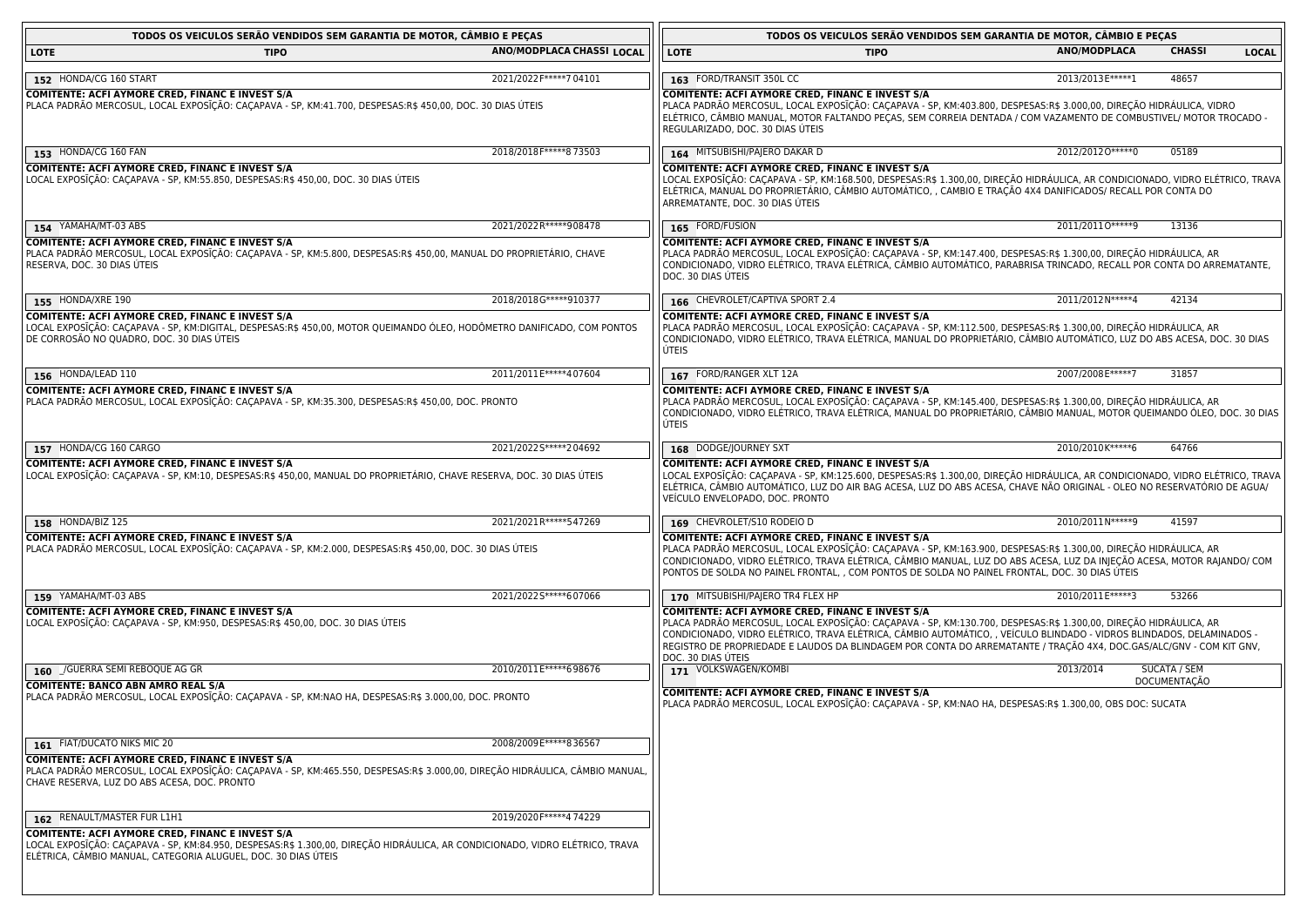| TODOS OS VEICULOS SERÃO VENDIDOS SEM GARANTIA DE MOTOR, CAMBIO E PEÇAS                                                                                                                                                                                    |                           |                                                                                                                                                                                                                                                                                                                                                                                                                                                   | TODOS OS VEICULOS SERÃO VENDIDOS SEM GARANTIA DE MOTOR, CÂMBIO E PEÇAS |                     |              |
|-----------------------------------------------------------------------------------------------------------------------------------------------------------------------------------------------------------------------------------------------------------|---------------------------|---------------------------------------------------------------------------------------------------------------------------------------------------------------------------------------------------------------------------------------------------------------------------------------------------------------------------------------------------------------------------------------------------------------------------------------------------|------------------------------------------------------------------------|---------------------|--------------|
| <b>TIPO</b><br>LOTE                                                                                                                                                                                                                                       | ANO/MODPLACA CHASSI LOCAL | <b>LOTE</b><br><b>TIPO</b>                                                                                                                                                                                                                                                                                                                                                                                                                        | <b>ANO/MODPLACA</b>                                                    | <b>CHASSI</b>       | <b>LOCAL</b> |
| 152 HONDA/CG 160 START                                                                                                                                                                                                                                    | 2021/2022 F***** 7 04101  | 163 FORD/TRANSIT 350L CC                                                                                                                                                                                                                                                                                                                                                                                                                          | 2013/2013E*****1                                                       | 48657               |              |
| COMITENTE: ACFI AYMORE CRED, FINANC E INVEST S/A<br>PLACA PADRAO MERCOSUL, LOCAL EXPOSIÇÃO: CAÇAPAVA - SP, KM:41.700, DESPESAS:R\$ 450,00, DOC. 30 DIAS ÚTEIS                                                                                             |                           | COMITENTE: ACFI AYMORE CRED, FINANC E INVEST S/A<br>PLACA PADRAO MERCOSUL, LOCAL EXPOSIÇÃO: CAÇAPAVA - SP, KM:403.800, DESPESAS:R\$ 3.000,00, DIREÇÃO HIDRÁULICA, VIDRO<br>ELÉTRICO, CÂMBIO MANUAL, MOTOR FALTANDO PEÇAS, SEM CORREIA DENTADA / COM VAZAMENTO DE COMBUSTIVEL/ MOTOR TROCADO -<br>REGULARIZADO, DOC. 30 DIAS ÚTEIS                                                                                                                 |                                                                        |                     |              |
| 153 HONDA/CG 160 FAN                                                                                                                                                                                                                                      | 2018/2018F*****873503     | 164 MITSUBISHI/PAJERO DAKAR D                                                                                                                                                                                                                                                                                                                                                                                                                     | 2012/20120*****0                                                       | 05189               |              |
| COMITENTE: ACFI AYMORE CRED, FINANC E INVEST S/A<br>LOCAL EXPOSIÇAO: CAÇAPAVA - SP, KM:55.850, DESPESAS:R\$ 450,00, DOC. 30 DIAS ÚTEIS                                                                                                                    |                           | COMITENTE: ACFI AYMORE CRED, FINANC E INVEST S/A<br>LOCAL EXPOSIÇÃO: CAÇAPAVA - SP, KM:168.500, DESPESAS:R\$ 1.300,00, DIREÇÃO HIDRÁULICA, AR CONDICIONADO, VIDRO ELÉTRICO, TRAVA<br>ELÉTRICA, MANUAL DO PROPRIETÁRIO, CÂMBIO AUTOMÁTICO, , CAMBIO E TRAÇÃO 4X4 DANIFICADOS/ RECALL POR CONTA DO<br>ARREMATANTE, DOC. 30 DIAS UTEIS                                                                                                               |                                                                        |                     |              |
| 154 YAMAHA/MT-03 ABS                                                                                                                                                                                                                                      | 2021/2022R ***** 908478   | 165 FORD/FUSION                                                                                                                                                                                                                                                                                                                                                                                                                                   | 2011/20110*****9                                                       | 13136               |              |
| <b>COMITENTE: ACFI AYMORE CRED, FINANC E INVEST S/A</b><br>PLACA PADRÃO MERCOSUL, LOCAL EXPOSIÇÃO: CAÇAPAVA - SP, KM:5.800, DESPESAS:R\$ 450,00, MANUAL DO PROPRIETÁRIO, CHAVE<br>RESERVA, DOC. 30 DIAS UTEIS                                             |                           | COMITENTE: ACFI AYMORE CRED, FINANC E INVEST S/A<br>PLACA PADRÃO MERCOSUL, LOCAL EXPOSIÇÃO: CAÇAPAVA - SP, KM:147.400, DESPESAS:R\$ 1.300,00, DIREÇÃO HIDRÁULICA, AR<br>CONDICIONADO, VIDRO ELÉTRICO, TRAVA ELÉTRICA, CÁMBIO AUTOMÁTICO, PARABRISA TRINCADO, RECALL POR CONTA DO ARREMATANTE,<br>DOC. 30 DIAS UTEIS                                                                                                                               |                                                                        |                     |              |
| 155 HONDA/XRE 190                                                                                                                                                                                                                                         | 2018/2018G*****910377     | 166 CHEVROLET/CAPTIVA SPORT 2.4                                                                                                                                                                                                                                                                                                                                                                                                                   | 2011/2012N*****4                                                       | 42134               |              |
| <b>COMITENTE: ACFI AYMORE CRED, FINANC E INVEST S/A</b><br>LOCAL EXPOSIÇÃO: CAÇAPAVA - SP, KM:DIGITAL, DESPESAS:R\$ 450,00, MOTOR QUEIMANDO ÓLEO, HODÔMETRO DANIFICADO, COM PONTOS<br>DE CORROSAO NO QUADRO, DOC. 30 DIAS UTEIS                           |                           | COMITENTE: ACFI AYMORE CRED, FINANC E INVEST S/A<br>PLACA PADRÃO MERCOSUL, LOCAL EXPOSĪÇÃO: CAÇAPAVA - SP, KM:112.500, DESPESAS:R\$ 1.300,00, DIREÇÃO HIDRÁULICA, AR<br>CONDICIONADO, VIDRO ELÉTRICO, TRAVA ELÉTRICA, MANUAL DO PROPRIETÁRIO, CÂMBIO AUTOMÁTICO, LUZ DO ABS ACESA, DOC. 30 DIAS<br>ÚTEIS                                                                                                                                          |                                                                        |                     |              |
| 156 HONDA/LEAD 110                                                                                                                                                                                                                                        | 2011/2011E*****407604     | 167 FORD/RANGER XLT 12A                                                                                                                                                                                                                                                                                                                                                                                                                           | 2007/2008E*****7                                                       | 31857               |              |
| COMITENTE: ACFI AYMORE CRED, FINANC E INVEST S/A<br>PLACA PADRÃO MERCOSUL, LOCAL EXPOSIÇÃO: CAÇAPAVA - SP, KM:35.300, DESPESAS:R\$ 450,00, DOC. PRONTO                                                                                                    |                           | <b>COMITENTE: ACFI AYMORE CRED, FINANC E INVEST S/A</b><br>PLACA PADRÃO MERCOSUL, LOCAL EXPOSĪÇÃO: CAÇAPAVA - SP, KM:145.400, DESPESAS:R\$ 1.300,00, DIREÇÃO HIDRÁULIÇA, AR<br>CONDICIONADO, VIDRO ELÉTRICO, TRAVA ELÉTRICA, MANUAL DO PROPRIETÁRIO, CÂMBIO MANUAL, MOTOR QUEIMANDO ÓLEO, DOC. 30 DIAS<br><b>ÚTEIS</b>                                                                                                                            |                                                                        |                     |              |
| 157 HONDA/CG 160 CARGO                                                                                                                                                                                                                                    | 2021/20225 ***** 204692   | 168 DODGE/JOURNEY SXT                                                                                                                                                                                                                                                                                                                                                                                                                             | 2010/2010 K*****6                                                      | 64766               |              |
| COMITENTE: ACFI AYMORE CRED, FINANC E INVEST S/A<br>LOCAL EXPOSIÇÃO: CAÇAPAVA - SP, KM:10, DESPESAS:R\$ 450,00, MANUAL DO PROPRIETÁRIO, CHAVE RESERVA, DOC. 30 DIAS ÚTEIS                                                                                 |                           | <b>COMITENTE: ACFI AYMORE CRED, FINANC E INVEST S/A</b><br>LOCAL EXPOSIÇÃO: CAÇAPAVA - SP, KM:125.600, DESPESAS:R\$ 1.300,00, DIREÇÃO HIDRÁULICA, AR CONDICIONADO, VIDRO ELÉTRICO, TRAVA<br>ELÉTRICA, CÂMBIO AUTOMÁTICO, LUZ DO AIR BAG ACESA, LUZ DO ABS ACESA, CHAVE NÃO ORIGINAL - OLEO NO RESERVATÓRIO DE AGUA/<br>VEÍCULO ENVELOPADO, DOC. PRONTO                                                                                            |                                                                        |                     |              |
| 158 HONDA/BIZ 125                                                                                                                                                                                                                                         | 2021/2021R*****547269     | 169 CHEVROLET/S10 RODEIO D                                                                                                                                                                                                                                                                                                                                                                                                                        | 2010/2011N*****9                                                       | 41597               |              |
| COMITENTE: ACFI AYMORE CRED, FINANC E INVEST S/A<br>PLACA PADRÃO MERCOSUL, LOCAL EXPOSIÇÃO: CAÇAPAVA - SP, KM:2.000, DESPESAS:R\$ 450,00, DOC. 30 DIAS ÚTEIS                                                                                              |                           | <b>COMITENTE: ACFI AYMORE CRED, FINANC E INVEST S/A</b><br>PLACA PADRÃO MERCOSUL, LOCAL EXPOSIÇÃO: CAÇAPAVA - SP, KM:163.900, DESPESAS:R\$ 1.300,00, DIREÇÃO HIDRAULICA, AR<br>CONDICIONADO, VIDRO ELÉTRICO, TRAVA ELÉTRICA, CÂMBIO MANUAL, LUZ DO ABS ACESA, LUZ DA INJEÇÃO ACESA, MOTOR RAJANDO/ COM<br>PONTOS DE SOLDA NO PAINEL FRONTAL, , COM PONTOS DE SOLDA NO PAINEL FRONTAL, DOC. 30 DIAS UTEIS                                          |                                                                        |                     |              |
| 159 YAMAHA/MT-03 ABS                                                                                                                                                                                                                                      | 2021/20225 ***** 607066   | 170 MITSUBISHI/PAJERO TR4 FLEX HP                                                                                                                                                                                                                                                                                                                                                                                                                 | 2010/2011E*****3                                                       | 53266               |              |
| COMITENTE: ACFI AYMORE CRED, FINANC E INVEST S/A<br>LOCAL EXPOSIÇÃO: CAÇAPAVA - SP, KM:950, DESPESAS:R\$ 450,00, DOC. 30 DIAS ÚTEIS                                                                                                                       |                           | <b>COMITENTE: ACFI AYMORE CRED, FINANC E INVEST S/A</b><br>PLACA PADRÃO MERCOSUL, LOCAL EXPOSIÇÃO: CAÇAPAVA - SP, KM:130.700, DESPESAS:R\$ 1.300,00, DIREÇÃO HIDRÁULICA, AR<br>CONDICIONADO, VIDRO ELÉTRICO, TRAVA ELÉTRICA, CÂMBIO AUTOMÁTICO, , VEÍCULO BLINDADO - VIDROS BLINDADOS, DELAMINADOS -<br>REGISTRO DE PROPRIEDADE E LAUDOS DA BLINDAGEM POR CONTA DO ARREMATANTE / TRAÇÃO 4X4, DOC.GAS/ALC/GNV - COM KIT GNV,<br>DOC. 30 DIAS UTEIS |                                                                        |                     |              |
| 160 _/GUERRA SEMI REBOQUE AG GR                                                                                                                                                                                                                           | 2010/2011E*****698676     | 171 VOLKSWAGEN/KOMBI                                                                                                                                                                                                                                                                                                                                                                                                                              | 2013/2014                                                              | SUCATA / SEM        |              |
| <b>COMITENTE: BANCO ABN AMRO REAL S/A</b><br>PLACA PADRÃO MERCOSUL, LOCAL EXPOSIÇÃO: CAÇAPAVA - SP, KM:NAO HA, DESPESAS:R\$ 3.000,00, DOC. PRONTO                                                                                                         |                           | <b>COMITENTE: ACFI AYMORE CRED, FINANC E INVEST S/A</b><br>PLACA PADRÃO MERCOSUL, LOCAL EXPOSIÇÃO: CAÇAPAVA - SP, KM:NAO HA, DESPESAS:R\$ 1.300,00, OBS DOC: SUCATA                                                                                                                                                                                                                                                                               |                                                                        | <b>DOCUMENTAÇÃO</b> |              |
| 161 FIAT/DUCATO NIKS MIC 20                                                                                                                                                                                                                               | 2008/2009E*****836567     |                                                                                                                                                                                                                                                                                                                                                                                                                                                   |                                                                        |                     |              |
| <b>COMITENTE: ACFI AYMORE CRED, FINANC E INVEST S/A</b><br>PLACA PADRÃO MERCOSUL, LOCAL EXPOSIÇÃO: CAÇAPAVA - SP, KM:465.550, DESPESAS:R\$ 3.000,00, DIREÇÃO HIDRÁULICA, CÂMBIO MANUAL,<br>CHAVE RESERVA, LUZ DO ABS ACESA, DOC. PRONTO                   |                           |                                                                                                                                                                                                                                                                                                                                                                                                                                                   |                                                                        |                     |              |
| 162 RENAULT/MASTER FUR L1H1                                                                                                                                                                                                                               | 2019/2020F*****4 74229    |                                                                                                                                                                                                                                                                                                                                                                                                                                                   |                                                                        |                     |              |
| <b>COMITENTE: ACFI AYMORE CRED, FINANC E INVEST S/A</b><br>LOCAL EXPOSIÇÃO: CAÇAPAVA - SP, KM:84.950, DESPESAS:R\$ 1.300,00, DIREÇÃO HIDRÁULICA, AR CONDICIONADO, VIDRO ELÉTRICO, TRAVA<br>ELÉTRICA, CÂMBIO MANUAL, CATEGORIA ALUGUEL, DOC. 30 DIAS ÚTEIS |                           |                                                                                                                                                                                                                                                                                                                                                                                                                                                   |                                                                        |                     |              |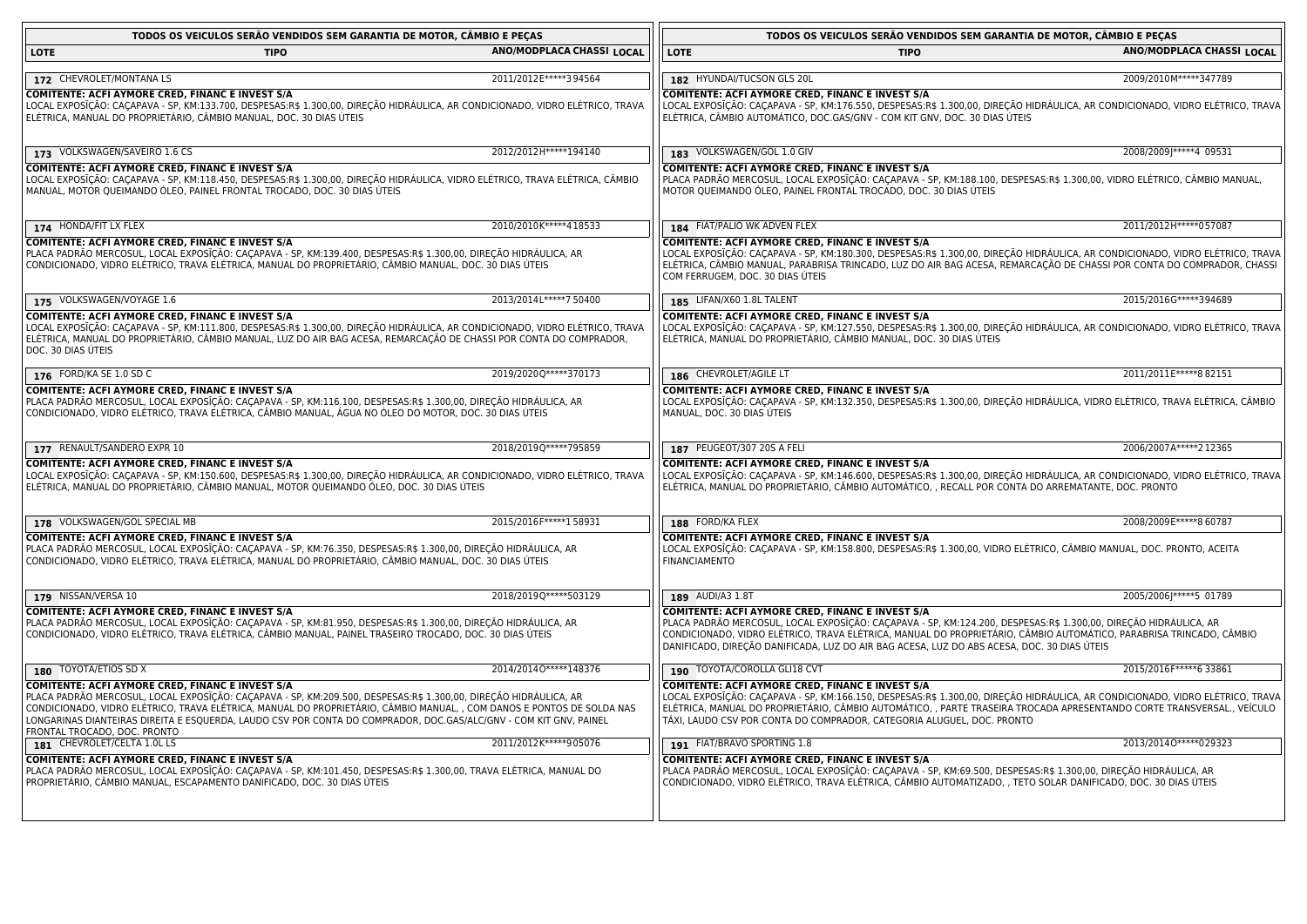| TODOS OS VEICULOS SERÃO VENDIDOS SEM GARANTIA DE MOTOR, CÂMBIO E PEÇAS                                                                                                                                                                                                                                                                                                                                                                              |                           | TODOS OS VEICULOS SERÃO VENDIDOS SEM GARANTIA DE MOTOR, CÂMBIO E PEÇAS                                                                                                                                                                                                                                                                                                                      |                           |
|-----------------------------------------------------------------------------------------------------------------------------------------------------------------------------------------------------------------------------------------------------------------------------------------------------------------------------------------------------------------------------------------------------------------------------------------------------|---------------------------|---------------------------------------------------------------------------------------------------------------------------------------------------------------------------------------------------------------------------------------------------------------------------------------------------------------------------------------------------------------------------------------------|---------------------------|
|                                                                                                                                                                                                                                                                                                                                                                                                                                                     |                           |                                                                                                                                                                                                                                                                                                                                                                                             |                           |
| <b>LOTE</b><br><b>TIPO</b>                                                                                                                                                                                                                                                                                                                                                                                                                          | ANO/MODPLACA CHASSI LOCAL | <b>LOTE</b><br><b>TIPO</b>                                                                                                                                                                                                                                                                                                                                                                  | ANO/MODPLACA CHASSI LOCAL |
| 172 CHEVROLET/MONTANA LS                                                                                                                                                                                                                                                                                                                                                                                                                            | 2011/2012 E*****3 94564   | 182 HYUNDAI/TUCSON GLS 20L                                                                                                                                                                                                                                                                                                                                                                  | 2009/2010M*****347789     |
| COMITENTE: ACFI AYMORE CRED, FINANC E INVEST S/A<br>LOCAL EXPOSĪÇÃO: CAÇAPAVA - SP, KM:133.700, DESPESAS:R\$ 1.300,00, DIREÇÃO HIDRÁULICA, AR CONDICIONADO, VIDRO ELÉTRICO, TRAVA<br>ELÉTRICA, MANUAL DO PROPRIETÁRIO, CÂMBIO MANUAL, DOC. 30 DIAS ÚTEIS                                                                                                                                                                                            |                           | COMITENTE: ACFI AYMORE CRED, FINANC E INVEST S/A<br>LOCAL EXPOSIÇÃO: CAÇAPAVA - SP, KM:176.550, DESPESAS:R\$ 1.300,00, DIREÇÃO HIDRÁULICA, AR CONDICIONADO, VIDRO ELÉTRICO, TRAVA<br>ELÉTRICA, CÂMBIO AUTOMÁTICO, DOC.GAS/GNV - COM KIT GNV, DOC. 30 DIAS ÚTEIS                                                                                                                             |                           |
| 173 VOLKSWAGEN/SAVEIRO 1.6 CS                                                                                                                                                                                                                                                                                                                                                                                                                       | 2012/2012 H ***** 194140  | 183 VOLKSWAGEN/GOL 1.0 GIV                                                                                                                                                                                                                                                                                                                                                                  | 2008/2009J*****4 09531    |
| COMITENTE: ACFI AYMORE CRED, FINANC E INVEST S/A<br>LOCAL EXPOSIÇÃO: CAÇAPAVA - SP, KM:118.450, DESPESAS:R\$ 1.300,00, DIREÇÃO HIDRÁULICA, VIDRO ELÉTRICO, TRAVA ELÉTRICA, CÂMBIO<br>MANUAL, MOTOR QUEIMANDO ÓLEO, PAINEL FRONTAL TROCADO, DOC. 30 DIAS ÚTEIS                                                                                                                                                                                       |                           | COMITENTE: ACFI AYMORE CRED, FINANC E INVEST S/A<br>PLACA PADRÃO MERCOSUL, LOCAL EXPOSIÇÃO: CAÇAPAVA - SP, KM:188.100, DESPESAS:R\$ 1.300,00, VIDRO ELÉTRICO, CÂMBIO MANUAL,<br>MOTOR QUEIMANDO ÓLEO, PAINEL FRONTAL TROCADO, DOC. 30 DIAS ÚTEIS                                                                                                                                            |                           |
| 174 HONDA/FIT LX FLEX                                                                                                                                                                                                                                                                                                                                                                                                                               | 2010/2010 K*****4 18533   | 184 FIAT/PALIO WK ADVEN FLEX                                                                                                                                                                                                                                                                                                                                                                | 2011/2012H ***** 057087   |
| COMITENTE: ACFI AYMORE CRED, FINANC E INVEST S/A                                                                                                                                                                                                                                                                                                                                                                                                    |                           | COMITENTE: ACFI AYMORE CRED, FINANC E INVEST S/A                                                                                                                                                                                                                                                                                                                                            |                           |
| PLACA PADRÃO MERCOSUL, LOCAL EXPOSĪÇÃO: CAÇAPAVA - SP, KM:139.400, DESPESAS:R\$ 1.300,00, DIREÇÃO HIDRÁULICA, AR<br>CONDICIONADO, VIDRO ELÉTRICO, TRAVA ELÉTRICA, MANUAL DO PROPRIETÁRIO, CÂMBIO MANUAL, DOC. 30 DIAS ÚTEIS                                                                                                                                                                                                                         |                           | LOCAL EXPOSIÇÃO: CAÇAPAVA - SP, KM:180.300, DESPESAS:R\$ 1.300,00, DIREÇÃO HIDRÁULICA, AR CONDICIONADO, VIDRO ELÉTRICO, TRAVA<br>ELÉTRICA, CÂMBIO MANUAL, PARABRISA TRINCADO, LUZ DO AIR BAG ACESA, REMARCAÇÃO DE CHASSI POR CONTA DO COMPRADOR, CHASSI<br>COM FERRUGEM, DOC. 30 DIAS ÚTEIS                                                                                                 |                           |
| 175 VOLKSWAGEN/VOYAGE 1.6                                                                                                                                                                                                                                                                                                                                                                                                                           | 2013/2014L ***** 7 50400  | 185 LIFAN/X60 1.8L TALENT                                                                                                                                                                                                                                                                                                                                                                   | 2015/2016G ***** 394689   |
| COMITENTE: ACFI AYMORE CRED, FINANC E INVEST S/A<br>LOCAL EXPOSĨÇÃO: CAÇAPAVA - SP, KM:111.800, DESPESAS:R\$ 1.300,00, DIREÇÃO HIDRÁULICA, AR CONDICIONADO, VIDRO ELÉTRICO, TRAVA<br>ELÉTRICA, MANUAL DO PROPRIETÁRIO, CÂMBIO MANUAL, LUZ DO AIR BAG ACESA, REMARCAÇÃO DE CHASSI POR CONTA DO COMPRADOR,<br>DOC. 30 DIAS ÚTEIS                                                                                                                      |                           | COMITENTE: ACFI AYMORE CRED, FINANC E INVEST S/A<br>LOCAL EXPOSĨÇÃO: CAÇAPAVA - SP, KM:127.550, DESPESAS:R\$ 1.300,00, DIREÇÃO HIDRÁULICA, AR CONDICIONADO, VIDRO ELÉTRICO, TRAVA<br>ELÉTRICA, MANUAL DO PROPRIETÁRIO, CÂMBIO MANUAL, DOC. 30 DIAS ÚTEIS                                                                                                                                    |                           |
| 176 FORD/KA SE 1.0 SD C                                                                                                                                                                                                                                                                                                                                                                                                                             | 2019/2020Q*****370173     | 186 CHEVROLET/AGILE LT                                                                                                                                                                                                                                                                                                                                                                      | 2011/2011E*****882151     |
| <b>COMITENTE: ACFI AYMORE CRED, FINANC E INVEST S/A</b><br>PLACA PADRÃO MERCOSUL, LOCAL EXPOSĨÇÃO: CAÇAPAVA - SP, KM:116.100, DESPESAS:R\$ 1.300,00, DIREÇÃO HIDRÁULICA, AR<br>CONDICIONADO, VIDRO ELÉTRICO, TRAVA ELÉTRICA, CÂMBIO MANUAL, ÁGUA NO ÓLEO DO MOTOR, DOC. 30 DIAS ÚTEIS                                                                                                                                                               |                           | <b>COMITENTE: ACFI AYMORE CRED, FINANC E INVEST S/A</b><br>LOCAL EXPOSĪÇÃO: CAÇAPAVA - SP, KM:132.350, DESPESAS:R\$ 1.300,00, DIREÇÃO HIDRÁULICA, VIDRO ELÉTRICO, TRAVA ELÉTRICA, CÂMBIO<br>MANUAL, DOC. 30 DIAS UTEIS                                                                                                                                                                      |                           |
| 177 RENAULT/SANDERO EXPR 10                                                                                                                                                                                                                                                                                                                                                                                                                         | 2018/2019Q*****795859     | 187 PEUGEOT/307 20S A FELI                                                                                                                                                                                                                                                                                                                                                                  | 2006/2007A*****212365     |
| COMITENTE: ACFI AYMORE CRED, FINANC E INVEST S/A<br>LOCAL EXPOSIÇÃO: CAÇAPAVA - SP, KM:150.600, DESPESAS:R\$ 1.300,00, DIREÇÃO HIDRÁULICA, AR CONDICIONADO, VIDRO ELÉTRICO, TRAVA<br>ELÉTRICA, MANUAL DO PROPRIETÁRIO, CÃMBIO MANUAL, MOTOR QUEIMANDO ÓLEO, DOC. 30 DIAS ÚTEIS                                                                                                                                                                      |                           | COMITENTE: ACFI AYMORE CRED, FINANC E INVEST S/A<br>LOCAL EXPOSIÇÃO: CAÇAPAVA - SP, KM:146.600, DESPESAS:R\$ 1.300,00, DIREÇÃO HIDRÁULICA, AR CONDICIONADO, VIDRO ELÉTRICO, TRAVA<br>ELÉTRICA, MANUAL DO PROPRIETÁRIO, CÂMBIO AUTOMÁTICO, , RECALL POR CONTA DO ARREMATANTE, DOC. PRONTO                                                                                                    |                           |
| 178 VOLKSWAGEN/GOL SPECIAL MB                                                                                                                                                                                                                                                                                                                                                                                                                       | 2015/2016 F***** 158931   | 188 FORD/KA FLEX                                                                                                                                                                                                                                                                                                                                                                            | 2008/2009E*****8 60787    |
| COMITENTE: ACFI AYMORE CRED, FINANC E INVEST S/A<br>PLACA PADRÃO MERCOSUL, LOCAL EXPOSĨÇÃO: CAÇAPAVA - SP, KM:76.350, DESPESAS:R\$ 1.300,00, DIREÇÃO HIDRÁULICA, AR<br>CONDICIONADO, VIDRO ELÉTRICO, TRAVA ELÉTRICA, MANUAL DO PROPRIETÁRIO, CÂMBIO MANUAL, DOC. 30 DIAS ÚTEIS                                                                                                                                                                      |                           | COMITENTE: ACFI AYMORE CRED, FINANC E INVEST S/A<br>LOCAL EXPOSIÇÃO: CAÇAPAVA - SP, KM:158.800, DESPESAS:R\$ 1.300,00, VIDRO ELÉTRICO, CÂMBIO MANUAL, DOC. PRONTO, ACEITA<br><b>FINANCIAMENTO</b>                                                                                                                                                                                           |                           |
| 179 NISSAN/VERSA 10                                                                                                                                                                                                                                                                                                                                                                                                                                 | 2018/2019Q*****503129     | 189 AUDI/A3 1.8T                                                                                                                                                                                                                                                                                                                                                                            | 2005/2006J*****5 01789    |
| COMITENTE: ACFI AYMORE CRED, FINANC E INVEST S/A<br>PLACA PADRÃO MERCOSUL, LOCAL EXPOSĪÇÃO: CAÇAPAVA - SP, KM:81.950, DESPESAS:R\$ 1.300,00, DIREÇÃO HIDRÁULICA, AR<br>CONDICIONADO, VIDRO ELÉTRICO, TRAVA ELÉTRICA, CÁMBIO MANUAL, PAINEL TRASEIRO TROCADO, DOC. 30 DIAS ÚTEIS                                                                                                                                                                     |                           | COMITENTE: ACFI AYMORE CRED, FINANC E INVEST S/A<br>  PLACA PADRÃO MERCOSUL, LOCAL EXPOSĪÇÃO: CAÇAPAVA - SP, KM:124.200, DESPESAS:R\$ 1.300,00, DIREÇÃO HIDRÁULICA, AR<br>CONDICIONADO, VIDRO ELÉTRICO, TRAVA ELÉTRICA, MANUAL DO PROPRIETÁRIO, CÂMBIO AUTOMÁTICO, PARABRISA TRINCADO, CÂMBIO<br>DANIFICADO, DIREÇÃO DANIFICADA, LUZ DO AIR BAG ACESA, LUZ DO ABS ACESA, DOC. 30 DIAS ÚTEIS |                           |
| 180 TOYOTA/ETIOS SD X                                                                                                                                                                                                                                                                                                                                                                                                                               | 2014/20140 ***** 148376   | 190 TOYOTA/COROLLA GLI18 CVT                                                                                                                                                                                                                                                                                                                                                                | 2015/2016F*****6 33861    |
| COMITENTE: ACFI AYMORE CRED, FINANC E INVEST S/A<br>PLACA PADRÃO MERCOSUL, LOCAL EXPOSĪÇÃO: CAÇAPAVA - SP, KM:209.500, DESPESAS:R\$ 1.300,00, DIREÇÃO HIDRÁULICA, AR<br>CONDICIONADO, VIDRO ELÉTRICO, TRAVA ELÉTRICA, MANUAL DO PROPRIETÁRIO, CÂMBIO MANUAL, , COM DANOS E PONTOS DE SOLDA NAS<br>LONGARINAS DIANTEIRAS DIREITA E ESQUERDA, LAUDO CSV POR CONTA DO COMPRADOR, DOC.GAS/ALC/GNV - COM KIT GNV, PAINEL<br>FRONTAL TROCADO, DOC. PRONTO |                           | COMITENTE: ACFI AYMORE CRED, FINANC E INVEST S/A<br>LOCAL EXPOSĨÇÃO: CAÇAPAVA - SP, KM:166.150, DESPESAS:R\$ 1.300,00, DIREÇÃO HIDRÁULICA, AR CONDICIONADO, VIDRO ELÉTRICO, TRAVA<br>ELÉTRICA, MANUAL DO PROPRIETÁRIO, CÂMBIO AUTOMÁTICO, , PARTE TRASEIRA TROCADA APRESENTANDO CORTE TRANSVERSAL., VEÍCULO<br>TÁXI, LAUDO CSV POR CONTA DO COMPRADOR, CATEGORIA ALUGUEL, DOC. PRONTO       |                           |
| 181 CHEVROLET/CELTA 1.0L LS                                                                                                                                                                                                                                                                                                                                                                                                                         | 2011/2012 K*****905076    | 191 FIAT/BRAVO SPORTING 1.8                                                                                                                                                                                                                                                                                                                                                                 | 2013/20140 ***** 029323   |
| <b>COMITENTE: ACFI AYMORE CRED, FINANC E INVEST S/A</b><br>PLACA PADRÃO MERCOSUL, LOCAL EXPOSĪÇÃO: CAÇAPAVA - SP, KM:101.450, DESPESAS:R\$ 1.300,00, TRAVA ELÉTRICA, MANUAL DO<br>PROPRIETÁRIO, CÂMBIO MANUAL, ESCAPAMENTO DANIFICADO, DOC. 30 DIAS ÚTEIS                                                                                                                                                                                           |                           | COMITENTE: ACFI AYMORE CRED, FINANC E INVEST S/A<br>PLACA PADRÃO MERCOSUL, LOCAL EXPOSIÇÃO: CAÇAPAVA - SP, KM:69.500, DESPESAS:R\$ 1.300,00, DIREÇÃO HIDRÁULICA, AR<br>CONDICIONADO, VIDRO ELÉTRICO, TRAVA ELÉTRICA, CÂMBIO AUTOMATIZADO, , TETO SOLAR DANIFICADO, DOC. 30 DIAS ÚTEIS                                                                                                       |                           |
|                                                                                                                                                                                                                                                                                                                                                                                                                                                     |                           |                                                                                                                                                                                                                                                                                                                                                                                             |                           |

<u> 1980 - Johann Barn, fransk politik (f. 1980)</u>

<u> 1980 - Johann Barn, fransk politik (f. 1980)</u>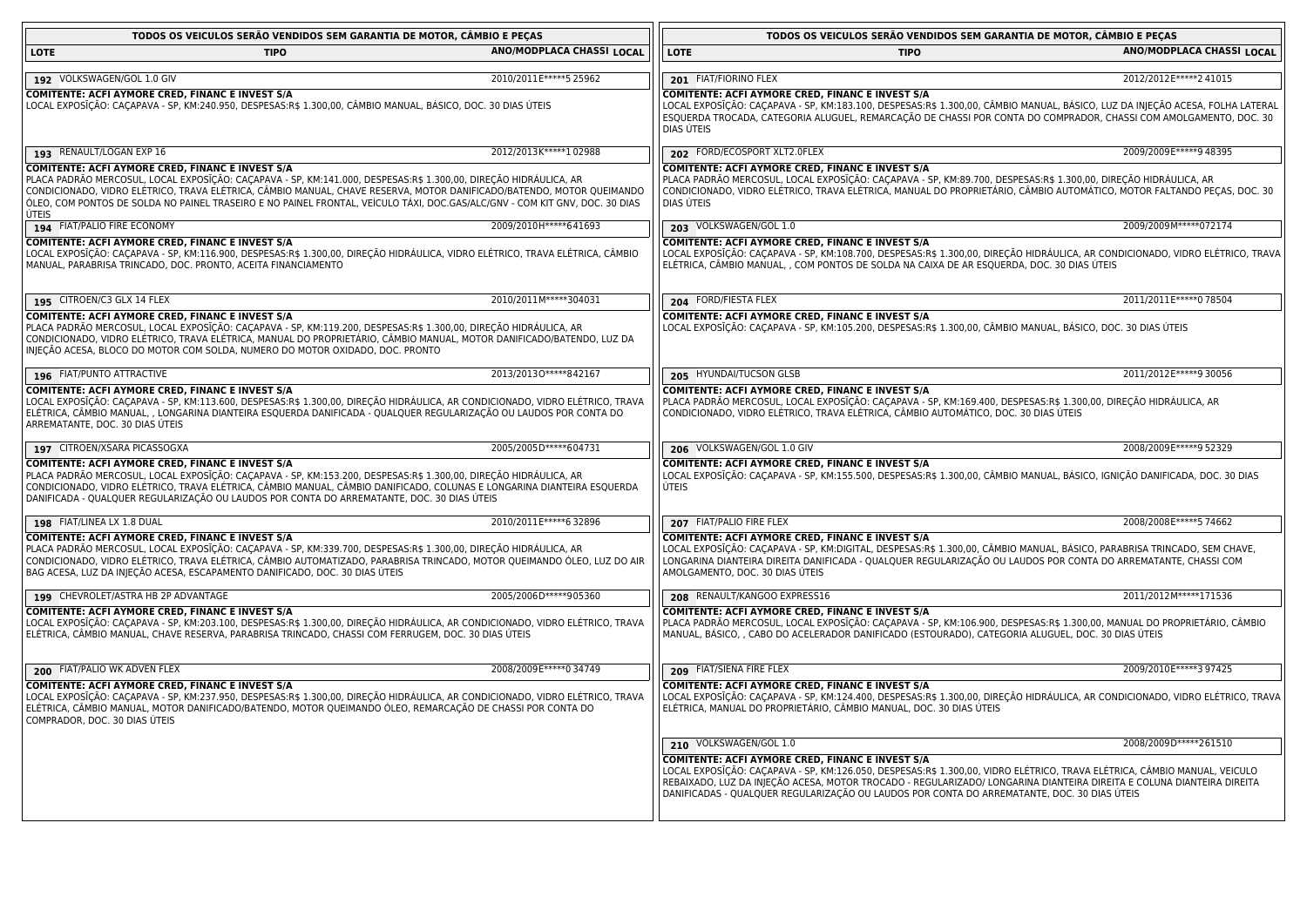| TODOS OS VEICULOS SERÃO VENDIDOS SEM GARANTIA DE MOTOR, CÂMBIO E PEÇAS                                                                                                                                                                                                                                                                                                                                                                |                           | TODOS OS VEICULOS SERÃO VENDIDOS SEM GARANTIA DE MOTOR, CÂMBIO E PEÇAS                                                                                                                                                                                                                                                                                                                                       |                           |
|---------------------------------------------------------------------------------------------------------------------------------------------------------------------------------------------------------------------------------------------------------------------------------------------------------------------------------------------------------------------------------------------------------------------------------------|---------------------------|--------------------------------------------------------------------------------------------------------------------------------------------------------------------------------------------------------------------------------------------------------------------------------------------------------------------------------------------------------------------------------------------------------------|---------------------------|
| <b>LOTE</b><br><b>TIPO</b>                                                                                                                                                                                                                                                                                                                                                                                                            | ANO/MODPLACA CHASSI LOCAL | <b>LOTE</b><br><b>TIPO</b>                                                                                                                                                                                                                                                                                                                                                                                   | ANO/MODPLACA CHASSI LOCAL |
| 192 VOLKSWAGEN/GOL 1.0 GIV                                                                                                                                                                                                                                                                                                                                                                                                            | 2010/2011E ***** 5 25962  | 201 FIAT/FIORINO FLEX                                                                                                                                                                                                                                                                                                                                                                                        | 2012/2012 E***** 241015   |
| COMITENTE: ACFI AYMORE CRED, FINANC E INVEST S/A<br>LOCAL EXPOSĪÇÃO: CAÇAPAVA - SP, KM:240.950, DESPESAS:R\$ 1.300,00, CÂMBIO MANUAL, BÁSICO, DOC. 30 DIAS ÚTEIS                                                                                                                                                                                                                                                                      |                           | COMITENTE: ACFI AYMORE CRED, FINANC E INVEST S/A<br>LOCAL EXPOSĪÇÃO: CAÇAPAVA - SP, KM:183.100, DESPESAS:R\$ 1.300,00, CÂMBIO MANUAL, BÁSICO, LUZ DA INJEÇÃO ACESA, FOLHA LATERAL<br>ESQUERDA TROCADA, CATEGORIA ALUGUEL, REMARCAÇÃO DE CHASSI POR CONTA DO COMPRADOR, CHASSI COM AMOLGAMENTO, DOC. 30<br>DIAS UTEIS                                                                                         |                           |
| 193 RENAULT/LOGAN EXP 16                                                                                                                                                                                                                                                                                                                                                                                                              | 2012/2013K*****102988     | 202 FORD/ECOSPORT XLT2.0FLEX                                                                                                                                                                                                                                                                                                                                                                                 | 2009/2009E ***** 948395   |
| COMITENTE: ACFI AYMORE CRED, FINANC E INVEST S/A<br>PLACA PADRÃO MERCOSUL, LOCAL EXPOSĪÇÃO: CAÇAPAVA - SP, KM:141.000, DESPESAS:R\$ 1.300,00, DIREÇÃO HIDRÁULICA, AR<br>CONDICIONADO, VIDRO ELÉTRICO, TRAVA ELÉTRICA, CÂMBIO MANUAL, CHAVE RESERVA, MOTOR DANIFICADO/BATENDO, MOTOR QUEIMANDO<br>ÓLEO, COM PONTOS DE SOLDA NO PAINEL TRASEIRO E NO PAINEL FRONTAL, VEÍCULO TÁXI, DOC.GAS/ALC/GNV - COM KIT GNV, DOC. 30 DIAS<br>ÚTEIS |                           | COMITENTE: ACFI AYMORE CRED, FINANC E INVEST S/A<br>PLACA PADRÃO MERCOSUL, LOCAL EXPOSĨÇÃO: CAÇAPAVA - SP, KM:89.700, DESPESAS:R\$ 1.300,00, DIREÇÃO HIDRÁULICA, AR<br>CONDICIONADO, VIDRO ELÉTRICO, TRAVA ELÉTRICA, MANUAL DO PROPRIETÁRIO, CÂMBIO AUTOMÁTICO, MOTOR FALTANDO PEÇAS, DOC. 30<br>DIAS ÚTEIS                                                                                                  |                           |
| 194 FIAT/PALIO FIRE ECONOMY                                                                                                                                                                                                                                                                                                                                                                                                           | 2009/2010H*****641693     | 203 VOLKSWAGEN/GOL 1.0                                                                                                                                                                                                                                                                                                                                                                                       | 2009/2009M*****072174     |
| COMITENTE: ACFI AYMORE CRED, FINANC E INVEST S/A<br>LOCAL EXPOSĪÇÃO: CAÇAPAVA - SP, KM:116.900, DESPESAS:R\$ 1.300,00, DIREÇÃO HIDRÁULICA, VIDRO ELÉTRICO, TRAVA ELÉTRICA, CÂMBIO<br>MANUAL, PARABRISA TRINCADO, DOC. PRONTO, ACEITA FINANCIAMENTO                                                                                                                                                                                    |                           | COMITENTE: ACFI AYMORE CRED, FINANC E INVEST S/A<br>LOCAL EXPOSIÇÃO: CAÇAPAVA - SP, KM:108.700, DESPESAS:R\$ 1.300,00, DIREÇÃO HIDRÁULICA, AR CONDICIONADO, VIDRO ELÉTRICO, TRAVA<br>ELÉTRICA, CÂMBIO MANUAL, , COM PONTOS DE SOLDA NA CAIXA DE AR ESQUERDA, DOC. 30 DIAS ÚTEIS                                                                                                                              |                           |
| 195 CITROEN/C3 GLX 14 FLEX                                                                                                                                                                                                                                                                                                                                                                                                            | 2010/2011M*****304031     | 204 FORD/FIESTA FLEX                                                                                                                                                                                                                                                                                                                                                                                         | 2011/2011E ***** 0 78504  |
| COMITENTE: ACFI AYMORE CRED, FINANC E INVEST S/A<br>PLACA PADRÃO MERCOSUL, LOCAL EXPOSĪÇÃO: CAÇAPAVA - SP, KM:119.200, DESPESAS:R\$ 1.300,00, DIREÇÃO HIDRÁULICA, AR<br>CONDICIONADO, VIDRO ELÉTRICO, TRAVA ELÉTRICA, MANUAL DO PROPRIETÁRIO, CÂMBIO MANUAL, MOTOR DANIFICADO/BATENDO, LUZ DA<br>INJEÇÃO ACESA, BLOCO DO MOTOR COM SOLDA, NUMERO DO MOTOR OXIDADO, DOC. PRONTO                                                        |                           | COMITENTE: ACFI AYMORE CRED, FINANC E INVEST S/A<br>LOCAL EXPOSĪÇÃO: CAÇAPAVA - SP, KM:105.200, DESPESAS:R\$ 1.300,00, CÂMBIO MANUAL, BÁSICO, DOC. 30 DIAS ÚTEIS                                                                                                                                                                                                                                             |                           |
| 196 FIAT/PUNTO ATTRACTIVE                                                                                                                                                                                                                                                                                                                                                                                                             | 2013/20130 ***** 842167   | 205 HYUNDAI/TUCSON GLSB                                                                                                                                                                                                                                                                                                                                                                                      | 2011/2012 E*****9 30056   |
| COMITENTE: ACFI AYMORE CRED, FINANC E INVEST S/A<br>LOCAL EXPOSĨÇÃO: CAÇAPAVA - SP, KM:113.600, DESPESAS:R\$ 1.300,00, DIREÇÃO HIDRÁULICA, AR CONDICIONADO, VIDRO ELÉTRICO, TRAVA<br>ELÉTRICA, CÂMBIO MANUAL, , LONGARINA DIANTEIRA ESQUERDA DANIFICADA - QUALQUER REGULARIZAÇÃO OU LAUDOS POR CONTA DO<br>ARREMATANTE, DOC. 30 DIAS ÚTEIS                                                                                            |                           | COMITENTE: ACFI AYMORE CRED, FINANC E INVEST S/A<br>PLACA PADRÃO MERCOSUL, LOCAL EXPOSĪÇÃO: CAÇAPAVA - SP, KM:169.400, DESPESAS:R\$ 1.300,00, DIREÇÃO HIDRAULICA, AR<br>CONDICIONADO, VIDRO ELÉTRICO, TRAVA ELÉTRICA, CÂMBIO AUTOMÁTICO, DOC. 30 DIAS ÚTEIS                                                                                                                                                  |                           |
| 197 CITROEN/XSARA PICASSOGXA                                                                                                                                                                                                                                                                                                                                                                                                          | 2005/2005D*****604731     | 206 VOLKSWAGEN/GOL 1.0 GIV                                                                                                                                                                                                                                                                                                                                                                                   | 2008/2009E*****9 52329    |
| COMITENTE: ACFI AYMORE CRED, FINANC E INVEST S/A<br>PLACA PADRÃO MERCOSUL, LOCAL EXPOSĪÇÃO: CAÇAPAVA - SP, KM:153.200, DESPESAS:R\$ 1.300,00, DIREÇÃO HIDRÁULICA, AR<br>CONDICIONADO, VIDRO ELÉTRICO, TRAVA ELÉTRICA, CÂMBIO MANUAL, CÂMBIO DANIFICADO, COLUNAS E LONGARINA DIANTEIRA ESQUERDA<br>DANIFICADA - QUALQUER REGULARIZAÇÃO OU LAUDOS POR CONTA DO ARREMATANTE, DOC. 30 DIAS ÚTEIS                                          |                           | COMITENTE: ACFI AYMORE CRED, FINANC E INVEST S/A<br>LOCAL EXPOSĪÇÃO: CAÇAPAVA - SP, KM:155.500, DESPESAS:R\$ 1.300,00, CÂMBIO MANUAL, BÁSICO, IGNIÇÃO DANIFICADA, DOC. 30 DIAS<br>ÚTEIS                                                                                                                                                                                                                      |                           |
| 198 FIAT/LINEA LX 1.8 DUAL                                                                                                                                                                                                                                                                                                                                                                                                            | 2010/2011E*****632896     | 207 FIAT/PALIO FIRE FLEX                                                                                                                                                                                                                                                                                                                                                                                     | 2008/2008E*****5 74662    |
| COMITENTE: ACFI AYMORE CRED, FINANC E INVEST S/A<br>PLACA PADRÃO MERCOSUL, LOCAL EXPOSIÇÃO: CAÇAPAVA - SP, KM:339.700, DESPESAS:R\$ 1.300,00, DIREÇÃO HIDRÁULICA, AR<br>CONDICIONADO, VIDRO ELÉTRICO, TRAVA ELÉTRICA, CÂMBIO AUTOMATIZADO, PARABRISA TRINCADO, MOTOR QUEIMANDO ÓLEO, LUZ DO AIR<br>BAG ACESA, LUZ DA INJEÇÃO ACESA, ESCAPAMENTO DANIFICADO, DOC. 30 DIAS ÚTEIS                                                        |                           | COMITENTE: ACFI AYMORE CRED, FINANC E INVEST S/A<br>LOCAL EXPOSĪÇÃO: CAÇAPAVA - SP, KM:DIGITAL, DESPESAS:R\$ 1.300,00, CÂMBIO MANUAL, BÁSICO, PARABRISA TRINCADO, SEM CHAVE,<br>LONGARINA DIANTEIRA DIREITA DANIFICADA - QUALQUER REGULARIZAÇÃO OU LAUDOS POR CONTA DO ARREMATANTE, CHASSI COM<br>AMOLGAMENTO, DOC. 30 DIAS ÚTEIS                                                                            |                           |
| 199 CHEVROLET/ASTRA HB 2P ADVANTAGE                                                                                                                                                                                                                                                                                                                                                                                                   | 2005/2006D*****905360     | 208 RENAULT/KANGOO EXPRESS16                                                                                                                                                                                                                                                                                                                                                                                 | 2011/2012M*****171536     |
| <b>COMITENTE: ACFI AYMORE CRED, FINANC E INVEST S/A</b><br>LOCAL EXPOSĪÇÃO: CAÇAPAVA - SP, KM:203.100, DESPESAS:R\$ 1.300,00, DIREÇÃO HIDRÁULICA, AR CONDICIONADO, VIDRO ELÉTRICO, TRAVA<br>ELÉTRICA, CÂMBIO MANUAL, CHAVE RESERVA, PARABRISA TRINCADO, CHASSI COM FERRUGEM, DOC. 30 DIAS ÚTEIS                                                                                                                                       |                           | <b>COMITENTE: ACFI AYMORE CRED, FINANC E INVEST S/A</b><br>PLACA PADRÃO MERCOSUL, LOCAL EXPOSĨÇÃO: CAÇAPAVA - SP, KM:106.900, DESPESAS:R\$ 1.300,00, MANUAL DO PROPRIETÁRIO, CÂMBIO<br>MANUAL, BÁSICO, , CABO DO ACELERADOR DANIFICADO (ESTOURADO), CATEGORIA ALUGUEL, DOC. 30 DIAS ÚTEIS                                                                                                                    |                           |
| 200 FIAT/PALIO WK ADVEN FLEX                                                                                                                                                                                                                                                                                                                                                                                                          | 2008/2009E*****034749     | 209 FIAT/SIENA FIRE FLEX                                                                                                                                                                                                                                                                                                                                                                                     | 2009/2010E*****397425     |
| COMITENTE: ACFI AYMORE CRED, FINANC E INVEST S/A<br>LOCAL EXPOSĨÇÃO: CAÇAPAVA - SP, KM:237.950, DESPESAS:R\$ 1.300,00, DIREÇÃO HIDRÁULICA, AR CONDICIONADO, VIDRO ELÉTRICO, TRAVA<br>ELÉTRICA, CÂMBIO MANUAL, MOTOR DANIFICADO/BATENDO, MOTOR QUEIMANDO ÓLEO, REMARCAÇÃO DE CHASSI POR CONTA DO<br>COMPRADOR, DOC. 30 DIAS ÚTEIS                                                                                                      |                           | COMITENTE: ACFI AYMORE CRED, FINANC E INVEST S/A<br>LOCAL EXPOSĨÇÃO: CAÇAPAVA - SP, KM:124.400, DESPESAS:R\$ 1.300,00, DIREÇÃO HIDRÁULICA, AR CONDICIONADO, VIDRO ELÉTRICO, TRAVA<br>ELÉTRICA, MANUAL DO PROPRIETÁRIO, CÂMBIO MANUAL, DOC. 30 DIAS ÚTEIS                                                                                                                                                     |                           |
|                                                                                                                                                                                                                                                                                                                                                                                                                                       |                           | 210 VOLKSWAGEN/GOL 1.0                                                                                                                                                                                                                                                                                                                                                                                       | 2008/2009D*****261510     |
|                                                                                                                                                                                                                                                                                                                                                                                                                                       |                           | <b>COMITENTE: ACFI AYMORE CRED, FINANC E INVEST S/A</b><br>LOCAL EXPOSĪÇÃO: CAÇAPAVA - SP, KM:126.050, DESPESAS:R\$ 1.300,00, VIDRO ELÉTRICO, TRAVA ELÉTRICA, CÂMBIO MANUAL, VEICULO<br>REBAIXADO, LUZ DA INJEÇÃO ACESA, MOTOR TROCADO - REGULARIZADO/ LONGARINA DIANTEIRA DIREITA E COLUNA DIANTEIRA DIREITA<br>DANIFICADAS - QUALQUER REGULARIZAÇÃO OU LAUDOS POR CONTA DO ARREMATANTE, DOC. 30 DIAS ÚTEIS |                           |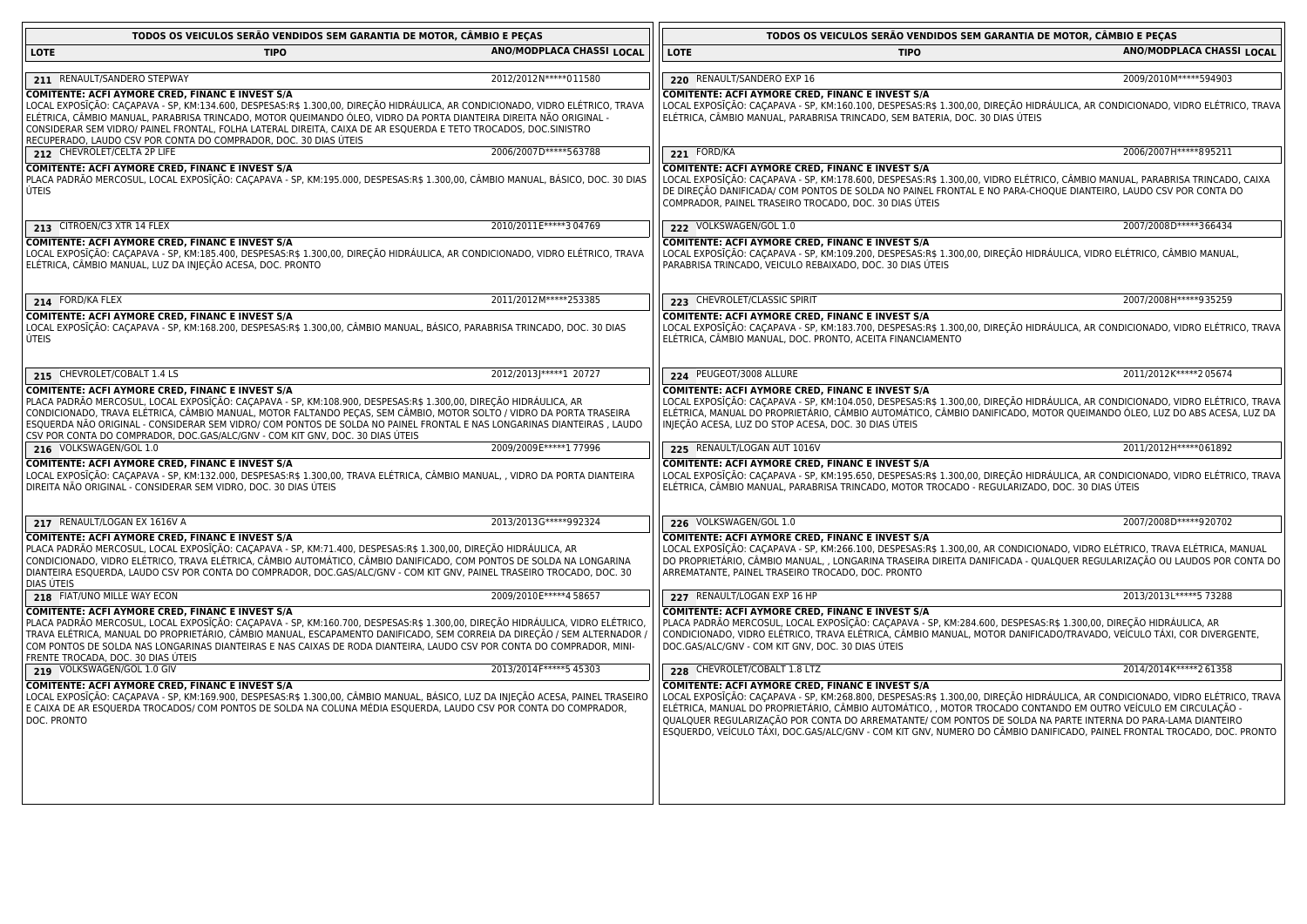|                                                                                                                                                                                                                                                                                                                                                                                    | TODOS OS VEICULOS SERÃO VENDIDOS SEM GARANTIA DE MOTOR, CÂMBIO E PEÇAS                                                                                                                                                                                                                                                                                                                                                                                                                                                                                |                            |
|------------------------------------------------------------------------------------------------------------------------------------------------------------------------------------------------------------------------------------------------------------------------------------------------------------------------------------------------------------------------------------|-------------------------------------------------------------------------------------------------------------------------------------------------------------------------------------------------------------------------------------------------------------------------------------------------------------------------------------------------------------------------------------------------------------------------------------------------------------------------------------------------------------------------------------------------------|----------------------------|
| ANO/MODPLACA CHASSI LOCAL                                                                                                                                                                                                                                                                                                                                                          | <b>LOTE</b><br><b>TIPO</b>                                                                                                                                                                                                                                                                                                                                                                                                                                                                                                                            | ANO/MODPLACA CHASSI LOCAL  |
| 2012/2012N ***** 011580                                                                                                                                                                                                                                                                                                                                                            |                                                                                                                                                                                                                                                                                                                                                                                                                                                                                                                                                       | 2009/2010M*****594903      |
| LOCAL EXPOSĪÇÃO: CAÇAPAVA - SP, KM:134.600, DESPESAS:R\$ 1.300,00, DIREÇÃO HIDRÁULICA, AR CONDICIONADO, VIDRO ELÉTRICO, TRAVA<br>ELÉTRICA, CÂMBIO MANUAL, PARABRISA TRINCADO, MOTOR QUEIMANDO ÓLEO, VIDRO DA PORTA DIANTEIRA DIREITA NÃO ORIGINAL -<br>CONSIDERAR SEM VIDRO/ PAINEL FRONTAL, FOLHA LATERAL DIREITA, CAIXA DE AR ESQUERDA E TETO TROCADOS, DOC.SINISTRO             | COMITENTE: ACFI AYMORE CRED, FINANC E INVEST S/A<br>LOCAL EXPOSIÇÃO: CAÇAPAVA - SP, KM:160.100, DESPESAS:R\$ 1.300,00, DIREÇÃO HIDRÁULICA, AR CONDICIONADO, VIDRO ELÉTRICO, TRAVA<br>ELÉTRICA, CÂMBIO MANUAL, PARABRISA TRINCADO, SEM BATERIA, DOC. 30 DIAS ÚTEIS                                                                                                                                                                                                                                                                                     |                            |
| 2006/2007D*****563788                                                                                                                                                                                                                                                                                                                                                              | 221 FORD/KA                                                                                                                                                                                                                                                                                                                                                                                                                                                                                                                                           | 2006/2007H ***** 895211    |
| PLACA PADRÃO MERCOSUL, LOCAL EXPOSĨÇÃO: CAÇAPAVA - SP, KM:195.000, DESPESAS:R\$ 1.300,00, CÂMBIO MANUAL, BÁSICO, DOC. 30 DIAS                                                                                                                                                                                                                                                      | COMITENTE: ACFI AYMORE CRED, FINANC E INVEST S/A<br>LOCAL EXPOSĪÇÃO: CAÇAPAVA - SP, KM:178.600, DESPESAS:R\$ 1.300,00, VIDRO ELÉTRICO, CÂMBIO MANUAL, PARABRISA TRINCADO, CAIXA<br>DE DIREÇÃO DANIFICADA/ COM PONTOS DE SOLDA NO PAINEL FRONTAL E NO PARA-CHOQUE DIANTEIRO, LAUDO CSV POR CONTA DO<br>COMPRADOR, PAINEL TRASEIRO TROCADO, DOC. 30 DIAS ÚTEIS                                                                                                                                                                                          |                            |
| 2010/2011E*****304769                                                                                                                                                                                                                                                                                                                                                              | 222 VOLKSWAGEN/GOL 1.0                                                                                                                                                                                                                                                                                                                                                                                                                                                                                                                                | 2007/2008D*****366434      |
| LOCAL EXPOSĪÇÃO: CAÇAPAVA - SP, KM:185.400, DESPESAS:R\$ 1.300,00, DIREÇÃO HIDRÁULICA, AR CONDICIONADO, VIDRO ELÉTRICO, TRAVA                                                                                                                                                                                                                                                      | COMITENTE: ACFI AYMORE CRED, FINANC E INVEST S/A<br>LOCAL EXPOSIÇÃO: CAÇAPAVA - SP, KM:109.200, DESPESAS:R\$ 1.300,00, DIREÇÃO HIDRÁULICA, VIDRO ELÉTRICO, CÂMBIO MANUAL,<br>PARABRISA TRINCADO, VEICULO REBAIXADO, DOC. 30 DIAS ÚTEIS                                                                                                                                                                                                                                                                                                                |                            |
| 2011/2012M*****253385                                                                                                                                                                                                                                                                                                                                                              | 223 CHEVROLET/CLASSIC SPIRIT                                                                                                                                                                                                                                                                                                                                                                                                                                                                                                                          | 2007/2008H*****935259      |
| LOCAL EXPOSĪÇÃO: CAÇAPAVA - SP, KM:168.200, DESPESAS:R\$ 1.300,00, CÂMBIO MANUAL, BÁSICO, PARABRISA TRINCADO, DOC. 30 DIAS                                                                                                                                                                                                                                                         | COMITENTE: ACFI AYMORE CRED, FINANC E INVEST S/A<br>LOCAL EXPOSIÇÃO: CAÇAPAVA - SP, KM:183.700, DESPESAS:R\$ 1.300,00, DIREÇÃO HIDRÁULICA, AR CONDICIONADO, VIDRO ELÉTRICO, TRAVA<br>ELÉTRICA, CÂMBIO MANUAL, DOC. PRONTO, ACEITA FINANCIAMENTO                                                                                                                                                                                                                                                                                                       |                            |
| 2012/2013  ***** 1 20727                                                                                                                                                                                                                                                                                                                                                           | 224 PEUGEOT/3008 ALLURE                                                                                                                                                                                                                                                                                                                                                                                                                                                                                                                               | 2011/2012K*****205674      |
| PLACA PADRÃO MERCOSUL, LOCAL EXPOSĪÇÃO: CAÇAPAVA - SP, KM:108.900, DESPESAS:R\$ 1.300,00, DIREÇÃO HIDRÁULICA, AR<br>CONDICIONADO, TRAVA ELÉTRICA, CÂMBIO MANUAL, MOTOR FALTANDO PEÇAS, SEM CÂMBIO, MOTOR SOLTO / VIDRO DA PORTA TRASEIRA<br>ESQUERDA NÃO ORIGINAL - CONSIDERAR SEM VIDRO/ COM PONTOS DE SOLDA NO PAINEL FRONTAL E NAS LONGARINAS DIANTEIRAS , LAUDO                | <b>COMITENTE: ACFI AYMORE CRED, FINANC E INVEST S/A</b><br>LOCAL EXPOSIÇÃO: CAÇAPAVA - SP, KM:104.050, DESPESAS:R\$ 1.300,00, DIREÇÃO HIDRÁULICA, AR CONDICIONADO, VIDRO ELÉTRICO, TRAVA<br>ELÉTRICA, MANUAL DO PROPRIETÁRIO, CÂMBIO AUTOMÁTICO, CÂMBIO DANIFICADO, MOTOR QUEIMANDO ÓLEO, LUZ DO ABS ACESA, LUZ DA<br>INJEÇÃO ACESA, LUZ DO STOP ACESA, DOC. 30 DIAS ÚTEIS                                                                                                                                                                            |                            |
| 2009/2009E ***** 1 77996                                                                                                                                                                                                                                                                                                                                                           | 225 RENAULT/LOGAN AUT 1016V                                                                                                                                                                                                                                                                                                                                                                                                                                                                                                                           | 2011/2012H ***** 061892    |
| LOCAL EXPOSĪÇÃO: CAÇAPAVA - SP, KM:132.000, DESPESAS:R\$ 1.300,00, TRAVA ELÉTRICA, CÂMBIO MANUAL, , VIDRO DA PORTA DIANTEIRA                                                                                                                                                                                                                                                       | COMITENTE: ACFI AYMORE CRED, FINANC E INVEST S/A<br>LOCAL EXPOSIÇÃO: CAÇAPAVA - SP, KM:195.650, DESPESAS:R\$ 1.300,00, DIREÇÃO HIDRÁULICA, AR CONDICIONADO, VIDRO ELÉTRICO, TRAVA<br>ELÉTRICA, CÂMBIO MANUAL, PARABRISA TRINCADO, MOTOR TROCADO - REGULARIZADO, DOC. 30 DIAS ÚTEIS                                                                                                                                                                                                                                                                    |                            |
| 2013/2013G*****992324                                                                                                                                                                                                                                                                                                                                                              | 226 VOLKSWAGEN/GOL 1.0                                                                                                                                                                                                                                                                                                                                                                                                                                                                                                                                | 2007/2008D*****920702      |
| PLACA PADRÃO MERCOSUL, LOCAL EXPOSĨÇÃO: CAÇAPAVA - SP, KM:71.400, DESPESAS:R\$ 1.300,00, DIREÇÃO HIDRÁULICA, AR<br>CONDICIONADO, VIDRO ELÉTRICO, TRAVA ELÉTRICA, CÂMBIO AUTOMÁTICO, CÂMBIO DANIFICADO, COM PONTOS DE SOLDA NA LONGARINA<br>DIANTEIRA ESQUERDA, LAUDO CSV POR CONTA DO COMPRADOR, DOC.GAS/ALC/GNV - COM KIT GNV, PAINEL TRASEIRO TROCADO, DOC. 30                   | COMITENTE: ACFI AYMORE CRED, FINANC E INVEST S/A<br>LOCAL EXPOSIÇÃO: CAÇAPAVA - SP, KM:266.100, DESPESAS:R\$ 1.300,00, AR CONDICIONADO, VIDRO ELÉTRICO, TRAVA ELÉTRICA, MANUAL<br>DO PROPRIETÁRIO, CÂMBIO MANUAL, , LONGARINA TRASEIRA DIREITA DANIFICADA - QUALQUER REGULARIZAÇÃO OU LAUDOS POR CONTA DO<br>ARREMATANTE, PAINEL TRASEIRO TROCADO, DOC. PRONTO                                                                                                                                                                                        |                            |
| 2009/2010E*****4 58657                                                                                                                                                                                                                                                                                                                                                             | 227 RENAULT/LOGAN EXP 16 HP                                                                                                                                                                                                                                                                                                                                                                                                                                                                                                                           | 2013/2013L ***** 5 73288   |
| PLACA PADRÃO MERCOSUL, LOCAL EXPOSĪÇÃO: CAÇAPAVA - SP, KM:160.700, DESPESAS:R\$ 1.300,00, DIREÇÃO HIDRÁULICA, VIDRO ELÉTRICO,<br>TRAVA ELÉTRICA, MANUAL DO PROPRIETÁRIO, CÂMBIO MANUAL, ESCAPAMENTO DANIFICADO, SEM CORREIA DA DIREÇÃO / SEM ALTERNADOR ,<br>COM PONTOS DE SOLDA NAS LONGARINAS DIANTEIRAS E NAS CAIXAS DE RODA DIANTEIRA, LAUDO CSV POR CONTA DO COMPRADOR, MINI- | COMITENTE: ACFI AYMORE CRED, FINANC E INVEST S/A<br>PLACA PADRÃO MERCOSUL, LOCAL EXPOSIÇÃO: CAÇAPAVA - SP, KM:284.600, DESPESAS:R\$ 1.300,00, DIREÇÃO HIDRÁULICA, AR<br>CONDICIONADO, VIDRO ELÉTRICO, TRAVA ELÉTRICA, CÂMBIO MANUAL, MOTOR DANIFICADO/TRAVADO, VEÍCULO TÁXI, COR DIVERGENTE,<br>DOC.GAS/ALC/GNV - COM KIT GNV, DOC. 30 DIAS ÚTEIS                                                                                                                                                                                                     |                            |
| 2013/2014 F***** 5 45303                                                                                                                                                                                                                                                                                                                                                           | 228 CHEVROLET/COBALT 1.8 LTZ                                                                                                                                                                                                                                                                                                                                                                                                                                                                                                                          | 2014/2014 K***** 261358    |
| LOCAL EXPOSĪÇÃO: CAÇAPAVA - SP, KM:169.900, DESPESAS:R\$ 1.300,00, CÂMBIO MANUAL, BÁSICO, LUZ DA INJEÇÃO ACESA, PAINEL TRASEIRO<br>E CAIXA DE AR ESQUERDA TROCADOS/ COM PONTOS DE SOLDA NA COLUNA MÉDIA ESQUERDA, LAUDO CSV POR CONTA DO COMPRADOR,                                                                                                                                | <b>COMITENTE: ACFI AYMORE CRED, FINANC E INVEST S/A</b><br>LOCAL EXPOSIÇÃO: CAÇAPAVA - SP, KM:268.800, DESPESAS:R\$ 1.300,00, DIREÇÃO HIDRÁULICA, AR CONDICIONADO, VIDRO ELÉTRICO, TRAVA<br>ELÉTRICA, MANUAL DO PROPRIETÁRIO, CÂMBIO AUTOMÁTICO, , MOTOR TROCADO CONTANDO EM OUTRO VEÍCULO EM CIRCULAÇÃO -<br>QUALQUER REGULARIZAÇÃO POR CONTA DO ARREMATANTE/ COM PONTOS DE SOLDA NA PARTE INTERNA DO PARA-LAMA DIANTEIRO<br>ESQUERDO, VEÍCULO TÁXI, DOC.GAS/ALC/GNV - COM KIT GNV, NUMERO DO CÂMBIO DANIFICADO, PAINEL FRONTAL TROCADO, DOC. PRONTO |                            |
|                                                                                                                                                                                                                                                                                                                                                                                    |                                                                                                                                                                                                                                                                                                                                                                                                                                                                                                                                                       | 220 RENAULT/SANDERO EXP 16 |

 $\overline{1}$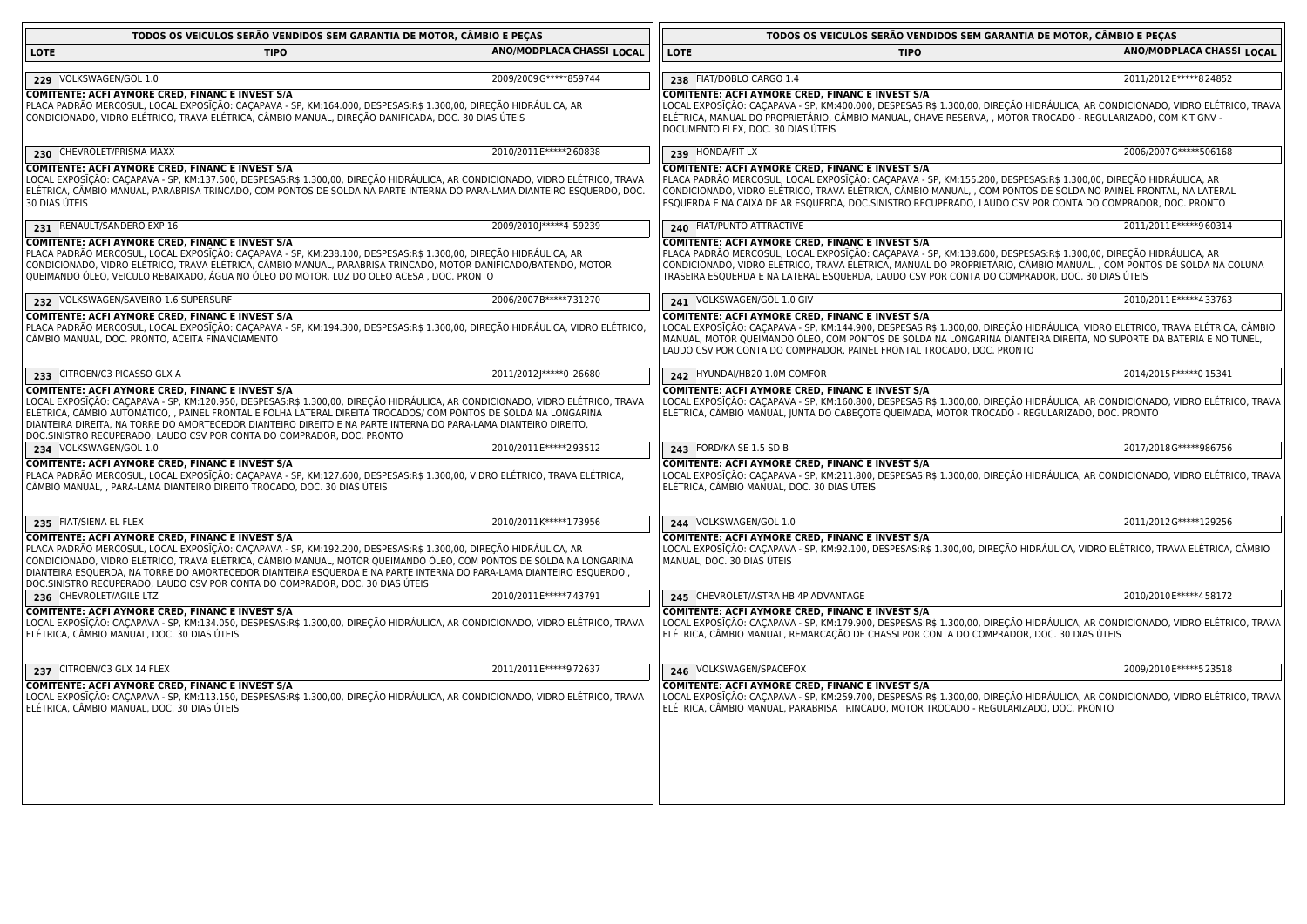| TODOS OS VEICULOS SERÃO VENDIDOS SEM GARANTIA DE MOTOR, CÂMBIO E PECAS                                                                                                                                                                                                                                                                                                                                                                                                                              |                           | TODOS OS VEICULOS SERÃO VENDIDOS SEM GARANTIA DE MOTOR, CÂMBIO E PEÇAS                                                                                                                                                                                                                                                                                                                                 |                           |
|-----------------------------------------------------------------------------------------------------------------------------------------------------------------------------------------------------------------------------------------------------------------------------------------------------------------------------------------------------------------------------------------------------------------------------------------------------------------------------------------------------|---------------------------|--------------------------------------------------------------------------------------------------------------------------------------------------------------------------------------------------------------------------------------------------------------------------------------------------------------------------------------------------------------------------------------------------------|---------------------------|
| <b>LOTE</b><br><b>TIPO</b>                                                                                                                                                                                                                                                                                                                                                                                                                                                                          | ANO/MODPLACA CHASSI LOCAL | <b>LOTE</b><br><b>TIPO</b>                                                                                                                                                                                                                                                                                                                                                                             | ANO/MODPLACA CHASSI LOCAL |
| 229 VOLKSWAGEN/GOL 1.0                                                                                                                                                                                                                                                                                                                                                                                                                                                                              | 2009/2009G ***** 859744   | 238 FIAT/DOBLO CARGO 1.4                                                                                                                                                                                                                                                                                                                                                                               | 2011/2012 E*****8 24852   |
| COMITENTE: ACFI AYMORE CRED, FINANC E INVEST S/A<br>PLACA PADRÃO MERCOSUL, LOCAL EXPOSIÇÃO: CAÇAPAVA - SP, KM:164.000, DESPESAS:R\$ 1.300,00, DIREÇÃO HIDRAULICA, AR<br>CONDICIONADO, VIDRO ELÉTRICO, TRAVA ELÉTRICA, CÂMBIO MANUAL, DIREÇÃO DANIFICADA, DOC. 30 DIAS ÚTEIS                                                                                                                                                                                                                         |                           | <b>COMITENTE: ACFI AYMORE CRED, FINANC E INVEST S/A</b><br>LOCAL EXPOSIÇÃO: CAÇAPAVA - SP, KM:400.000, DESPESAS:R\$ 1.300,00, DIREÇÃO HIDRAULICA, AR CONDICIONADO, VIDRO ELÉTRICO, TRAVA<br>ELÉTRICA, MANUAL DO PROPRIETÁRIO, CÂMBIO MANUAL, CHAVE RESERVA, , MOTOR TROCADO - REGULARIZADO, COM KIT GNV -<br>DOCUMENTO FLEX, DOC. 30 DIAS ÚTEIS                                                        |                           |
| 230 CHEVROLET/PRISMA MAXX                                                                                                                                                                                                                                                                                                                                                                                                                                                                           | 2010/2011E*****260838     | 239 HONDA/FIT LX                                                                                                                                                                                                                                                                                                                                                                                       | 2006/2007G ***** 506168   |
| COMITENTE: ACFI AYMORE CRED, FINANC E INVEST S/A<br>LOCAL EXPOSĨÇÃO: CAÇAPAVA - SP, KM:137.500, DESPESAS:R\$ 1.300,00, DIREÇÃO HIDRÁULICA, AR CONDICIONADO, VIDRO ELÉTRICO, TRAVA<br>ELÉTRICA, CÂMBIO MANUAL, PARABRISA TRINCADO, COM PONTOS DE SOLDA NA PARTE INTERNA DO PARA-LAMA DIANTEIRO ESQUERDO, DOC.<br>30 DIAS ÚTEIS                                                                                                                                                                       |                           | COMITENTE: ACFI AYMORE CRED, FINANC E INVEST S/A<br>PLACA PADRÃO MERCOSUL, LOCAL EXPOSIÇÃO: CAÇAPAVA - SP, KM:155.200, DESPESAS:R\$ 1.300,00, DIREÇÃO HIDRÁULICA, AR<br>CONDICIONADO, VIDRO ELÉTRICO, TRAVA ELÉTRICA, CÂMBIO MANUAL, , COM PONTOS DE SOLDA NO PAINEL FRONTAL, NA LATERAL<br>ESQUERDA E NA CAIXA DE AR ESQUERDA, DOC.SINISTRO RECUPERADO, LAUDO CSV POR CONTA DO COMPRADOR, DOC. PRONTO |                           |
| 231 RENAULT/SANDERO EXP 16                                                                                                                                                                                                                                                                                                                                                                                                                                                                          | 2009/2010J ***** 4 59239  | 240 FIAT/PUNTO ATTRACTIVE                                                                                                                                                                                                                                                                                                                                                                              | 2011/2011E*****960314     |
| COMITENTE: ACFI AYMORE CRED, FINANC E INVEST S/A<br>PLACA PADRÃO MERCOSUL, LOCAL EXPOSĪÇÃO: CAÇAPAVA - SP, KM:238.100, DESPESAS:R\$ 1.300,00, DIREÇÃO HIDRÁULICA, AR<br>CONDICIONADO, VIDRO ELÉTRICO, TRAVA ELÉTRICA, CÂMBIO MANUAL, PARABRISA TRINCADO, MOTOR DANIFICADO/BATENDO, MOTOR<br>QUEIMANDO ÓLEO, VEICULO REBAIXADO, ÁGUA NO ÓLEO DO MOTOR, LUZ DO OLEO ACESA , DOC. PRONTO                                                                                                               |                           | COMITENTE: ACFI AYMORE CRED, FINANC E INVEST S/A<br>PLACA PADRÃO MERCOSUL, LOCAL EXPOSĪÇÃO: CAÇAPAVA - SP, KM:138.600, DESPESAS:R\$ 1.300,00, DIREÇÃO HIDRÁULICA, AR<br>CONDICIONADO, VIDRO ELÉTRICO, TRAVA ELÉTRICA, MANUAL DO PROPRIETÁRIO, CÂMBIO MANUAL, , COM PONTOS DE SOLDA NA COLUNA<br>TRASEIRA ESQUERDA E NA LATERAL ESQUERDA, LAUDO CSV POR CONTA DO COMPRADOR, DOC. 30 DIAS ÚTEIS          |                           |
| 232 VOLKSWAGEN/SAVEIRO 1.6 SUPERSURF                                                                                                                                                                                                                                                                                                                                                                                                                                                                | 2006/2007B ***** 731270   | 241 VOLKSWAGEN/GOL 1.0 GIV                                                                                                                                                                                                                                                                                                                                                                             | 2010/2011 E*****4 33763   |
| COMITENTE: ACFI AYMORE CRED, FINANC E INVEST S/A<br>PLACA PADRÃO MERCOSUL, LOCAL EXPOSĪÇÃO: CAÇAPAVA - SP, KM:194.300, DESPESAS:R\$ 1.300,00, DIREÇÃO HIDRÁULICA, VIDRO ELÉTRICO,<br>CÂMBIO MANUAL, DOC. PRONTO, ACEITA FINANCIAMENTO                                                                                                                                                                                                                                                               |                           | <b>COMITENTE: ACFI AYMORE CRED, FINANC E INVEST S/A</b><br>LOCAL EXPOSĨÇÃO: CAÇAPAVA - SP, KM:144.900, DESPESAS:R\$ 1.300,00, DIREÇÃO HIDRÁULICA, VIDRO ELÉTRICO, TRAVA ELÉTRICA, CÂMBIO<br>MANUAL, MOTOR QUEIMANDO ÓLEO, COM PONTOS DE SOLDA NA LONGARINA DIANTEIRA DIREITA, NO SUPORTE DA BATERIA E NO TUNEL,<br>LAUDO CSV POR CONTA DO COMPRADOR, PAINEL FRONTAL TROCADO, DOC. PRONTO               |                           |
| 233 CITROEN/C3 PICASSO GLX A                                                                                                                                                                                                                                                                                                                                                                                                                                                                        | 2011/2012J ***** 0 26680  | 242 HYUNDAI/HB20 1.0M COMFOR                                                                                                                                                                                                                                                                                                                                                                           | 2014/2015 F***** 0 15341  |
| COMITENTE: ACFI AYMORE CRED, FINANC E INVEST S/A<br>LOCAL EXPOSĪÇÃO: CAÇAPAVA - SP, KM:120.950, DESPESAS:R\$ 1.300,00, DIREÇÃO HIDRÁULICA, AR CONDICIONADO, VIDRO ELÉTRICO, TRAVA<br>ELÉTRICA, CÂMBIO AUTOMÁTICO, , PAINEL FRONTAL E FOLHA LATERAL DIREITA TROCADOS/ COM PONTOS DE SOLDA NA LONGARINA<br>DIANTEIRA DIREITA, NA TORRE DO AMORTECEDOR DIANTEIRO DIREITO E NA PARTE INTERNA DO PARA-LAMA DIANTEIRO DIREITO,<br>DOC.SINISTRO RECUPERADO, LAUDO CSV POR CONTA DO COMPRADOR, DOC. PRONTO  |                           | <b>COMITENTE: ACFI AYMORE CRED, FINANC E INVEST S/A</b><br>LOCAL EXPOSĪÇÃO: CAÇAPAVA - SP, KM:160.800, DESPESAS:R\$ 1.300,00, DIREÇÃO HIDRÁULICA, AR CONDICIONADO, VIDRO ELÉTRICO, TRAVA<br>ELÉTRICA, CÂMBIO MANUAL, JUNTA DO CABEÇOTE QUEIMADA, MOTOR TROCADO - REGULARIZADO, DOC. PRONTO                                                                                                             |                           |
| 234 VOLKSWAGEN/GOL 1.0                                                                                                                                                                                                                                                                                                                                                                                                                                                                              | 2010/2011E*****293512     | 243 FORD/KA SE 1.5 SD B                                                                                                                                                                                                                                                                                                                                                                                | 2017/2018G*****986756     |
| COMITENTE: ACFI AYMORE CRED, FINANC E INVEST S/A<br>PLACA PADRÃO MERCOSUL, LOCAL EXPOSĪÇÃO: CAÇAPAVA - SP, KM:127.600, DESPESAS:R\$ 1.300,00, VIDRO ELÉTRICO, TRAVA ELÉTRICA,<br>CÂMBIO MANUAL, , PARA-LAMA DIANTEIRO DIREITO TROCADO, DOC. 30 DIAS ÚTEIS                                                                                                                                                                                                                                           |                           | COMITENTE: ACFI AYMORE CRED, FINANC E INVEST S/A<br>LOCAL EXPOSIÇÃO: CAÇAPAVA - SP, KM:211.800, DESPESAS:R\$ 1.300,00, DIREÇÃO HIDRÁULICA, AR CONDICIONADO, VIDRO ELÉTRICO, TRAVA<br>ELÉTRICA, CÂMBIO MANUAL, DOC. 30 DIAS ÚTEIS                                                                                                                                                                       |                           |
| 235 FIAT/SIENA EL FLEX                                                                                                                                                                                                                                                                                                                                                                                                                                                                              | 2010/2011K*****173956     | 244 VOLKSWAGEN/GOL 1.0                                                                                                                                                                                                                                                                                                                                                                                 | 2011/2012 G*****129256    |
| COMITENTE: ACFI AYMORE CRED, FINANC E INVEST S/A<br>PLACA PADRÃO MERCOSUL, LOCAL EXPOSIÇÃO: CACAPAVA - SP, KM:192.200, DESPESAS:R\$ 1.300,00, DIREÇÃO HIDRÁULICA, AR<br>CONDICIONADO, VIDRO ELÉTRICO, TRAVA ELÉTRICA, CÂMBIO MANUAL, MOTOR QUEIMANDO ÓLEO, COM PONTOS DE SOLDA NA LONGARINA<br>DIANTEIRA ESQUERDA, NA TORRE DO AMORTECEDOR DIANTEIRA ESQUERDA E NA PARTE INTERNA DO PARA-LAMA DIANTEIRO ESQUERDO.,<br>DOC.SINISTRO RECUPERADO, LAUDO CSV POR CONTA DO COMPRADOR, DOC. 30 DIAS ÚTEIS |                           | COMITENTE: ACFI AYMORE CRED, FINANC E INVEST S/A<br>LOCAL EXPOSIÇÃO: CAÇAPAVA - SP, KM:92.100, DESPESAS:R\$ 1.300,00, DIREÇÃO HIDRÁULICA, VIDRO ELÉTRICO, TRAVA ELÉTRICA, CÂMBIO<br>MANUAL, DOC. 30 DIAS UTEIS                                                                                                                                                                                         |                           |
| 236 CHEVROLET/AGILE LTZ                                                                                                                                                                                                                                                                                                                                                                                                                                                                             | 2010/2011E*****743791     | 245 CHEVROLET/ASTRA HB 4P ADVANTAGE                                                                                                                                                                                                                                                                                                                                                                    | 2010/2010E*****458172     |
| <b>COMITENTE: ACFI AYMORE CRED, FINANC E INVEST S/A</b><br>LOCAL EXPOSĪÇÃO: CAÇAPAVA - SP, KM:134.050, DESPESAS:R\$ 1.300,00, DIREÇÃO HIDRÁULICA, AR CONDICIONADO, VIDRO ELÉTRICO, TRAVA<br>ELÉTRICA, CÂMBIO MANUAL, DOC. 30 DIAS ÚTEIS                                                                                                                                                                                                                                                             |                           | <b>COMITENTE: ACFI AYMORE CRED, FINANC E INVEST S/A</b><br>LOCAL EXPOSĨÇÃO: CAÇAPAVA - SP, KM:179.900, DESPESAS:R\$ 1.300,00, DIREÇÃO HIDRÁULICA, AR CONDICIONADO, VIDRO ELÉTRICO, TRAVA<br>ELÉTRICA, CÂMBIO MANUAL, REMARCAÇÃO DE CHASSI POR CONTA DO COMPRADOR, DOC. 30 DIAS ÚTEIS                                                                                                                   |                           |
| 237 CITROEN/C3 GLX 14 FLEX                                                                                                                                                                                                                                                                                                                                                                                                                                                                          | 2011/2011E*****972637     | 246 VOLKSWAGEN/SPACEFOX                                                                                                                                                                                                                                                                                                                                                                                | 2009/2010 E***** 5 23518  |
| COMITENTE: ACFI AYMORE CRED, FINANC E INVEST S/A<br>LOCAL EXPOSĪÇÃO: CAÇAPAVA - SP, KM:113.150, DESPESAS:R\$ 1.300,00, DIREÇÃO HIDRÁULICA, AR CONDICIONADO, VIDRO ELÉTRICO, TRAVA<br>ELÉTRICA, CÂMBIO MANUAL, DOC. 30 DIAS ÚTEIS                                                                                                                                                                                                                                                                    |                           | COMITENTE: ACFI AYMORE CRED, FINANC E INVEST S/A<br>LOCAL EXPOSĪÇÃO: CAÇAPAVA - SP, KM:259.700, DESPESAS:R\$ 1.300,00, DIREÇÃO HIDRÁULICA, AR CONDICIONADO, VIDRO ELÉTRICO, TRAVA<br>ELÉTRICA, CÂMBIO MANUAL, PARABRISA TRINCADO, MOTOR TROCADO - REGULARIZADO, DOC. PRONTO                                                                                                                            |                           |
|                                                                                                                                                                                                                                                                                                                                                                                                                                                                                                     |                           |                                                                                                                                                                                                                                                                                                                                                                                                        |                           |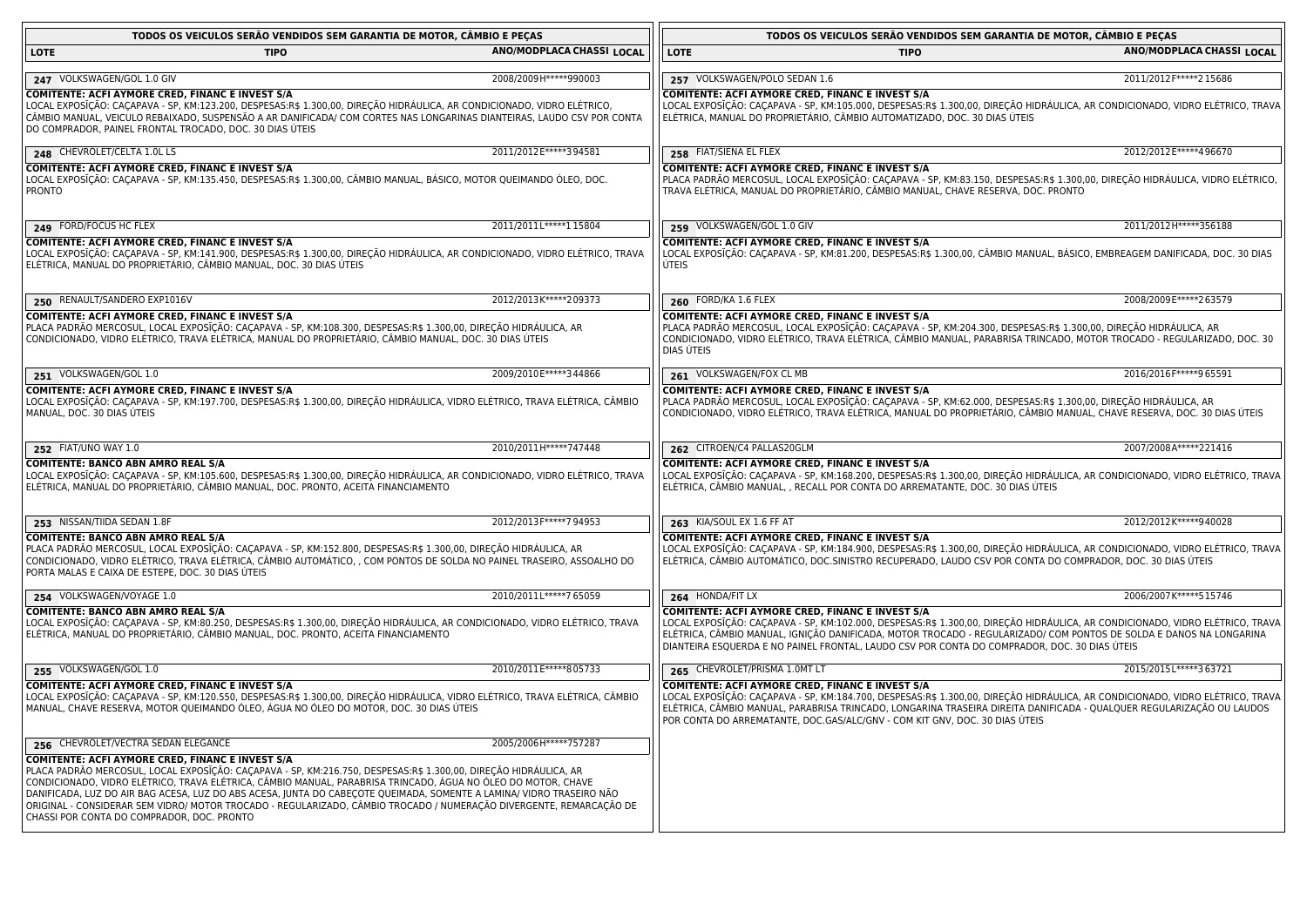| TODOS OS VEICULOS SERÃO VENDIDOS SEM GARANTIA DE MOTOR, CÂMBIO E PEÇAS                                                                                                                                                                                                                                                                                                                                                                                                                                                                                                             | TODOS OS VEICULOS SERÃO VENDIDOS SEM GARANTIA DE MOTOR, CAMBIO E PEÇAS                                                                                                                                                                                                                                                                                                                                          |  |  |
|------------------------------------------------------------------------------------------------------------------------------------------------------------------------------------------------------------------------------------------------------------------------------------------------------------------------------------------------------------------------------------------------------------------------------------------------------------------------------------------------------------------------------------------------------------------------------------|-----------------------------------------------------------------------------------------------------------------------------------------------------------------------------------------------------------------------------------------------------------------------------------------------------------------------------------------------------------------------------------------------------------------|--|--|
| ANO/MODPLACA CHASSI LOCAL                                                                                                                                                                                                                                                                                                                                                                                                                                                                                                                                                          | ANO/MODPLACA CHASSI LOCAL                                                                                                                                                                                                                                                                                                                                                                                       |  |  |
| <b>LOTE</b>                                                                                                                                                                                                                                                                                                                                                                                                                                                                                                                                                                        | LOTE                                                                                                                                                                                                                                                                                                                                                                                                            |  |  |
| TIPO                                                                                                                                                                                                                                                                                                                                                                                                                                                                                                                                                                               | <b>TIPO</b>                                                                                                                                                                                                                                                                                                                                                                                                     |  |  |
| 247 VOLKSWAGEN/GOL 1.0 GIV                                                                                                                                                                                                                                                                                                                                                                                                                                                                                                                                                         | 257 VOLKSWAGEN/POLO SEDAN 1.6                                                                                                                                                                                                                                                                                                                                                                                   |  |  |
| 2008/2009H*****990003                                                                                                                                                                                                                                                                                                                                                                                                                                                                                                                                                              | 2011/2012 F***** 2 15686                                                                                                                                                                                                                                                                                                                                                                                        |  |  |
| COMITENTE: ACFI AYMORE CRED, FINANC E INVEST S/A<br>LOCAL EXPOSÍÇÃO: CAÇAPAVA - SP, KM:123.200, DESPESAS:R\$ 1.300,00, DIREÇÃO HIDRÁULICA, AR CONDICIONADO, VIDRO ELÉTRICO,<br>CÂMBIO MANUAL, VEICULO REBAIXADO, SUSPENSÃO A AR DANIFICADA/ COM CORTES NAS LONGARINAS DIANTEIRAS, LAUDO CSV POR CONTA<br>DO COMPRADOR, PAINEL FRONTAL TROCADO, DOC. 30 DIAS UTEIS                                                                                                                                                                                                                  | COMITENTE: ACFI AYMORE CRED, FINANC E INVEST S/A<br>LOCAL EXPOSIÇÃO: CAÇAPAVA - SP, KM:105.000, DESPESAS:R\$ 1.300,00, DIREÇÃO HIDRÁULICA, AR CONDICIONADO, VIDRO ELÉTRICO, TRAVA<br>ELÉTRICA, MANUAL DO PROPRIETÁRIO, CÂMBIO AUTOMATIZADO, DOC. 30 DIAS ÚTEIS                                                                                                                                                  |  |  |
| 2011/2012 E***** 394581                                                                                                                                                                                                                                                                                                                                                                                                                                                                                                                                                            | 2012/2012 E*****4 96670                                                                                                                                                                                                                                                                                                                                                                                         |  |  |
| 248 CHEVROLET/CELTA 1.0L LS                                                                                                                                                                                                                                                                                                                                                                                                                                                                                                                                                        | 258 FIAT/SIENA EL FLEX                                                                                                                                                                                                                                                                                                                                                                                          |  |  |
| <b>COMITENTE: ACFI AYMORE CRED, FINANC E INVEST S/A</b>                                                                                                                                                                                                                                                                                                                                                                                                                                                                                                                            | COMITENTE: ACFI AYMORE CRED, FINANC E INVEST S/A                                                                                                                                                                                                                                                                                                                                                                |  |  |
| LOCAL EXPOSĪÇÃO: CAÇAPAVA - SP, KM:135.450, DESPESAS:R\$ 1.300,00, CÂMBIO MANUAL, BÁSICO, MOTOR QUEIMANDO ÓLEO, DOC.                                                                                                                                                                                                                                                                                                                                                                                                                                                               | PLACA PADRÃO MERCOSUL, LOCAL EXPOSIÇÃO: CAÇAPAVA - SP, KM:83.150, DESPESAS:R\$ 1.300,00, DIREÇÃO HIDRAULICA, VIDRO ELÉTRICO,                                                                                                                                                                                                                                                                                    |  |  |
| <b>PRONTO</b>                                                                                                                                                                                                                                                                                                                                                                                                                                                                                                                                                                      | TRAVA ELÉTRICA, MANUAL DO PROPRIETÁRIO, CÂMBIO MANUAL, CHAVE RESERVA, DOC. PRONTO                                                                                                                                                                                                                                                                                                                               |  |  |
| 2011/2011L*****115804                                                                                                                                                                                                                                                                                                                                                                                                                                                                                                                                                              | 2011/2012 H ***** 356188                                                                                                                                                                                                                                                                                                                                                                                        |  |  |
| 249 FORD/FOCUS HC FLEX                                                                                                                                                                                                                                                                                                                                                                                                                                                                                                                                                             | 259 VOLKSWAGEN/GOL 1.0 GIV                                                                                                                                                                                                                                                                                                                                                                                      |  |  |
| <b>COMITENTE: ACFI AYMORE CRED, FINANC E INVEST S/A</b>                                                                                                                                                                                                                                                                                                                                                                                                                                                                                                                            | COMITENTE: ACFI AYMORE CRED, FINANC E INVEST S/A                                                                                                                                                                                                                                                                                                                                                                |  |  |
| LOCAL EXPOSĪÇÃO: CAÇAPAVA - SP, KM:141.900, DESPESAS:R\$ 1.300,00, DIREÇÃO HIDRÁULICA, AR CONDICIONADO, VIDRO ELÉTRICO, TRAVA                                                                                                                                                                                                                                                                                                                                                                                                                                                      | LOCAL EXPOSIÇÃO: CAÇAPAVA - SP, KM:81.200, DESPESAS:R\$ 1.300,00, CÂMBIO MANUAL, BÁSICO, EMBREAGEM DANIFICADA, DOC. 30 DIAS                                                                                                                                                                                                                                                                                     |  |  |
| ELÉTRICA, MANUAL DO PROPRIETÁRIO, CÂMBIO MANUAL, DOC. 30 DIAS ÚTEIS                                                                                                                                                                                                                                                                                                                                                                                                                                                                                                                | UTEIS                                                                                                                                                                                                                                                                                                                                                                                                           |  |  |
| 2012/2013K*****209373                                                                                                                                                                                                                                                                                                                                                                                                                                                                                                                                                              | 2008/2009E*****263579                                                                                                                                                                                                                                                                                                                                                                                           |  |  |
| 250 RENAULT/SANDERO EXP1016V                                                                                                                                                                                                                                                                                                                                                                                                                                                                                                                                                       | 260 FORD/KA 1.6 FLEX                                                                                                                                                                                                                                                                                                                                                                                            |  |  |
| COMITENTE: ACFI AYMORE CRED, FINANC E INVEST S/A<br>PLACA PADRÃO MERCOSUL, LOCAL EXPOSĪÇÃO: CAÇAPAVA - SP, KM:108.300, DESPESAS:R\$ 1.300,00, DIREÇÃO HIDRAULICA, AR<br>CONDICIONADO, VIDRO ELÉTRICO, TRAVA ELÉTRICA, MANUAL DO PROPRIETÁRIO, CÂMBIO MANUAL, DOC. 30 DIAS ÚTEIS                                                                                                                                                                                                                                                                                                    | COMITENTE: ACFI AYMORE CRED, FINANC E INVEST S/A<br>PLACA PADRÃO MERCOSUL, LOCAL EXPOSIÇÃO: CAÇAPAVA - SP, KM:204.300, DESPESAS:R\$ 1.300,00, DIREÇÃO HIDRÁULICA, AR<br>CONDICIONADO, VIDRO ELÉTRICO, TRAVA ELÉTRICA, CÂMBIO MANUAL, PARABRISA TRINCADO, MOTOR TROCADO - REGULARIZADO, DOC. 30<br>DIAS UTEIS                                                                                                    |  |  |
| 2009/2010E*****344866                                                                                                                                                                                                                                                                                                                                                                                                                                                                                                                                                              | 2016/2016 F***** 965591                                                                                                                                                                                                                                                                                                                                                                                         |  |  |
| 251 VOLKSWAGEN/GOL 1.0                                                                                                                                                                                                                                                                                                                                                                                                                                                                                                                                                             | 261 VOLKSWAGEN/FOX CL MB                                                                                                                                                                                                                                                                                                                                                                                        |  |  |
| COMITENTE: ACFI AYMORE CRED, FINANC E INVEST S/A                                                                                                                                                                                                                                                                                                                                                                                                                                                                                                                                   | <b>COMITENTE: ACFI AYMORE CRED, FINANC E INVEST S/A</b>                                                                                                                                                                                                                                                                                                                                                         |  |  |
| LOCAL EXPOSĪÇÃO: CAÇAPAVA - SP, KM:197.700, DESPESAS:R\$ 1.300,00, DIREÇÃO HIDRÁULICA, VIDRO ELÉTRICO, TRAVA ELÉTRICA, CÂMBIO                                                                                                                                                                                                                                                                                                                                                                                                                                                      | PLACA PADRÃO MERCOSUL, LOCAL EXPOSĪÇÃO: CAÇAPAVA - SP, KM:62.000, DESPESAS:R\$ 1.300,00, DIREÇÃO HIDRÁULICA, AR                                                                                                                                                                                                                                                                                                 |  |  |
| MANUAL, DOC. 30 DIAS ÚTEIS                                                                                                                                                                                                                                                                                                                                                                                                                                                                                                                                                         | CONDICIONADO, VIDRO ELÉTRICO, TRAVA ELÉTRICA, MANUAL DO PROPRIETÁRIO, CÂMBIO MANUAL, CHAVE RESERVA, DOC. 30 DIAS ÚTEIS                                                                                                                                                                                                                                                                                          |  |  |
| 2010/2011H*****747448                                                                                                                                                                                                                                                                                                                                                                                                                                                                                                                                                              | 2007/2008A*****221416                                                                                                                                                                                                                                                                                                                                                                                           |  |  |
| 252 FIAT/UNO WAY 1.0                                                                                                                                                                                                                                                                                                                                                                                                                                                                                                                                                               | 262 CITROEN/C4 PALLAS20GLM                                                                                                                                                                                                                                                                                                                                                                                      |  |  |
| <b>COMITENTE: BANCO ABN AMRO REAL S/A</b>                                                                                                                                                                                                                                                                                                                                                                                                                                                                                                                                          | COMITENTE: ACFI AYMORE CRED, FINANC E INVEST S/A                                                                                                                                                                                                                                                                                                                                                                |  |  |
| LOCAL EXPOSĪÇÃO: CAÇAPAVA - SP, KM:105.600, DESPESAS:R\$ 1.300,00, DIREÇÃO HIDRÁULICA, AR CONDICIONADO, VIDRO ELÉTRICO, TRAVA                                                                                                                                                                                                                                                                                                                                                                                                                                                      | LOCAL EXPOSĪÇÃO: CAÇAPAVA - SP, KM:168.200, DESPESAS:R\$ 1.300,00, DIREÇÃO HIDRÁULICA, AR CONDICIONADO, VIDRO ELÉTRICO, TRAVA                                                                                                                                                                                                                                                                                   |  |  |
| ELÉTRICA, MANUAL DO PROPRIETÁRIO, CÂMBIO MANUAL, DOC. PRONTO, ACEITA FINANCIAMENTO                                                                                                                                                                                                                                                                                                                                                                                                                                                                                                 | ELÉTRICA, CÂMBIO MANUAL, , RECALL POR CONTA DO ARREMATANTE, DOC. 30 DIAS ÚTEIS                                                                                                                                                                                                                                                                                                                                  |  |  |
| 2012/2013F*****794953                                                                                                                                                                                                                                                                                                                                                                                                                                                                                                                                                              | 2012/2012 K*****940028                                                                                                                                                                                                                                                                                                                                                                                          |  |  |
| 253 NISSAN/TIIDA SEDAN 1.8F                                                                                                                                                                                                                                                                                                                                                                                                                                                                                                                                                        | 263 KIA/SOUL EX 1.6 FF AT                                                                                                                                                                                                                                                                                                                                                                                       |  |  |
| <b>COMITENTE: BANCO ABN AMRO REAL S/A</b><br>PLACA PADRÃO MERCOSUL, LOCAL EXPOSĪÇÃO: CAÇAPAVA - SP, KM:152.800, DESPESAS:R\$ 1.300,00, DIREÇÃO HIDRÁULICA, AR<br>CONDICIONADO, VIDRO ELÉTRICO, TRAVA ELÉTRICA, CÂMBIO AUTOMÁTICO, , COM PONTOS DE SOLDA NO PAINEL TRASEIRO, ASSOALHO DO<br>PORTA MALAS E CAIXA DE ESTEPE, DOC. 30 DIAS ÚTEIS                                                                                                                                                                                                                                       | COMITENTE: ACFI AYMORE CRED, FINANC E INVEST S/A<br>LOCAL EXPOSIÇÃO: CAÇAPAVA - SP, KM:184.900, DESPESAS:R\$ 1.300,00, DIREÇÃO HIDRÁULICA, AR CONDICIONADO, VIDRO ELÉTRICO, TRAVA<br>ELÉTRICA, CÂMBIO AUTOMÁTICO, DOC.SINISTRO RECUPERADO, LAUDO CSV POR CONTA DO COMPRADOR, DOC. 30 DIAS ÚTEIS                                                                                                                 |  |  |
| 254 VOLKSWAGEN/VOYAGE 1.0                                                                                                                                                                                                                                                                                                                                                                                                                                                                                                                                                          | 2006/2007K*****515746                                                                                                                                                                                                                                                                                                                                                                                           |  |  |
| 2010/2011L*****765059                                                                                                                                                                                                                                                                                                                                                                                                                                                                                                                                                              | 264 HONDA/FIT LX                                                                                                                                                                                                                                                                                                                                                                                                |  |  |
| <b>COMITENTE: BANCO ABN AMRO REAL S/A</b><br>LOCAL EXPOSĪÇÃO: CAÇAPAVA - SP, KM:80.250, DESPESAS:R\$ 1.300,00, DIREÇÃO HIDRÁULICA, AR CONDICIONADO, VIDRO ELÉTRICO, TRAVA<br>ELÉTRICA, MANUAL DO PROPRIETÁRIO, CÂMBIO MANUAL, DOC. PRONTO, ACEITA FINANCIAMENTO                                                                                                                                                                                                                                                                                                                    | <b>COMITENTE: ACFI AYMORE CRED, FINANC E INVEST S/A</b><br>LOCAL EXPOSIÇÃO: CAÇAPAVA - SP, KM:102.000, DESPESAS:R\$ 1.300,00, DIREÇÃO HIDRÁULICA, AR CONDICIONADO, VIDRO ELÉTRICO, TRAVA<br>ELÉTRICA, CÂMBIO MANUAL, IGNIÇÃO DANIFICADA, MOTOR TROCADO - REGULARIZADO/ COM PONTOS DE SOLDA E DANOS NA LONGARINA<br>DIANTEIRA ESQUERDA E NO PAINEL FRONTAL, LAUDO CSV POR CONTA DO COMPRADOR, DOC. 30 DIAS ÚTEIS |  |  |
| 2010/2011E*****805733                                                                                                                                                                                                                                                                                                                                                                                                                                                                                                                                                              | 265 CHEVROLET/PRISMA 1.0MT LT                                                                                                                                                                                                                                                                                                                                                                                   |  |  |
| 255 VOLKSWAGEN/GOL 1.0                                                                                                                                                                                                                                                                                                                                                                                                                                                                                                                                                             | 2015/2015L*****363721                                                                                                                                                                                                                                                                                                                                                                                           |  |  |
| COMITENTE: ACFI AYMORE CRED, FINANC E INVEST S/A<br>LOCAL EXPOSĪÇÃO: CAÇAPAVA - SP, KM:120.550, DESPESAS:R\$ 1.300,00, DIREÇÃO HIDRÁULICA, VIDRO ELÉTRICO, TRAVA ELÉTRICA, CÂMBIO<br>MANUAL, CHAVE RESERVA, MOTOR QUEIMANDO ÓLEO, ÁGUA NO ÓLEO DO MOTOR, DOC. 30 DIAS ÚTEIS                                                                                                                                                                                                                                                                                                        | COMITENTE: ACFI AYMORE CRED, FINANC E INVEST S/A<br>LOCAL EXPOSIÇÃO: CAÇAPAVA - SP, KM:184.700, DESPESAS:R\$ 1.300,00, DIREÇÃO HIDRÁULICA, AR CONDICIONADO, VIDRO ELÉTRICO, TRAVA<br>ELÉTRICA, CÂMBIO MANUAL, PARABRISA TRINCADO, LONGARINA TRASEIRA DIREITA DANIFICADA - QUALQUER REGULARIZAÇÃO OU LAUDOS<br>POR CONTA DO ARREMATANTE, DOC.GAS/ALC/GNV - COM KIT GNV, DOC. 30 DIAS ÚTEIS                       |  |  |
| 2005/2006H ***** 757287<br>256 CHEVROLET/VECTRA SEDAN ELEGANCE                                                                                                                                                                                                                                                                                                                                                                                                                                                                                                                     |                                                                                                                                                                                                                                                                                                                                                                                                                 |  |  |
| COMITENTE: ACFI AYMORE CRED, FINANC E INVEST S/A<br>PLACA PADRÃO MERCOSUL, LOCAL EXPOSĪÇÃO: CAÇAPAVA - SP, KM:216.750, DESPESAS:R\$ 1.300,00, DIREÇÃO HIDRÁULICA, AR<br>CONDICIONADO, VIDRO ELÉTRICO, TRAVA ELÉTRICA, CÂMBIO MANUAL, PARABRISA TRINCADO, ÁGUA NO ÓLEO DO MOTOR, CHAVE<br>DANIFICADA, LUZ DO AIR BAG ACESA, LUZ DO ABS ACESA, JUNTA DO CABEÇOTE QUEIMADA, SOMENTE A LAMINA/ VIDRO TRASEIRO NÃO<br>ORIGINAL - CONSIDERAR SEM VIDRO/ MOTOR TROCADO - REGULARIZADO, CÂMBIO TROCADO / NUMERAÇÃO DIVERGENTE, REMARCAÇÃO DE<br>CHASSI POR CONTA DO COMPRADOR, DOC. PRONTO |                                                                                                                                                                                                                                                                                                                                                                                                                 |  |  |

 $\overline{1}$